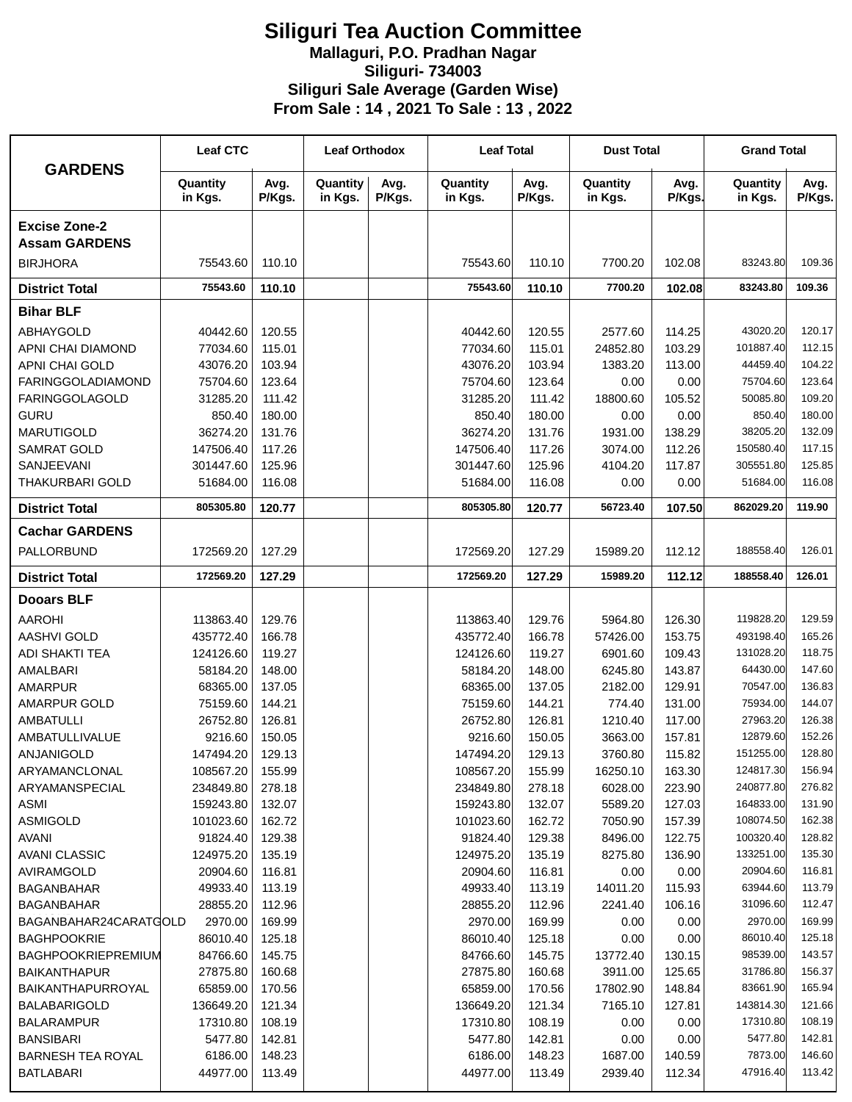## **Siliguri Tea Auction Committee Mallaguri, P.O. Pradhan Nagar Siliguri- 734003 Siliguri Sale Average (Garden Wise) From Sale : 14 , 2021 To Sale : 13 , 2022**

| <b>GARDENS</b>                               | <b>Leaf CTC</b>      |                  | <b>Leaf Orthodox</b> |                | <b>Leaf Total</b>    |                  | <b>Dust Total</b>   |                  | <b>Grand Total</b>    |                  |
|----------------------------------------------|----------------------|------------------|----------------------|----------------|----------------------|------------------|---------------------|------------------|-----------------------|------------------|
|                                              | Quantity<br>in Kgs.  | Avg.<br>P/Kgs.   | Quantity<br>in Kgs.  | Avg.<br>P/Kgs. | Quantity<br>in Kgs.  | Avg.<br>P/Kgs.   | Quantity<br>in Kgs. | Avg.<br>P/Kgs.   | Quantity<br>in Kgs.   | Avg.<br>P/Kgs.   |
| <b>Excise Zone-2</b>                         |                      |                  |                      |                |                      |                  |                     |                  |                       |                  |
| <b>Assam GARDENS</b><br><b>BIRJHORA</b>      | 75543.60             | 110.10           |                      |                | 75543.60             | 110.10           | 7700.20             | 102.08           | 83243.80              | 109.36           |
| <b>District Total</b>                        | 75543.60             | 110.10           |                      |                | 75543.60             | 110.10           | 7700.20             | 102.08           | 83243.80              | 109.36           |
| <b>Bihar BLF</b>                             |                      |                  |                      |                |                      |                  |                     |                  |                       |                  |
|                                              |                      |                  |                      |                |                      |                  |                     |                  |                       |                  |
| ABHAYGOLD<br>APNI CHAI DIAMOND               | 40442.60<br>77034.60 | 120.55<br>115.01 |                      |                | 40442.60<br>77034.60 | 120.55<br>115.01 | 2577.60<br>24852.80 | 114.25<br>103.29 | 43020.20<br>101887.40 | 120.17<br>112.15 |
| APNI CHAI GOLD                               | 43076.20             | 103.94           |                      |                | 43076.20             | 103.94           | 1383.20             | 113.00           | 44459.40              | 104.22           |
| <b>FARINGGOLADIAMOND</b>                     | 75704.60             | 123.64           |                      |                | 75704.60             | 123.64           | 0.00                | 0.00             | 75704.60              | 123.64           |
| <b>FARINGGOLAGOLD</b>                        | 31285.20             | 111.42           |                      |                | 31285.20             | 111.42           | 18800.60            | 105.52           | 50085.80              | 109.20           |
| <b>GURU</b>                                  | 850.40               | 180.00           |                      |                | 850.40               | 180.00           | 0.00                | 0.00             | 850.40                | 180.00           |
| <b>MARUTIGOLD</b>                            | 36274.20             | 131.76           |                      |                | 36274.20             | 131.76           | 1931.00             | 138.29           | 38205.20              | 132.09           |
| <b>SAMRAT GOLD</b>                           | 147506.40            | 117.26           |                      |                | 147506.40            | 117.26           | 3074.00             | 112.26           | 150580.40             | 117.15           |
| SANJEEVANI                                   | 301447.60            | 125.96           |                      |                | 301447.60            | 125.96           | 4104.20             | 117.87           | 305551.80             | 125.85           |
| <b>THAKURBARI GOLD</b>                       | 51684.00             | 116.08           |                      |                | 51684.00             | 116.08           | 0.00                | 0.00             | 51684.00              | 116.08           |
| <b>District Total</b>                        | 805305.80            | 120.77           |                      |                | 805305.80            | 120.77           | 56723.40            | 107.50           | 862029.20             | 119.90           |
| <b>Cachar GARDENS</b>                        |                      |                  |                      |                |                      |                  |                     |                  |                       |                  |
| PALLORBUND                                   | 172569.20            | 127.29           |                      |                | 172569.20            | 127.29           | 15989.20            | 112.12           | 188558.40             | 126.01           |
| <b>District Total</b>                        | 172569.20            | 127.29           |                      |                | 172569.20            | 127.29           | 15989.20            | 112.12           | 188558.40             | 126.01           |
| <b>Dooars BLF</b>                            |                      |                  |                      |                |                      |                  |                     |                  |                       |                  |
| <b>AAROHI</b>                                | 113863.40            | 129.76           |                      |                | 113863.40            | 129.76           | 5964.80             | 126.30           | 119828.20             | 129.59           |
| <b>AASHVI GOLD</b>                           | 435772.40            | 166.78           |                      |                | 435772.40            | 166.78           | 57426.00            | 153.75           | 493198.40             | 165.26           |
| <b>ADI SHAKTI TEA</b>                        | 124126.60            | 119.27           |                      |                | 124126.60            | 119.27           | 6901.60             | 109.43           | 131028.20             | 118.75           |
| AMALBARI                                     | 58184.20             | 148.00           |                      |                | 58184.20             | 148.00           | 6245.80             | 143.87           | 64430.00              | 147.60           |
| <b>AMARPUR</b>                               | 68365.00             | 137.05           |                      |                | 68365.00             | 137.05           | 2182.00             | 129.91           | 70547.00              | 136.83           |
| <b>AMARPUR GOLD</b>                          | 75159.60             | 144.21           |                      |                | 75159.60             | 144.21           | 774.40              | 131.00           | 75934.00              | 144.07           |
| <b>AMBATULLI</b>                             | 26752.80             | 126.81           |                      |                | 26752.80             | 126.81           | 1210.40             | 117.00           | 27963.20              | 126.38           |
| AMBATULLIVALUE                               | 9216.60              | 150.05           |                      |                | 9216.60              | 150.05           | 3663.00             | 157.81           | 12879.60              | 152.26           |
| <b>ANJANIGOLD</b>                            | 147494.20            | 129.13           |                      |                | 147494.20            | 129.13           | 3760.80             | 115.82           | 151255.00             | 128.80           |
| ARYAMANCLONAL                                | 108567.20            | 155.99           |                      |                | 108567.20            | 155.99           | 16250.10            | 163.30           | 124817.30             | 156.94           |
| ARYAMANSPECIAL                               | 234849.80            | 278.18           |                      |                | 234849.80            | 278.18           | 6028.00             | 223.90           | 240877.80             | 276.82           |
| <b>ASMI</b>                                  | 159243.80            | 132.07           |                      |                | 159243.80            | 132.07           | 5589.20             | 127.03           | 164833.00             | 131.90           |
| <b>ASMIGOLD</b>                              | 101023.60            | 162.72           |                      |                | 101023.60            | 162.72           | 7050.90             | 157.39           | 108074.50             | 162.38           |
| <b>AVANI</b>                                 | 91824.40             | 129.38           |                      |                | 91824.40             | 129.38           | 8496.00             | 122.75           | 100320.40             | 128.82           |
| <b>AVANI CLASSIC</b>                         | 124975.20            | 135.19           |                      |                | 124975.20            | 135.19           | 8275.80             | 136.90           | 133251.00             | 135.30           |
| AVIRAMGOLD                                   | 20904.60             | 116.81           |                      |                | 20904.60             | 116.81           | 0.00                | 0.00             | 20904.60              | 116.81           |
| <b>BAGANBAHAR</b>                            | 49933.40             | 113.19           |                      |                | 49933.40             | 113.19           | 14011.20            | 115.93           | 63944.60              | 113.79           |
| <b>BAGANBAHAR</b>                            | 28855.20             | 112.96           |                      |                | 28855.20             | 112.96           | 2241.40             | 106.16           | 31096.60              | 112.47           |
| BAGANBAHAR24CARATGOLD                        | 2970.00              | 169.99           |                      |                | 2970.00              | 169.99           | 0.00                | 0.00             | 2970.00               | 169.99           |
| <b>BAGHPOOKRIE</b>                           | 86010.40             | 125.18           |                      |                | 86010.40             | 125.18           | 0.00                | 0.00             | 86010.40              | 125.18           |
| <b>BAGHPOOKRIEPREMIUM</b>                    | 84766.60             | 145.75           |                      |                | 84766.60             | 145.75           | 13772.40            | 130.15           | 98539.00              | 143.57           |
| <b>BAIKANTHAPUR</b>                          | 27875.80             | 160.68           |                      |                | 27875.80             | 160.68           | 3911.00             | 125.65           | 31786.80              | 156.37           |
| BAIKANTHAPURROYAL                            | 65859.00             | 170.56           |                      |                | 65859.00             | 170.56           | 17802.90            | 148.84           | 83661.90              | 165.94           |
| <b>BALABARIGOLD</b>                          | 136649.20            | 121.34           |                      |                | 136649.20            | 121.34           | 7165.10             | 127.81           | 143814.30<br>17310.80 | 121.66<br>108.19 |
| <b>BALARAMPUR</b>                            | 17310.80             | 108.19           |                      |                | 17310.80             | 108.19           | 0.00                | 0.00             | 5477.80               | 142.81           |
| <b>BANSIBARI</b><br><b>BARNESH TEA ROYAL</b> | 5477.80<br>6186.00   | 142.81<br>148.23 |                      |                | 5477.80<br>6186.00   | 142.81<br>148.23 | 0.00<br>1687.00     | 0.00<br>140.59   | 7873.00               | 146.60           |
| <b>BATLABARI</b>                             | 44977.00             | 113.49           |                      |                | 44977.00             | 113.49           | 2939.40             | 112.34           | 47916.40              | 113.42           |
|                                              |                      |                  |                      |                |                      |                  |                     |                  |                       |                  |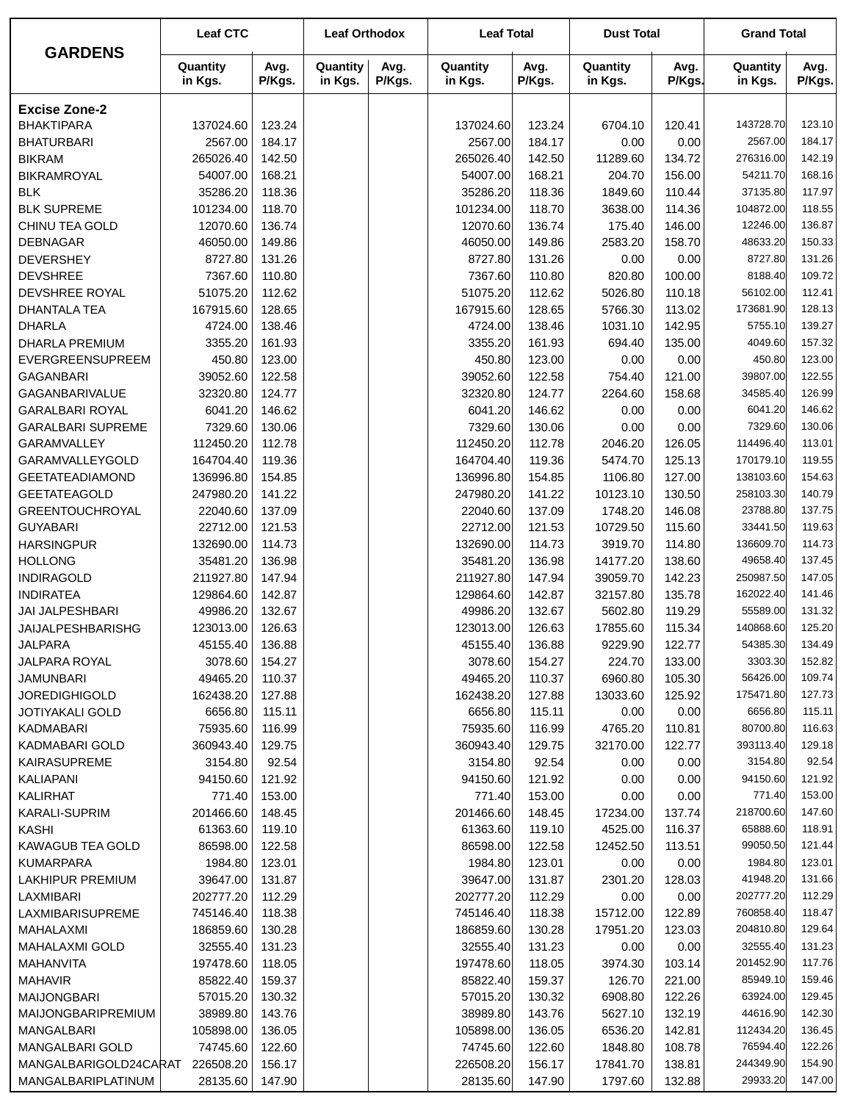| <b>GARDENS</b>                        | <b>Leaf CTC</b>        |                  | <b>Leaf Orthodox</b> |                | <b>Leaf Total</b>      |                  | <b>Dust Total</b>    |                  | <b>Grand Total</b>    |                  |
|---------------------------------------|------------------------|------------------|----------------------|----------------|------------------------|------------------|----------------------|------------------|-----------------------|------------------|
|                                       | Quantity<br>in Kgs.    | Avg.<br>P/Kgs.   | Quantity<br>in Kgs.  | Avg.<br>P/Kgs. | Quantity<br>in Kgs.    | Avg.<br>P/Kgs.   | Quantity<br>in Kgs.  | Avg.<br>P/Kgs.   | Quantity<br>in Kgs.   | Avg.<br>P/Kgs.   |
| <b>Excise Zone-2</b>                  |                        |                  |                      |                |                        |                  |                      |                  |                       |                  |
| <b>BHAKTIPARA</b>                     | 137024.60              | 123.24           |                      |                | 137024.60              | 123.24           | 6704.10              | 120.41           | 143728.70             | 123.10           |
| <b>BHATURBARI</b>                     | 2567.00                | 184.17           |                      |                | 2567.00                | 184.17           | 0.00                 | 0.00             | 2567.00               | 184.17           |
| <b>BIKRAM</b>                         | 265026.40              | 142.50           |                      |                | 265026.40              | 142.50           | 11289.60             | 134.72           | 276316.00             | 142.19           |
| <b>BIKRAMROYAL</b>                    | 54007.00               | 168.21           |                      |                | 54007.00               | 168.21           | 204.70               | 156.00           | 54211.70              | 168.16           |
| <b>BLK</b>                            | 35286.20               | 118.36           |                      |                | 35286.20               | 118.36           | 1849.60              | 110.44           | 37135.80              | 117.97           |
| <b>BLK SUPREME</b>                    | 101234.00              | 118.70           |                      |                | 101234.00              | 118.70           | 3638.00              | 114.36           | 104872.00             | 118.55           |
| CHINU TEA GOLD                        | 12070.60               | 136.74           |                      |                | 12070.60               | 136.74           | 175.40               | 146.00           | 12246.00              | 136.87           |
| <b>DEBNAGAR</b>                       | 46050.00               | 149.86           |                      |                | 46050.00               | 149.86           | 2583.20              | 158.70           | 48633.20              | 150.33           |
| <b>DEVERSHEY</b>                      | 8727.80                | 131.26           |                      |                | 8727.80                | 131.26           | 0.00                 | 0.00             | 8727.80               | 131.26           |
| <b>DEVSHREE</b>                       | 7367.60                | 110.80           |                      |                | 7367.60                | 110.80           | 820.80               | 100.00           | 8188.40               | 109.72           |
| DEVSHREE ROYAL                        | 51075.20               | 112.62           |                      |                | 51075.20               | 112.62           | 5026.80              | 110.18           | 56102.00              | 112.41           |
| <b>DHANTALA TEA</b>                   | 167915.60              | 128.65           |                      |                | 167915.60              | 128.65           | 5766.30              | 113.02           | 173681.90             | 128.13           |
| <b>DHARLA</b>                         | 4724.00                | 138.46           |                      |                | 4724.00                | 138.46           | 1031.10              | 142.95           | 5755.10               | 139.27           |
| DHARLA PREMIUM                        | 3355.20                | 161.93           |                      |                | 3355.20                | 161.93           | 694.40               | 135.00           | 4049.60               | 157.32           |
| EVERGREENSUPREEM                      | 450.80                 | 123.00           |                      |                | 450.80                 | 123.00           | 0.00                 | 0.00             | 450.80                | 123.00           |
| <b>GAGANBARI</b>                      | 39052.60               | 122.58           |                      |                | 39052.60               | 122.58           | 754.40               | 121.00           | 39807.00              | 122.55           |
| <b>GAGANBARIVALUE</b>                 | 32320.80               | 124.77           |                      |                | 32320.80               | 124.77           | 2264.60              | 158.68           | 34585.40              | 126.99           |
| <b>GARALBARI ROYAL</b>                | 6041.20                | 146.62           |                      |                | 6041.20                | 146.62           | 0.00                 | 0.00             | 6041.20               | 146.62           |
| <b>GARALBARI SUPREME</b>              | 7329.60                | 130.06           |                      |                | 7329.60                | 130.06           | 0.00                 | 0.00             | 7329.60               | 130.06           |
| GARAMVALLEY                           | 112450.20              | 112.78           |                      |                | 112450.20              | 112.78           | 2046.20              | 126.05           | 114496.40             | 113.01           |
| GARAMVALLEYGOLD                       | 164704.40              | 119.36           |                      |                | 164704.40              | 119.36           | 5474.70              | 125.13           | 170179.10             | 119.55           |
| <b>GEETATEADIAMOND</b>                | 136996.80              | 154.85           |                      |                | 136996.80              | 154.85           | 1106.80              | 127.00           | 138103.60             | 154.63           |
| <b>GEETATEAGOLD</b>                   | 247980.20              | 141.22           |                      |                | 247980.20              | 141.22           | 10123.10             | 130.50           | 258103.30             | 140.79           |
| <b>GREENTOUCHROYAL</b>                | 22040.60               | 137.09           |                      |                | 22040.60               | 137.09           | 1748.20              | 146.08           | 23788.80              | 137.75           |
| <b>GUYABARI</b>                       | 22712.00               | 121.53           |                      |                | 22712.00               | 121.53           | 10729.50             | 115.60           | 33441.50              | 119.63           |
| <b>HARSINGPUR</b>                     | 132690.00              | 114.73           |                      |                | 132690.00              | 114.73           | 3919.70              | 114.80           | 136609.70             | 114.73           |
| <b>HOLLONG</b>                        | 35481.20               | 136.98           |                      |                | 35481.20               | 136.98           | 14177.20             | 138.60<br>142.23 | 49658.40<br>250987.50 | 137.45<br>147.05 |
| <b>INDIRAGOLD</b><br><b>INDIRATEA</b> | 211927.80<br>129864.60 | 147.94<br>142.87 |                      |                | 211927.80<br>129864.60 | 147.94<br>142.87 | 39059.70<br>32157.80 | 135.78           | 162022.40             | 141.46           |
| JAI JALPESHBARI                       | 49986.20               | 132.67           |                      |                | 49986.20               | 132.67           | 5602.80              | 119.29           | 55589.00              | 131.32           |
| <b>JAIJALPESHBARISHG</b>              | 123013.00              | 126.63           |                      |                | 123013.00              | 126.63           | 17855.60             | 115.34           | 140868.60             | 125.20           |
| <b>JALPARA</b>                        | 45155.40               | 136.88           |                      |                | 45155.40               | 136.88           | 9229.90              | 122.77           | 54385.30              | 134.49           |
| JALPARA ROYAL                         | 3078.60                | 154.27           |                      |                | 3078.60                | 154.27           | 224.70               | 133.00           | 3303.30               | 152.82           |
| <b>JAMUNBARI</b>                      | 49465.20               | 110.37           |                      |                | 49465.20               | 110.37           | 6960.80              | 105.30           | 56426.00              | 109.74           |
| <b>JOREDIGHIGOLD</b>                  | 162438.20              | 127.88           |                      |                | 162438.20              | 127.88           | 13033.60             | 125.92           | 175471.80             | 127.73           |
| <b>JOTIYAKALI GOLD</b>                | 6656.80                | 115.11           |                      |                | 6656.80                | 115.11           | 0.00                 | 0.00             | 6656.80               | 115.11           |
| KADMABARI                             | 75935.60               | 116.99           |                      |                | 75935.60               | 116.99           | 4765.20              | 110.81           | 80700.80              | 116.63           |
| KADMABARI GOLD                        | 360943.40              | 129.75           |                      |                | 360943.40              | 129.75           | 32170.00             | 122.77           | 393113.40             | 129.18           |
| <b>KAIRASUPREME</b>                   | 3154.80                | 92.54            |                      |                | 3154.80                | 92.54            | 0.00                 | 0.00             | 3154.80               | 92.54            |
| <b>KALIAPANI</b>                      | 94150.60               | 121.92           |                      |                | 94150.60               | 121.92           | 0.00                 | 0.00             | 94150.60              | 121.92           |
| KALIRHAT                              | 771.40                 | 153.00           |                      |                | 771.40                 | 153.00           | 0.00                 | 0.00             | 771.40                | 153.00           |
| KARALI-SUPRIM                         | 201466.60              | 148.45           |                      |                | 201466.60              | 148.45           | 17234.00             | 137.74           | 218700.60             | 147.60           |
| <b>KASHI</b>                          | 61363.60               | 119.10           |                      |                | 61363.60               | 119.10           | 4525.00              | 116.37           | 65888.60              | 118.91           |
| <b>KAWAGUB TEA GOLD</b>               | 86598.00               | 122.58           |                      |                | 86598.00               | 122.58           | 12452.50             | 113.51           | 99050.50              | 121.44           |
| <b>KUMARPARA</b>                      | 1984.80                | 123.01           |                      |                | 1984.80                | 123.01           | 0.00                 | 0.00             | 1984.80               | 123.01           |
| <b>LAKHIPUR PREMIUM</b>               | 39647.00               | 131.87           |                      |                | 39647.00               | 131.87           | 2301.20              | 128.03           | 41948.20              | 131.66           |
| LAXMIBARI                             | 202777.20              | 112.29           |                      |                | 202777.20              | 112.29           | 0.00                 | 0.00             | 202777.20             | 112.29           |
| LAXMIBARISUPREME                      | 745146.40              | 118.38           |                      |                | 745146.40              | 118.38           | 15712.00             | 122.89           | 760858.40             | 118.47           |
| MAHALAXMI                             | 186859.60              | 130.28           |                      |                | 186859.60              | 130.28           | 17951.20             | 123.03           | 204810.80             | 129.64           |
| <b>MAHALAXMI GOLD</b>                 | 32555.40               | 131.23           |                      |                | 32555.40               | 131.23           | 0.00                 | 0.00             | 32555.40              | 131.23           |
| MAHANVITA                             | 197478.60              | 118.05           |                      |                | 197478.60              | 118.05           | 3974.30              | 103.14           | 201452.90             | 117.76           |
| <b>MAHAVIR</b>                        | 85822.40               | 159.37           |                      |                | 85822.40               | 159.37           | 126.70               | 221.00           | 85949.10              | 159.46           |
| <b>MAIJONGBARI</b>                    | 57015.20               | 130.32           |                      |                | 57015.20               | 130.32           | 6908.80              | 122.26           | 63924.00              | 129.45           |
| <b>MAIJONGBARIPREMIUM</b>             | 38989.80               | 143.76           |                      |                | 38989.80               | 143.76           | 5627.10              | 132.19           | 44616.90              | 142.30           |
| MANGALBARI                            | 105898.00              | 136.05           |                      |                | 105898.00              | 136.05           | 6536.20              | 142.81           | 112434.20             | 136.45           |
| <b>MANGALBARI GOLD</b>                | 74745.60               | 122.60           |                      |                | 74745.60               | 122.60           | 1848.80              | 108.78           | 76594.40              | 122.26           |
| MANGALBARIGOLD24CARAT                 | 226508.20              | 156.17           |                      |                | 226508.20              | 156.17           | 17841.70             | 138.81           | 244349.90             | 154.90           |
| MANGALBARIPLATINUM                    | 28135.60               | 147.90           |                      |                | 28135.60               | 147.90           | 1797.60              | 132.88           | 29933.20              | 147.00           |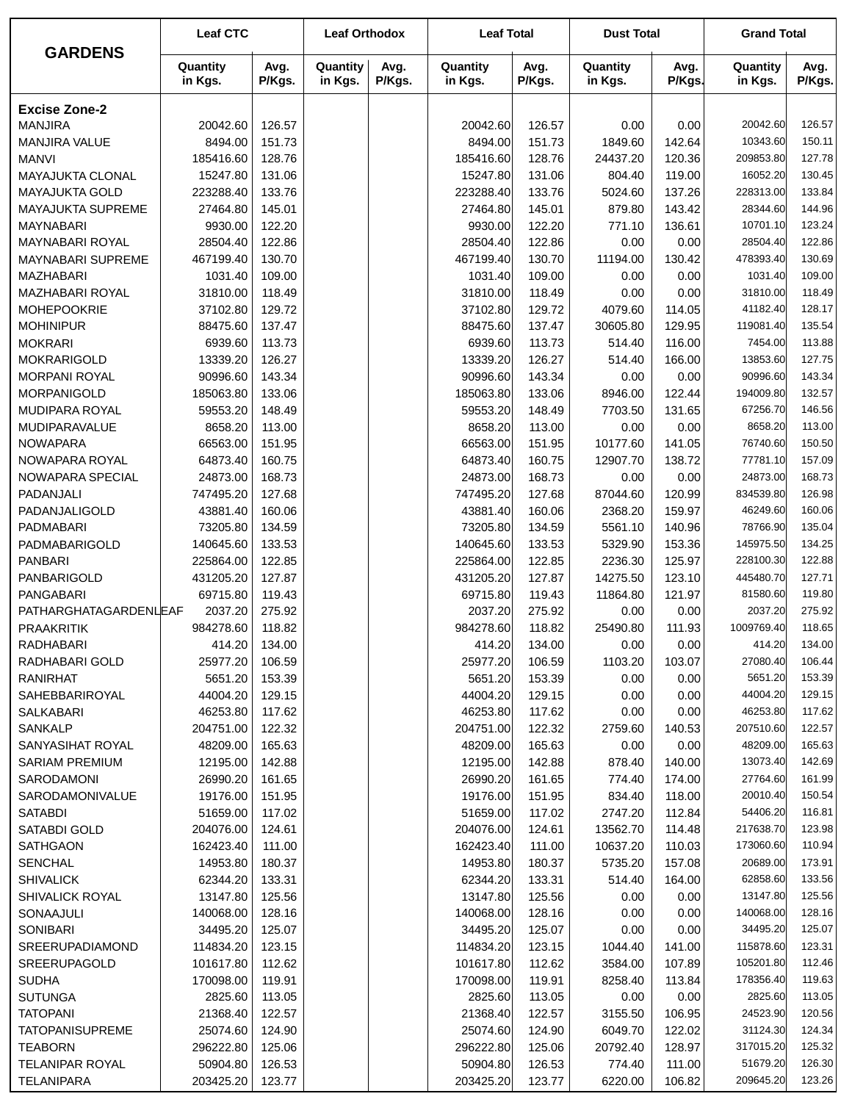| <b>GARDENS</b>                               | <b>Leaf CTC</b>      |                  | <b>Leaf Orthodox</b> |                | <b>Leaf Total</b>    |                  | <b>Dust Total</b>   |                  | <b>Grand Total</b>   |                  |
|----------------------------------------------|----------------------|------------------|----------------------|----------------|----------------------|------------------|---------------------|------------------|----------------------|------------------|
|                                              | Quantity<br>in Kgs.  | Avg.<br>P/Kgs.   | Quantity<br>in Kgs.  | Avg.<br>P/Kgs. | Quantity<br>in Kgs.  | Avg.<br>P/Kgs.   | Quantity<br>in Kgs. | Avg.<br>P/Kgs.   | Quantity<br>in Kgs.  | Avg.<br>P/Kgs.   |
| <b>Excise Zone-2</b>                         |                      |                  |                      |                |                      |                  |                     |                  |                      |                  |
| <b>MANJIRA</b>                               | 20042.60             | 126.57           |                      |                | 20042.60             | 126.57           | 0.00                | 0.00             | 20042.60             | 126.57           |
| MANJIRA VALUE                                | 8494.00              | 151.73           |                      |                | 8494.00              | 151.73           | 1849.60             | 142.64           | 10343.60             | 150.11           |
| <b>MANVI</b>                                 | 185416.60            | 128.76           |                      |                | 185416.60            | 128.76           | 24437.20            | 120.36           | 209853.80            | 127.78           |
| MAYAJUKTA CLONAL                             | 15247.80             | 131.06           |                      |                | 15247.80             | 131.06           | 804.40              | 119.00           | 16052.20             | 130.45           |
| <b>MAYAJUKTA GOLD</b>                        | 223288.40            | 133.76           |                      |                | 223288.40            | 133.76           | 5024.60             | 137.26           | 228313.00            | 133.84           |
| MAYAJUKTA SUPREME                            | 27464.80             | 145.01           |                      |                | 27464.80             | 145.01           | 879.80              | 143.42           | 28344.60             | 144.96           |
| <b>MAYNABARI</b>                             | 9930.00              | 122.20           |                      |                | 9930.00              | 122.20           | 771.10              | 136.61           | 10701.10             | 123.24           |
| MAYNABARI ROYAL                              | 28504.40             | 122.86           |                      |                | 28504.40             | 122.86           | 0.00                | 0.00             | 28504.40             | 122.86           |
| <b>MAYNABARI SUPREME</b>                     | 467199.40            | 130.70           |                      |                | 467199.40            | 130.70           | 11194.00            | 130.42           | 478393.40            | 130.69           |
| <b>MAZHABARI</b>                             | 1031.40              | 109.00           |                      |                | 1031.40              | 109.00           | 0.00                | 0.00             | 1031.40<br>31810.00  | 109.00           |
| <b>MAZHABARI ROYAL</b><br><b>MOHEPOOKRIE</b> | 31810.00             | 118.49           |                      |                | 31810.00<br>37102.80 | 118.49           | 0.00                | 0.00             | 41182.40             | 118.49<br>128.17 |
| <b>MOHINIPUR</b>                             | 37102.80<br>88475.60 | 129.72<br>137.47 |                      |                | 88475.60             | 129.72<br>137.47 | 4079.60<br>30605.80 | 114.05<br>129.95 | 119081.40            | 135.54           |
| <b>MOKRARI</b>                               | 6939.60              | 113.73           |                      |                | 6939.60              | 113.73           | 514.40              | 116.00           | 7454.00              | 113.88           |
| <b>MOKRARIGOLD</b>                           | 13339.20             | 126.27           |                      |                | 13339.20             | 126.27           | 514.40              | 166.00           | 13853.60             | 127.75           |
| <b>MORPANI ROYAL</b>                         | 90996.60             | 143.34           |                      |                | 90996.60             | 143.34           | 0.00                | 0.00             | 90996.60             | 143.34           |
| <b>MORPANIGOLD</b>                           | 185063.80            | 133.06           |                      |                | 185063.80            | 133.06           | 8946.00             | 122.44           | 194009.80            | 132.57           |
| <b>MUDIPARA ROYAL</b>                        | 59553.20             | 148.49           |                      |                | 59553.20             | 148.49           | 7703.50             | 131.65           | 67256.70             | 146.56           |
| <b>MUDIPARAVALUE</b>                         | 8658.20              | 113.00           |                      |                | 8658.20              | 113.00           | 0.00                | 0.00             | 8658.20              | 113.00           |
| <b>NOWAPARA</b>                              | 66563.00             | 151.95           |                      |                | 66563.00             | 151.95           | 10177.60            | 141.05           | 76740.60             | 150.50           |
| NOWAPARA ROYAL                               | 64873.40             | 160.75           |                      |                | 64873.40             | 160.75           | 12907.70            | 138.72           | 77781.10             | 157.09           |
| NOWAPARA SPECIAL                             | 24873.00             | 168.73           |                      |                | 24873.00             | 168.73           | 0.00                | 0.00             | 24873.00             | 168.73           |
| PADANJALI                                    | 747495.20            | 127.68           |                      |                | 747495.20            | 127.68           | 87044.60            | 120.99           | 834539.80            | 126.98           |
| PADANJALIGOLD                                | 43881.40             | 160.06           |                      |                | 43881.40             | 160.06           | 2368.20             | 159.97           | 46249.60             | 160.06           |
| PADMABARI                                    | 73205.80             | 134.59           |                      |                | 73205.80             | 134.59           | 5561.10             | 140.96           | 78766.90             | 135.04           |
| PADMABARIGOLD                                | 140645.60            | 133.53           |                      |                | 140645.60            | 133.53           | 5329.90             | 153.36           | 145975.50            | 134.25           |
| <b>PANBARI</b>                               | 225864.00            | 122.85           |                      |                | 225864.00            | 122.85           | 2236.30             | 125.97           | 228100.30            | 122.88           |
| PANBARIGOLD                                  | 431205.20            | 127.87           |                      |                | 431205.20            | 127.87           | 14275.50            | 123.10           | 445480.70            | 127.71           |
| <b>PANGABARI</b>                             | 69715.80             | 119.43           |                      |                | 69715.80             | 119.43           | 11864.80            | 121.97           | 81580.60             | 119.80           |
| PATHARGHATAGARDENLEAF                        | 2037.20              | 275.92           |                      |                | 2037.20              | 275.92           | 0.00                | 0.00             | 2037.20              | 275.92           |
| <b>PRAAKRITIK</b>                            | 984278.60            | 118.82           |                      |                | 984278.60            | 118.82           | 25490.80            | 111.93           | 1009769.40           | 118.65           |
| RADHABARI                                    | 414.20               | 134.00           |                      |                | 414.20               | 134.00           | 0.00                | 0.00             | 414.20               | 134.00           |
| RADHABARI GOLD                               | 25977.20             | 106.59           |                      |                | 25977.20             | 106.59           | 1103.20             | 103.07           | 27080.40             | 106.44           |
| <b>RANIRHAT</b>                              | 5651.20              | 153.39           |                      |                | 5651.20              | 153.39           | 0.00                | 0.00             | 5651.20              | 153.39           |
| SAHEBBARIROYAL                               | 44004.20             | 129.15           |                      |                | 44004.20             | 129.15           | 0.00                | 0.00             | 44004.20             | 129.15           |
| SALKABARI                                    | 46253.80             | 117.62           |                      |                | 46253.80             | 117.62           | 0.00                | 0.00             | 46253.80             | 117.62           |
| SANKALP                                      | 204751.00            | 122.32           |                      |                | 204751.00            | 122.32           | 2759.60             | 140.53           | 207510.60            | 122.57           |
| SANYASIHAT ROYAL<br><b>SARIAM PREMIUM</b>    | 48209.00             | 165.63           |                      |                | 48209.00             | 165.63           | 0.00<br>878.40      | 0.00             | 48209.00<br>13073.40 | 165.63<br>142.69 |
| SARODAMONI                                   | 12195.00<br>26990.20 | 142.88<br>161.65 |                      |                | 12195.00<br>26990.20 | 142.88<br>161.65 | 774.40              | 140.00<br>174.00 | 27764.60             | 161.99           |
| SARODAMONIVALUE                              | 19176.00             | 151.95           |                      |                | 19176.00             | 151.95           | 834.40              | 118.00           | 20010.40             | 150.54           |
| <b>SATABDI</b>                               | 51659.00             | 117.02           |                      |                | 51659.00             | 117.02           | 2747.20             | 112.84           | 54406.20             | 116.81           |
| SATABDI GOLD                                 | 204076.00            | 124.61           |                      |                | 204076.00            | 124.61           | 13562.70            | 114.48           | 217638.70            | 123.98           |
| <b>SATHGAON</b>                              | 162423.40            | 111.00           |                      |                | 162423.40            | 111.00           | 10637.20            | 110.03           | 173060.60            | 110.94           |
| <b>SENCHAL</b>                               | 14953.80             | 180.37           |                      |                | 14953.80             | 180.37           | 5735.20             | 157.08           | 20689.00             | 173.91           |
| <b>SHIVALICK</b>                             | 62344.20             | 133.31           |                      |                | 62344.20             | 133.31           | 514.40              | 164.00           | 62858.60             | 133.56           |
| SHIVALICK ROYAL                              | 13147.80             | 125.56           |                      |                | 13147.80             | 125.56           | 0.00                | 0.00             | 13147.80             | 125.56           |
| SONAAJULI                                    | 140068.00            | 128.16           |                      |                | 140068.00            | 128.16           | 0.00                | 0.00             | 140068.00            | 128.16           |
| <b>SONIBARI</b>                              | 34495.20             | 125.07           |                      |                | 34495.20             | 125.07           | 0.00                | 0.00             | 34495.20             | 125.07           |
| SREERUPADIAMOND                              | 114834.20            | 123.15           |                      |                | 114834.20            | 123.15           | 1044.40             | 141.00           | 115878.60            | 123.31           |
| SREERUPAGOLD                                 | 101617.80            | 112.62           |                      |                | 101617.80            | 112.62           | 3584.00             | 107.89           | 105201.80            | 112.46           |
| <b>SUDHA</b>                                 | 170098.00            | 119.91           |                      |                | 170098.00            | 119.91           | 8258.40             | 113.84           | 178356.40            | 119.63           |
| <b>SUTUNGA</b>                               | 2825.60              | 113.05           |                      |                | 2825.60              | 113.05           | 0.00                | 0.00             | 2825.60              | 113.05           |
| <b>TATOPANI</b>                              | 21368.40             | 122.57           |                      |                | 21368.40             | 122.57           | 3155.50             | 106.95           | 24523.90             | 120.56           |
| <b>TATOPANISUPREME</b>                       | 25074.60             | 124.90           |                      |                | 25074.60             | 124.90           | 6049.70             | 122.02           | 31124.30             | 124.34           |
| <b>TEABORN</b>                               | 296222.80            | 125.06           |                      |                | 296222.80            | 125.06           | 20792.40            | 128.97           | 317015.20            | 125.32           |
| <b>TELANIPAR ROYAL</b>                       | 50904.80             | 126.53           |                      |                | 50904.80             | 126.53           | 774.40              | 111.00           | 51679.20             | 126.30           |
| <b>TELANIPARA</b>                            | 203425.20            | 123.77           |                      |                | 203425.20            | 123.77           | 6220.00             | 106.82           | 209645.20            | 123.26           |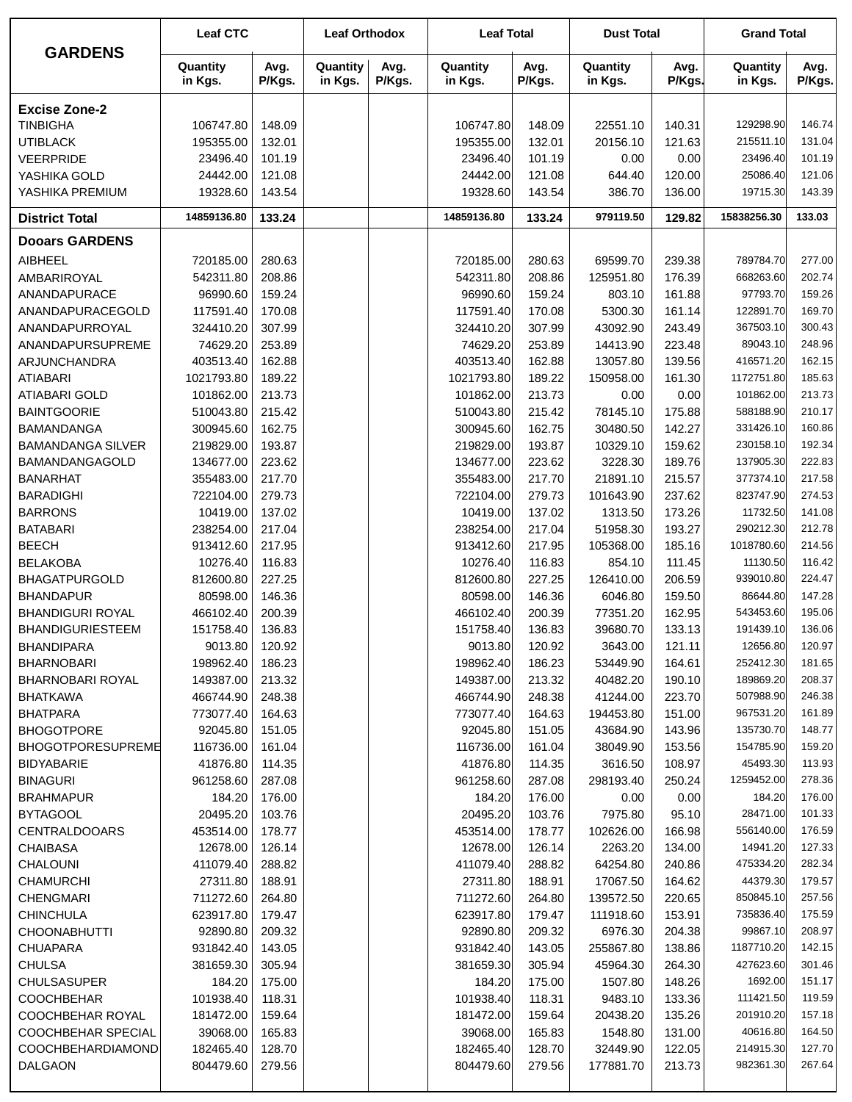|                                               | <b>Leaf CTC</b>        |                  | <b>Leaf Orthodox</b> |                | <b>Leaf Total</b>      |                  | <b>Dust Total</b>     |                  | <b>Grand Total</b>     |                  |
|-----------------------------------------------|------------------------|------------------|----------------------|----------------|------------------------|------------------|-----------------------|------------------|------------------------|------------------|
| <b>GARDENS</b>                                | Quantity<br>in Kgs.    | Avg.<br>P/Kgs.   | Quantity<br>in Kgs.  | Avg.<br>P/Kgs. | Quantity<br>in Kgs.    | Avg.<br>P/Kgs.   | Quantity<br>in Kgs.   | Avg.<br>P/Kgs.   | Quantity<br>in Kgs.    | Avg.<br>P/Kgs.   |
| <b>Excise Zone-2</b>                          |                        |                  |                      |                |                        |                  |                       |                  |                        |                  |
| <b>TINBIGHA</b>                               | 106747.80              | 148.09           |                      |                | 106747.80              | 148.09           | 22551.10              | 140.31           | 129298.90              | 146.74           |
| <b>UTIBLACK</b>                               | 195355.00              | 132.01           |                      |                | 195355.00              | 132.01           | 20156.10              | 121.63           | 215511.10              | 131.04           |
| <b>VEERPRIDE</b>                              | 23496.40               | 101.19           |                      |                | 23496.40               | 101.19           | 0.00                  | 0.00             | 23496.40               | 101.19           |
| YASHIKA GOLD                                  | 24442.00               | 121.08           |                      |                | 24442.00               | 121.08           | 644.40                | 120.00           | 25086.40               | 121.06           |
| YASHIKA PREMIUM                               | 19328.60               | 143.54           |                      |                | 19328.60               | 143.54           | 386.70                | 136.00           | 19715.30               | 143.39           |
| <b>District Total</b>                         | 14859136.80            | 133.24           |                      |                | 14859136.80            | 133.24           | 979119.50             | 129.82           | 15838256.30            | 133.03           |
| <b>Dooars GARDENS</b>                         |                        |                  |                      |                |                        |                  |                       |                  |                        |                  |
| <b>AIBHEEL</b>                                | 720185.00              | 280.63           |                      |                | 720185.00              | 280.63           | 69599.70              | 239.38           | 789784.70              | 277.00           |
| AMBARIROYAL                                   | 542311.80              | 208.86           |                      |                | 542311.80              | 208.86           | 125951.80             | 176.39           | 668263.60              | 202.74           |
| ANANDAPURACE                                  | 96990.60               | 159.24           |                      |                | 96990.60               | 159.24           | 803.10                | 161.88           | 97793.70               | 159.26           |
| ANANDAPURACEGOLD                              | 117591.40              | 170.08           |                      |                | 117591.40              | 170.08           | 5300.30               | 161.14           | 122891.70              | 169.70           |
| ANANDAPURROYAL                                | 324410.20              | 307.99           |                      |                | 324410.20              | 307.99           | 43092.90              | 243.49           | 367503.10              | 300.43           |
| ANANDAPURSUPREME                              | 74629.20               | 253.89           |                      |                | 74629.20               | 253.89           | 14413.90              | 223.48           | 89043.10               | 248.96           |
| ARJUNCHANDRA                                  | 403513.40              | 162.88           |                      |                | 403513.40              | 162.88           | 13057.80              | 139.56           | 416571.20              | 162.15           |
| <b>ATIABARI</b>                               | 1021793.80             | 189.22           |                      |                | 1021793.80             | 189.22           | 150958.00             | 161.30           | 1172751.80             | 185.63           |
| <b>ATIABARI GOLD</b>                          | 101862.00              | 213.73           |                      |                | 101862.00              | 213.73           | 0.00                  | 0.00             | 101862.00              | 213.73           |
| <b>BAINTGOORIE</b>                            | 510043.80              | 215.42           |                      |                | 510043.80              | 215.42           | 78145.10              | 175.88           | 588188.90              | 210.17           |
| <b>BAMANDANGA</b>                             | 300945.60              | 162.75           |                      |                | 300945.60              | 162.75           | 30480.50              | 142.27           | 331426.10              | 160.86           |
| <b>BAMANDANGA SILVER</b>                      | 219829.00              | 193.87           |                      |                | 219829.00              | 193.87           | 10329.10              | 159.62           | 230158.10              | 192.34           |
| BAMANDANGAGOLD                                | 134677.00              | 223.62           |                      |                | 134677.00              | 223.62           | 3228.30               | 189.76           | 137905.30              | 222.83           |
| <b>BANARHAT</b>                               | 355483.00              | 217.70           |                      |                | 355483.00              | 217.70           | 21891.10              | 215.57           | 377374.10              | 217.58           |
| <b>BARADIGHI</b>                              | 722104.00              | 279.73           |                      |                | 722104.00              | 279.73           | 101643.90             | 237.62           | 823747.90              | 274.53           |
| <b>BARRONS</b>                                | 10419.00               | 137.02           |                      |                | 10419.00               | 137.02           | 1313.50               | 173.26           | 11732.50<br>290212.30  | 141.08<br>212.78 |
| <b>BATABARI</b><br><b>BEECH</b>               | 238254.00<br>913412.60 | 217.04<br>217.95 |                      |                | 238254.00<br>913412.60 | 217.04<br>217.95 | 51958.30<br>105368.00 | 193.27<br>185.16 | 1018780.60             | 214.56           |
| <b>BELAKOBA</b>                               | 10276.40               | 116.83           |                      |                | 10276.40               | 116.83           | 854.10                | 111.45           | 11130.50               | 116.42           |
| <b>BHAGATPURGOLD</b>                          | 812600.80              | 227.25           |                      |                | 812600.80              | 227.25           | 126410.00             | 206.59           | 939010.80              | 224.47           |
| <b>BHANDAPUR</b>                              | 80598.00               | 146.36           |                      |                | 80598.00               | 146.36           | 6046.80               | 159.50           | 86644.80               | 147.28           |
| <b>BHANDIGURI ROYAL</b>                       | 466102.40              | 200.39           |                      |                | 466102.40              | 200.39           | 77351.20              | 162.95           | 543453.60              | 195.06           |
| <b>BHANDIGURIESTEEM</b>                       | 151758.40              | 136.83           |                      |                | 151758.40              | 136.83           | 39680.70              | 133.13           | 191439.10              | 136.06           |
| <b>BHANDIPARA</b>                             | 9013.80                | 120.92           |                      |                | 9013.80                | 120.92           | 3643.00               | 121.11           | 12656.80               | 120.97           |
| <b>BHARNOBARI</b>                             | 198962.40              | 186.23           |                      |                | 198962.40              | 186.23           | 53449.90              | 164.61           | 252412.30              | 181.65           |
| <b>BHARNOBARI ROYAL</b>                       | 149387.00              | 213.32           |                      |                | 149387.00              | 213.32           | 40482.20              | 190.10           | 189869.20              | 208.37           |
| <b>BHATKAWA</b>                               | 466744.90              | 248.38           |                      |                | 466744.90              | 248.38           | 41244.00              | 223.70           | 507988.90              | 246.38           |
| <b>BHATPARA</b>                               | 773077.40              | 164.63           |                      |                | 773077.40              | 164.63           | 194453.80             | 151.00           | 967531.20              | 161.89           |
| <b>BHOGOTPORE</b>                             | 92045.80               | 151.05           |                      |                | 92045.80               | 151.05           | 43684.90              | 143.96           | 135730.70              | 148.77           |
| <b>BHOGOTPORESUPREME</b>                      | 116736.00              | 161.04           |                      |                | 116736.00              | 161.04           | 38049.90              | 153.56           | 154785.90              | 159.20           |
| <b>BIDYABARIE</b>                             | 41876.80               | 114.35           |                      |                | 41876.80               | 114.35           | 3616.50               | 108.97           | 45493.30               | 113.93           |
| <b>BINAGURI</b>                               | 961258.60              | 287.08           |                      |                | 961258.60              | 287.08           | 298193.40             | 250.24           | 1259452.00             | 278.36           |
| <b>BRAHMAPUR</b>                              | 184.20                 | 176.00           |                      |                | 184.20                 | 176.00           | 0.00                  | 0.00             | 184.20                 | 176.00           |
| <b>BYTAGOOL</b>                               | 20495.20               | 103.76           |                      |                | 20495.20               | 103.76           | 7975.80               | 95.10            | 28471.00               | 101.33           |
| <b>CENTRALDOOARS</b>                          | 453514.00              | 178.77           |                      |                | 453514.00              | 178.77           | 102626.00             | 166.98           | 556140.00              | 176.59           |
| <b>CHAIBASA</b>                               | 12678.00               | 126.14           |                      |                | 12678.00               | 126.14           | 2263.20               | 134.00           | 14941.20               | 127.33           |
| <b>CHALOUNI</b>                               | 411079.40              | 288.82           |                      |                | 411079.40              | 288.82           | 64254.80              | 240.86           | 475334.20              | 282.34           |
| <b>CHAMURCHI</b>                              | 27311.80               | 188.91           |                      |                | 27311.80               | 188.91           | 17067.50              | 164.62           | 44379.30               | 179.57           |
| <b>CHENGMARI</b>                              | 711272.60              | 264.80           |                      |                | 711272.60              | 264.80           | 139572.50             | 220.65           | 850845.10              | 257.56           |
| CHINCHULA                                     | 623917.80              | 179.47           |                      |                | 623917.80              | 179.47           | 111918.60             | 153.91           | 735836.40              | 175.59           |
| <b>CHOONABHUTTI</b>                           | 92890.80               | 209.32           |                      |                | 92890.80               | 209.32           | 6976.30               | 204.38           | 99867.10               | 208.97           |
| <b>CHUAPARA</b>                               | 931842.40              | 143.05           |                      |                | 931842.40              | 143.05           | 255867.80             | 138.86           | 1187710.20             | 142.15           |
| <b>CHULSA</b>                                 | 381659.30              | 305.94           |                      |                | 381659.30              | 305.94           | 45964.30              | 264.30           | 427623.60              | 301.46           |
| <b>CHULSASUPER</b>                            | 184.20                 | 175.00           |                      |                | 184.20                 | 175.00           | 1507.80               | 148.26           | 1692.00                | 151.17           |
| <b>COOCHBEHAR</b>                             | 101938.40              | 118.31           |                      |                | 101938.40              | 118.31           | 9483.10               | 133.36           | 111421.50<br>201910.20 | 119.59<br>157.18 |
| COOCHBEHAR ROYAL<br><b>COOCHBEHAR SPECIAL</b> | 181472.00              | 159.64           |                      |                | 181472.00              | 159.64           | 20438.20              | 135.26           | 40616.80               | 164.50           |
| COOCHBEHARDIAMOND                             | 39068.00<br>182465.40  | 165.83<br>128.70 |                      |                | 39068.00<br>182465.40  | 165.83<br>128.70 | 1548.80<br>32449.90   | 131.00<br>122.05 | 214915.30              | 127.70           |
| DALGAON                                       | 804479.60              | 279.56           |                      |                | 804479.60              | 279.56           | 177881.70             | 213.73           | 982361.30              | 267.64           |
|                                               |                        |                  |                      |                |                        |                  |                       |                  |                        |                  |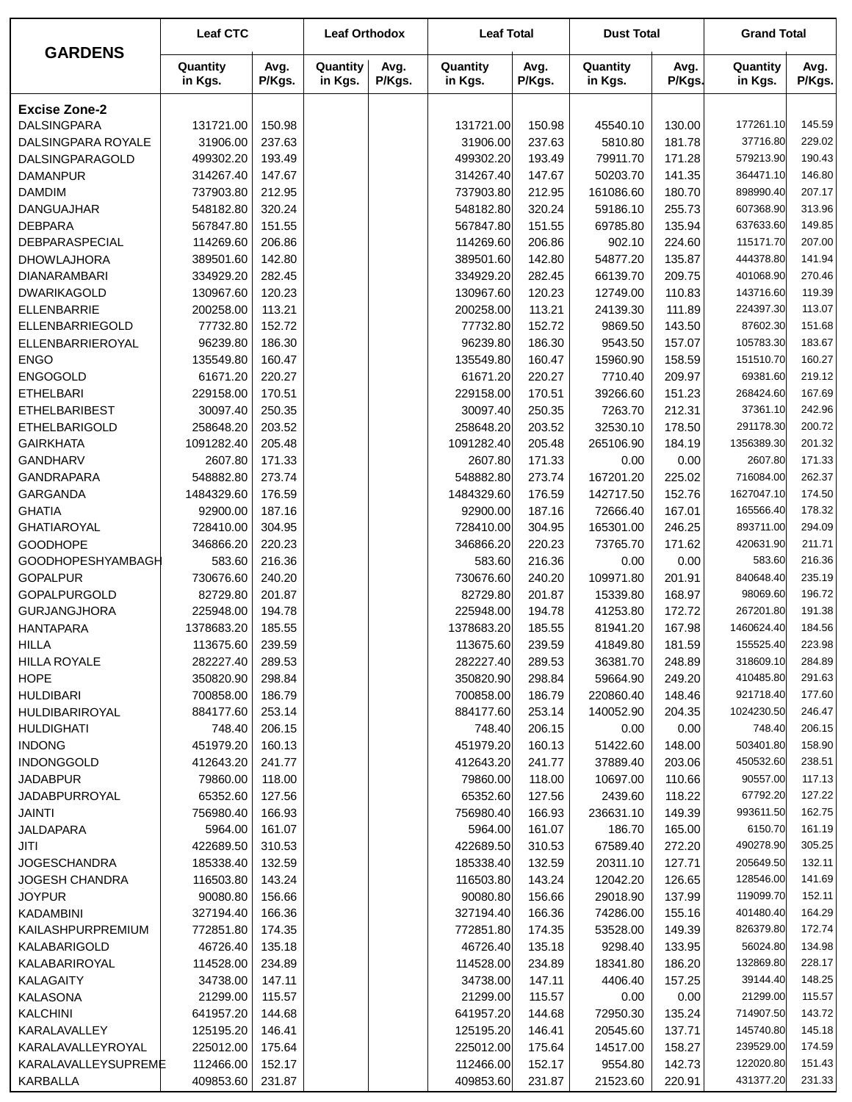|                                          | <b>Leaf CTC</b>       |                  | <b>Leaf Orthodox</b> |                | <b>Leaf Total</b>     |                  | <b>Dust Total</b>   |                  | <b>Grand Total</b>    |                  |
|------------------------------------------|-----------------------|------------------|----------------------|----------------|-----------------------|------------------|---------------------|------------------|-----------------------|------------------|
| <b>GARDENS</b>                           | Quantity<br>in Kgs.   | Avg.<br>P/Kgs.   | Quantity<br>in Kgs.  | Avg.<br>P/Kgs. | Quantity<br>in Kgs.   | Avg.<br>P/Kgs.   | Quantity<br>in Kgs. | Avg.<br>P/Kgs.   | Quantity<br>in Kgs.   | Avg.<br>P/Kgs.   |
| <b>Excise Zone-2</b>                     |                       |                  |                      |                |                       |                  |                     |                  |                       |                  |
| <b>DALSINGPARA</b>                       | 131721.00             | 150.98           |                      |                | 131721.00             | 150.98           | 45540.10            | 130.00           | 177261.10             | 145.59           |
| DALSINGPARA ROYALE                       | 31906.00              | 237.63           |                      |                | 31906.00              | 237.63           | 5810.80             | 181.78           | 37716.80              | 229.02           |
| DALSINGPARAGOLD                          | 499302.20             | 193.49           |                      |                | 499302.20             | 193.49           | 79911.70            | 171.28           | 579213.90             | 190.43           |
| <b>DAMANPUR</b>                          | 314267.40             | 147.67           |                      |                | 314267.40             | 147.67           | 50203.70            | 141.35           | 364471.10             | 146.80           |
| <b>DAMDIM</b>                            | 737903.80             | 212.95           |                      |                | 737903.80             | 212.95           | 161086.60           | 180.70           | 898990.40             | 207.17           |
| <b>DANGUAJHAR</b>                        | 548182.80             | 320.24           |                      |                | 548182.80             | 320.24           | 59186.10            | 255.73           | 607368.90             | 313.96           |
| <b>DEBPARA</b>                           | 567847.80             | 151.55           |                      |                | 567847.80             | 151.55           | 69785.80            | 135.94           | 637633.60             | 149.85           |
| DEBPARASPECIAL                           | 114269.60             | 206.86           |                      |                | 114269.60             | 206.86           | 902.10              | 224.60           | 115171.70             | 207.00           |
| <b>DHOWLAJHORA</b>                       | 389501.60             | 142.80           |                      |                | 389501.60             | 142.80           | 54877.20            | 135.87           | 444378.80             | 141.94           |
| <b>DIANARAMBARI</b>                      | 334929.20             | 282.45           |                      |                | 334929.20             | 282.45           | 66139.70            | 209.75           | 401068.90             | 270.46           |
| <b>DWARIKAGOLD</b>                       | 130967.60             | 120.23           |                      |                | 130967.60             | 120.23           | 12749.00            | 110.83           | 143716.60             | 119.39           |
| <b>ELLENBARRIE</b>                       | 200258.00             | 113.21           |                      |                | 200258.00             | 113.21           | 24139.30            | 111.89           | 224397.30             | 113.07           |
| ELLENBARRIEGOLD                          | 77732.80              | 152.72           |                      |                | 77732.80              | 152.72           | 9869.50             | 143.50           | 87602.30              | 151.68           |
| ELLENBARRIEROYAL                         | 96239.80              | 186.30           |                      |                | 96239.80              | 186.30           | 9543.50             | 157.07           | 105783.30             | 183.67           |
| <b>ENGO</b>                              | 135549.80             | 160.47           |                      |                | 135549.80             | 160.47           | 15960.90            | 158.59           | 151510.70             | 160.27           |
| <b>ENGOGOLD</b>                          | 61671.20              | 220.27           |                      |                | 61671.20              | 220.27           | 7710.40             | 209.97           | 69381.60              | 219.12<br>167.69 |
| <b>ETHELBARI</b><br><b>ETHELBARIBEST</b> | 229158.00<br>30097.40 | 170.51<br>250.35 |                      |                | 229158.00<br>30097.40 | 170.51<br>250.35 | 39266.60<br>7263.70 | 151.23<br>212.31 | 268424.60<br>37361.10 | 242.96           |
| <b>ETHELBARIGOLD</b>                     | 258648.20             | 203.52           |                      |                | 258648.20             | 203.52           | 32530.10            | 178.50           | 291178.30             | 200.72           |
| <b>GAIRKHATA</b>                         | 1091282.40            | 205.48           |                      |                | 1091282.40            | 205.48           | 265106.90           | 184.19           | 1356389.30            | 201.32           |
| <b>GANDHARV</b>                          | 2607.80               | 171.33           |                      |                | 2607.80               | 171.33           | 0.00                | 0.00             | 2607.80               | 171.33           |
| <b>GANDRAPARA</b>                        | 548882.80             | 273.74           |                      |                | 548882.80             | 273.74           | 167201.20           | 225.02           | 716084.00             | 262.37           |
| GARGANDA                                 | 1484329.60            | 176.59           |                      |                | 1484329.60            | 176.59           | 142717.50           | 152.76           | 1627047.10            | 174.50           |
| <b>GHATIA</b>                            | 92900.00              | 187.16           |                      |                | 92900.00              | 187.16           | 72666.40            | 167.01           | 165566.40             | 178.32           |
| <b>GHATIAROYAL</b>                       | 728410.00             | 304.95           |                      |                | 728410.00             | 304.95           | 165301.00           | 246.25           | 893711.00             | 294.09           |
| <b>GOODHOPE</b>                          | 346866.20             | 220.23           |                      |                | 346866.20             | 220.23           | 73765.70            | 171.62           | 420631.90             | 211.71           |
| <b>GOODHOPESHYAMBAGH</b>                 | 583.60                | 216.36           |                      |                | 583.60                | 216.36           | 0.00                | 0.00             | 583.60                | 216.36           |
| <b>GOPALPUR</b>                          | 730676.60             | 240.20           |                      |                | 730676.60             | 240.20           | 109971.80           | 201.91           | 840648.40             | 235.19           |
| <b>GOPALPURGOLD</b>                      | 82729.80              | 201.87           |                      |                | 82729.80              | 201.87           | 15339.80            | 168.97           | 98069.60              | 196.72           |
| <b>GURJANGJHORA</b>                      | 225948.00             | 194.78           |                      |                | 225948.00             | 194.78           | 41253.80            | 172.72           | 267201.80             | 191.38           |
| <b>HANTAPARA</b>                         | 1378683.20            | 185.55           |                      |                | 1378683.20            | 185.55           | 81941.20            | 167.98           | 1460624.40            | 184.56           |
| <b>HILLA</b>                             | 113675.60             | 239.59           |                      |                | 113675.60             | 239.59           | 41849.80            | 181.59           | 155525.40             | 223.98           |
| <b>HILLA ROYALE</b>                      | 282227.40             | 289.53           |                      |                | 282227.40             | 289.53           | 36381.70            | 248.89           | 318609.10             | 284.89           |
| <b>HOPE</b>                              | 350820.90             | 298.84           |                      |                | 350820.90             | 298.84           | 59664.90            | 249.20           | 410485.80             | 291.63           |
| <b>HULDIBARI</b>                         | 700858.00             | 186.79           |                      |                | 700858.00             | 186.79           | 220860.40           | 148.46           | 921718.40             | 177.60           |
| HULDIBARIROYAL                           | 884177.60             | 253.14           |                      |                | 884177.60             | 253.14           | 140052.90           | 204.35           | 1024230.50            | 246.47           |
| <b>HULDIGHATI</b>                        | 748.40                | 206.15           |                      |                | 748.40                | 206.15           | 0.00                | 0.00             | 748.40                | 206.15           |
| <b>INDONG</b>                            | 451979.20             | 160.13           |                      |                | 451979.20             | 160.13           | 51422.60            | 148.00           | 503401.80             | 158.90           |
| <b>INDONGGOLD</b>                        | 412643.20             | 241.77           |                      |                | 412643.20             | 241.77           | 37889.40            | 203.06           | 450532.60             | 238.51           |
| <b>JADABPUR</b>                          | 79860.00              | 118.00           |                      |                | 79860.00              | 118.00           | 10697.00            | 110.66           | 90557.00              | 117.13           |
| <b>JADABPURROYAL</b>                     | 65352.60              | 127.56           |                      |                | 65352.60              | 127.56           | 2439.60             | 118.22           | 67792.20<br>993611.50 | 127.22<br>162.75 |
| JAINTI<br>JALDAPARA                      | 756980.40<br>5964.00  | 166.93<br>161.07 |                      |                | 756980.40<br>5964.00  | 166.93<br>161.07 | 236631.10<br>186.70 | 149.39<br>165.00 | 6150.70               | 161.19           |
| JITI                                     | 422689.50             | 310.53           |                      |                | 422689.50             | 310.53           | 67589.40            | 272.20           | 490278.90             | 305.25           |
| <b>JOGESCHANDRA</b>                      | 185338.40             | 132.59           |                      |                | 185338.40             | 132.59           | 20311.10            | 127.71           | 205649.50             | 132.11           |
| <b>JOGESH CHANDRA</b>                    | 116503.80             | 143.24           |                      |                | 116503.80             | 143.24           | 12042.20            | 126.65           | 128546.00             | 141.69           |
| <b>JOYPUR</b>                            | 90080.80              | 156.66           |                      |                | 90080.80              | 156.66           | 29018.90            | 137.99           | 119099.70             | 152.11           |
| <b>KADAMBINI</b>                         | 327194.40             | 166.36           |                      |                | 327194.40             | 166.36           | 74286.00            | 155.16           | 401480.40             | 164.29           |
| KAILASHPURPREMIUM                        | 772851.80             | 174.35           |                      |                | 772851.80             | 174.35           | 53528.00            | 149.39           | 826379.80             | 172.74           |
| KALABARIGOLD                             | 46726.40              | 135.18           |                      |                | 46726.40              | 135.18           | 9298.40             | 133.95           | 56024.80              | 134.98           |
| KALABARIROYAL                            | 114528.00             | 234.89           |                      |                | 114528.00             | 234.89           | 18341.80            | 186.20           | 132869.80             | 228.17           |
| KALAGAITY                                | 34738.00              | 147.11           |                      |                | 34738.00              | 147.11           | 4406.40             | 157.25           | 39144.40              | 148.25           |
| KALASONA                                 | 21299.00              | 115.57           |                      |                | 21299.00              | 115.57           | 0.00                | 0.00             | 21299.00              | 115.57           |
| <b>KALCHINI</b>                          | 641957.20             | 144.68           |                      |                | 641957.20             | 144.68           | 72950.30            | 135.24           | 714907.50             | 143.72           |
| KARALAVALLEY                             | 125195.20             | 146.41           |                      |                | 125195.20             | 146.41           | 20545.60            | 137.71           | 145740.80             | 145.18           |
| KARALAVALLEYROYAL                        | 225012.00             | 175.64           |                      |                | 225012.00             | 175.64           | 14517.00            | 158.27           | 239529.00             | 174.59           |
| KARALAVALLEYSUPREME                      | 112466.00             | 152.17           |                      |                | 112466.00             | 152.17           | 9554.80             | 142.73           | 122020.80             | 151.43           |
| KARBALLA                                 | 409853.60             | 231.87           |                      |                | 409853.60             | 231.87           | 21523.60            | 220.91           | 431377.20             | 231.33           |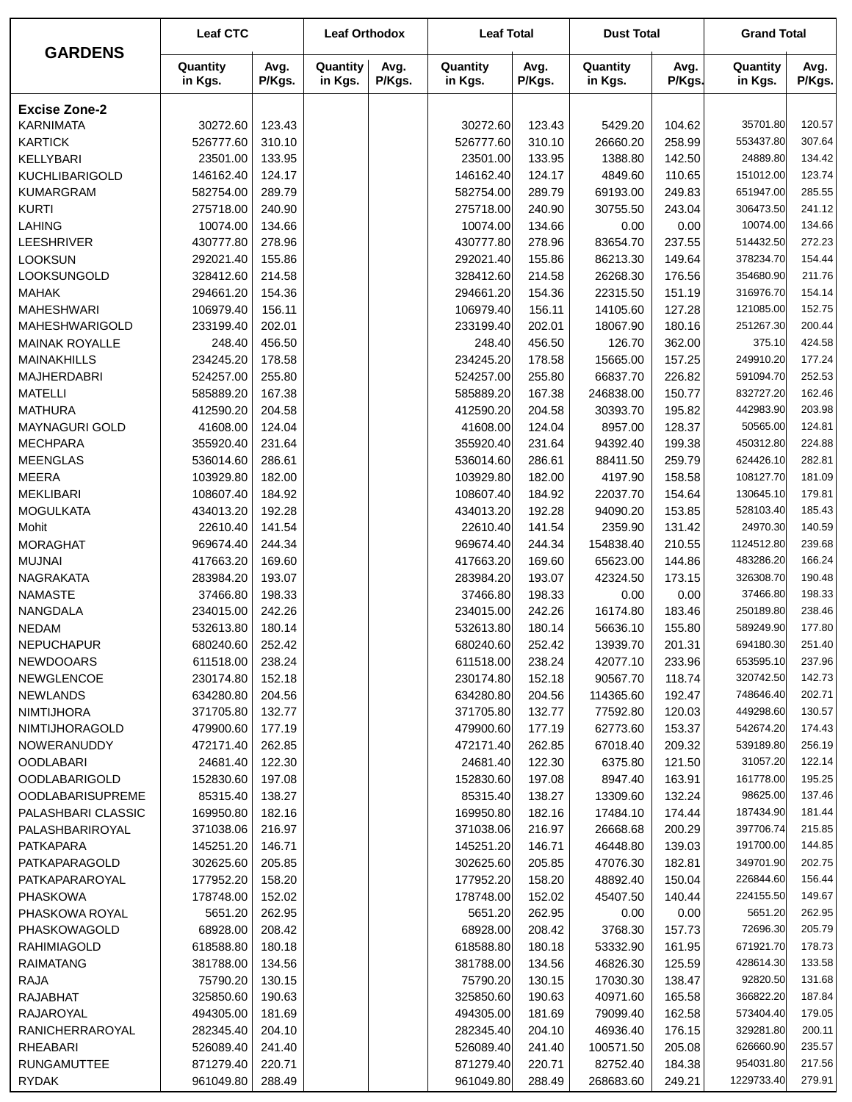|                         | <b>Leaf CTC</b>     |                | <b>Leaf Orthodox</b> |                | <b>Leaf Total</b>   |                | <b>Dust Total</b>   |                | <b>Grand Total</b>  |                |
|-------------------------|---------------------|----------------|----------------------|----------------|---------------------|----------------|---------------------|----------------|---------------------|----------------|
| <b>GARDENS</b>          | Quantity<br>in Kgs. | Avg.<br>P/Kgs. | Quantity<br>in Kgs.  | Avg.<br>P/Kgs. | Quantity<br>in Kgs. | Avg.<br>P/Kgs. | Quantity<br>in Kgs. | Avg.<br>P/Kgs. | Quantity<br>in Kgs. | Avg.<br>P/Kgs. |
| <b>Excise Zone-2</b>    |                     |                |                      |                |                     |                |                     |                |                     |                |
| <b>KARNIMATA</b>        | 30272.60            | 123.43         |                      |                | 30272.60            | 123.43         | 5429.20             | 104.62         | 35701.80            | 120.57         |
| <b>KARTICK</b>          | 526777.60           | 310.10         |                      |                | 526777.60           | 310.10         | 26660.20            | 258.99         | 553437.80           | 307.64         |
| KELLYBARI               | 23501.00            | 133.95         |                      |                | 23501.00            | 133.95         | 1388.80             | 142.50         | 24889.80            | 134.42         |
| <b>KUCHLIBARIGOLD</b>   | 146162.40           | 124.17         |                      |                | 146162.40           | 124.17         | 4849.60             | 110.65         | 151012.00           | 123.74         |
| <b>KUMARGRAM</b>        | 582754.00           | 289.79         |                      |                | 582754.00           | 289.79         | 69193.00            | 249.83         | 651947.00           | 285.55         |
| <b>KURTI</b>            | 275718.00           | 240.90         |                      |                | 275718.00           | 240.90         | 30755.50            | 243.04         | 306473.50           | 241.12         |
| <b>LAHING</b>           | 10074.00            | 134.66         |                      |                | 10074.00            | 134.66         | 0.00                | 0.00           | 10074.00            | 134.66         |
| LEESHRIVER              | 430777.80           | 278.96         |                      |                | 430777.80           | 278.96         | 83654.70            | 237.55         | 514432.50           | 272.23         |
| <b>LOOKSUN</b>          | 292021.40           | 155.86         |                      |                | 292021.40           | 155.86         | 86213.30            | 149.64         | 378234.70           | 154.44         |
| LOOKSUNGOLD             | 328412.60           | 214.58         |                      |                | 328412.60           | 214.58         | 26268.30            | 176.56         | 354680.90           | 211.76         |
| <b>MAHAK</b>            | 294661.20           | 154.36         |                      |                | 294661.20           | 154.36         | 22315.50            | 151.19         | 316976.70           | 154.14         |
| <b>MAHESHWARI</b>       | 106979.40           | 156.11         |                      |                | 106979.40           | 156.11         | 14105.60            | 127.28         | 121085.00           | 152.75         |
| MAHESHWARIGOLD          | 233199.40           | 202.01         |                      |                | 233199.40           | 202.01         | 18067.90            | 180.16         | 251267.30           | 200.44         |
| <b>MAINAK ROYALLE</b>   | 248.40              | 456.50         |                      |                | 248.40              | 456.50         | 126.70              | 362.00         | 375.10              | 424.58         |
| <b>MAINAKHILLS</b>      | 234245.20           | 178.58         |                      |                | 234245.20           | 178.58         | 15665.00            | 157.25         | 249910.20           | 177.24         |
| <b>MAJHERDABRI</b>      | 524257.00           | 255.80         |                      |                | 524257.00           | 255.80         | 66837.70            | 226.82         | 591094.70           | 252.53         |
| <b>MATELLI</b>          | 585889.20           | 167.38         |                      |                | 585889.20           | 167.38         | 246838.00           | 150.77         | 832727.20           | 162.46         |
| <b>MATHURA</b>          | 412590.20           | 204.58         |                      |                | 412590.20           | 204.58         | 30393.70            | 195.82         | 442983.90           | 203.98         |
| MAYNAGURI GOLD          | 41608.00            | 124.04         |                      |                | 41608.00            | 124.04         | 8957.00             | 128.37         | 50565.00            | 124.81         |
| <b>MECHPARA</b>         | 355920.40           | 231.64         |                      |                | 355920.40           | 231.64         | 94392.40            | 199.38         | 450312.80           | 224.88         |
| <b>MEENGLAS</b>         | 536014.60           | 286.61         |                      |                | 536014.60           | 286.61         | 88411.50            | 259.79         | 624426.10           | 282.81         |
| <b>MEERA</b>            | 103929.80           | 182.00         |                      |                | 103929.80           | 182.00         | 4197.90             | 158.58         | 108127.70           | 181.09         |
| <b>MEKLIBARI</b>        | 108607.40           | 184.92         |                      |                | 108607.40           | 184.92         | 22037.70            | 154.64         | 130645.10           | 179.81         |
| <b>MOGULKATA</b>        | 434013.20           | 192.28         |                      |                | 434013.20           | 192.28         | 94090.20            | 153.85         | 528103.40           | 185.43         |
| Mohit                   | 22610.40            | 141.54         |                      |                | 22610.40            | 141.54         | 2359.90             | 131.42         | 24970.30            | 140.59         |
| <b>MORAGHAT</b>         | 969674.40           | 244.34         |                      |                | 969674.40           | 244.34         | 154838.40           | 210.55         | 1124512.80          | 239.68         |
| <b>MUJNAI</b>           | 417663.20           | 169.60         |                      |                | 417663.20           | 169.60         | 65623.00            | 144.86         | 483286.20           | 166.24         |
| <b>NAGRAKATA</b>        | 283984.20           | 193.07         |                      |                | 283984.20           | 193.07         | 42324.50            | 173.15         | 326308.70           | 190.48         |
| <b>NAMASTE</b>          | 37466.80            | 198.33         |                      |                | 37466.80            | 198.33         | 0.00                | 0.00           | 37466.80            | 198.33         |
| NANGDALA                | 234015.00           | 242.26         |                      |                | 234015.00           | 242.26         | 16174.80            | 183.46         | 250189.80           | 238.46         |
| <b>NEDAM</b>            | 532613.80           | 180.14         |                      |                | 532613.80           | 180.14         | 56636.10            | 155.80         | 589249.90           | 177.80         |
| <b>NEPUCHAPUR</b>       | 680240.60           | 252.42         |                      |                | 680240.60           | 252.42         | 13939.70            | 201.31         | 694180.30           | 251.40         |
| <b>NEWDOOARS</b>        | 611518.00           | 238.24         |                      |                | 611518.00           | 238.24         | 42077.10            | 233.96         | 653595.10           | 237.96         |
| NEWGLENCOE              | 230174.80           | 152.18         |                      |                | 230174.80           | 152.18         | 90567.70            | 118.74         | 320742.50           | 142.73         |
| <b>NEWLANDS</b>         | 634280.80           | 204.56         |                      |                | 634280.80           | 204.56         | 114365.60           | 192.47         | 748646.40           | 202.71         |
| <b>NIMTIJHORA</b>       | 371705.80           | 132.77         |                      |                | 371705.80           | 132.77         | 77592.80            | 120.03         | 449298.60           | 130.57         |
| NIMTIJHORAGOLD          | 479900.60           | 177.19         |                      |                | 479900.60           | 177.19         | 62773.60            | 153.37         | 542674.20           | 174.43         |
| <b>NOWERANUDDY</b>      | 472171.40           | 262.85         |                      |                | 472171.40           | 262.85         | 67018.40            | 209.32         | 539189.80           | 256.19         |
| <b>OODLABARI</b>        | 24681.40            | 122.30         |                      |                | 24681.40            | 122.30         | 6375.80             | 121.50         | 31057.20            | 122.14         |
| <b>OODLABARIGOLD</b>    | 152830.60           | 197.08         |                      |                | 152830.60           | 197.08         | 8947.40             | 163.91         | 161778.00           | 195.25         |
| <b>OODLABARISUPREME</b> | 85315.40            | 138.27         |                      |                | 85315.40            | 138.27         | 13309.60            | 132.24         | 98625.00            | 137.46         |
| PALASHBARI CLASSIC      | 169950.80           | 182.16         |                      |                | 169950.80           | 182.16         | 17484.10            | 174.44         | 187434.90           | 181.44         |
| PALASHBARIROYAL         | 371038.06           | 216.97         |                      |                | 371038.06           | 216.97         | 26668.68            | 200.29         | 397706.74           | 215.85         |
| <b>PATKAPARA</b>        | 145251.20           | 146.71         |                      |                | 145251.20           | 146.71         | 46448.80            | 139.03         | 191700.00           | 144.85         |
| PATKAPARAGOLD           | 302625.60           | 205.85         |                      |                | 302625.60           | 205.85         | 47076.30            | 182.81         | 349701.90           | 202.75         |
| PATKAPARAROYAL          | 177952.20           | 158.20         |                      |                | 177952.20           | 158.20         | 48892.40            | 150.04         | 226844.60           | 156.44         |
| <b>PHASKOWA</b>         | 178748.00           | 152.02         |                      |                | 178748.00           | 152.02         | 45407.50            | 140.44         | 224155.50           | 149.67         |
| PHASKOWA ROYAL          | 5651.20             | 262.95         |                      |                | 5651.20             | 262.95         | 0.00                | 0.00           | 5651.20             | 262.95         |
| PHASKOWAGOLD            | 68928.00            | 208.42         |                      |                | 68928.00            | 208.42         | 3768.30             | 157.73         | 72696.30            | 205.79         |
| RAHIMIAGOLD             | 618588.80           | 180.18         |                      |                | 618588.80           | 180.18         | 53332.90            | 161.95         | 671921.70           | 178.73         |
| <b>RAIMATANG</b>        | 381788.00           | 134.56         |                      |                | 381788.00           | 134.56         | 46826.30            | 125.59         | 428614.30           | 133.58         |
| <b>RAJA</b>             | 75790.20            | 130.15         |                      |                | 75790.20            | 130.15         | 17030.30            | 138.47         | 92820.50            | 131.68         |
| <b>RAJABHAT</b>         | 325850.60           | 190.63         |                      |                | 325850.60           | 190.63         | 40971.60            | 165.58         | 366822.20           | 187.84         |
| RAJAROYAL               | 494305.00           | 181.69         |                      |                | 494305.00           | 181.69         | 79099.40            | 162.58         | 573404.40           | 179.05         |
| RANICHERRAROYAL         | 282345.40           | 204.10         |                      |                | 282345.40           | 204.10         | 46936.40            | 176.15         | 329281.80           | 200.11         |
| <b>RHEABARI</b>         | 526089.40           | 241.40         |                      |                | 526089.40           | 241.40         | 100571.50           | 205.08         | 626660.90           | 235.57         |
| <b>RUNGAMUTTEE</b>      | 871279.40           | 220.71         |                      |                | 871279.40           | 220.71         | 82752.40            | 184.38         | 954031.80           | 217.56         |
| <b>RYDAK</b>            | 961049.80           | 288.49         |                      |                | 961049.80           | 288.49         | 268683.60           | 249.21         | 1229733.40          | 279.91         |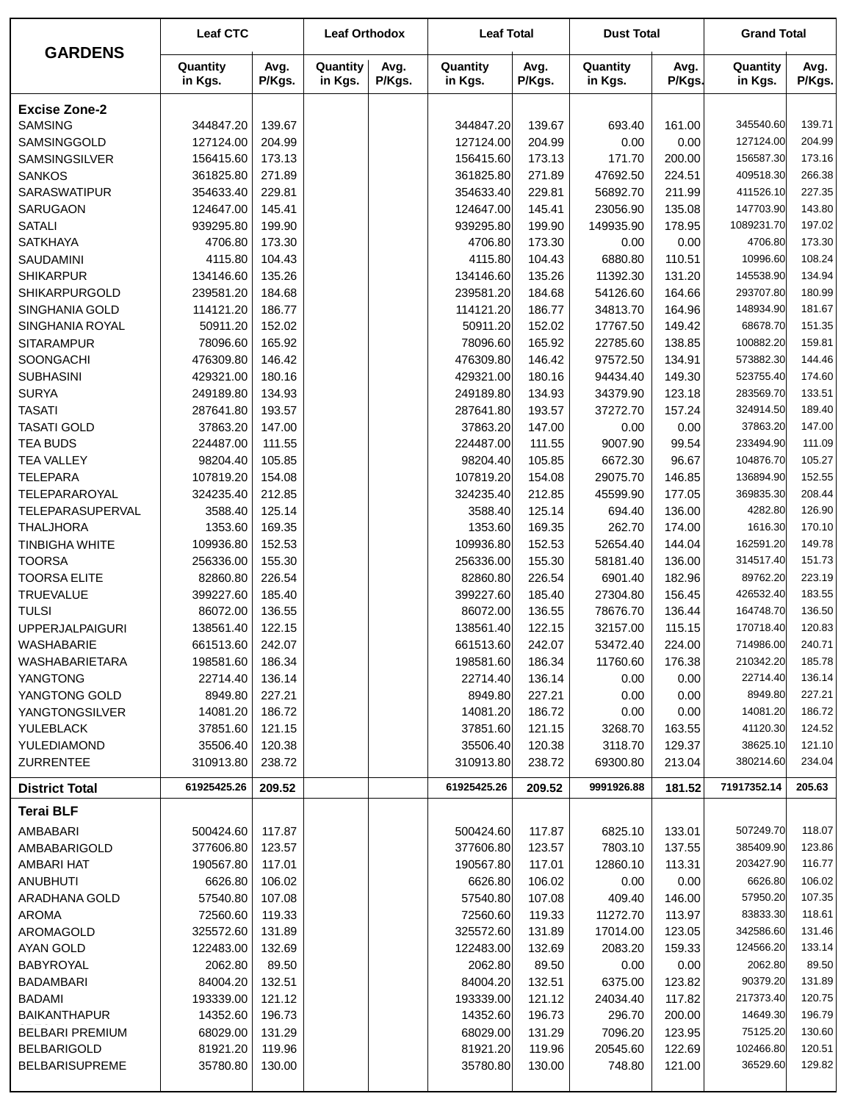| <b>GARDENS</b>                         | <b>Leaf CTC</b>       |                  | <b>Leaf Orthodox</b> |                | <b>Leaf Total</b>     |                  | <b>Dust Total</b>    |                  | <b>Grand Total</b>     |                  |
|----------------------------------------|-----------------------|------------------|----------------------|----------------|-----------------------|------------------|----------------------|------------------|------------------------|------------------|
|                                        | Quantity<br>in Kgs.   | Avg.<br>P/Kgs.   | Quantity<br>in Kgs.  | Avg.<br>P/Kgs. | Quantity<br>in Kgs.   | Avg.<br>P/Kgs.   | Quantity<br>in Kgs.  | Avg.<br>P/Kgs.   | Quantity<br>in Kgs.    | Avg.<br>P/Kgs.   |
| <b>Excise Zone-2</b>                   |                       |                  |                      |                |                       |                  |                      |                  |                        |                  |
| <b>SAMSING</b>                         | 344847.20             | 139.67           |                      |                | 344847.20             | 139.67           | 693.40               | 161.00           | 345540.60              | 139.71           |
| SAMSINGGOLD                            | 127124.00             | 204.99           |                      |                | 127124.00             | 204.99           | 0.00                 | 0.00             | 127124.00              | 204.99           |
| SAMSINGSILVER                          | 156415.60             | 173.13           |                      |                | 156415.60             | 173.13           | 171.70               | 200.00           | 156587.30              | 173.16           |
| <b>SANKOS</b>                          | 361825.80             | 271.89           |                      |                | 361825.80             | 271.89           | 47692.50             | 224.51           | 409518.30              | 266.38           |
| <b>SARASWATIPUR</b>                    | 354633.40             | 229.81           |                      |                | 354633.40             | 229.81           | 56892.70             | 211.99           | 411526.10              | 227.35           |
| SARUGAON                               | 124647.00             | 145.41           |                      |                | 124647.00             | 145.41           | 23056.90             | 135.08           | 147703.90              | 143.80           |
| <b>SATALI</b>                          | 939295.80             | 199.90           |                      |                | 939295.80             | 199.90           | 149935.90            | 178.95           | 1089231.70             | 197.02           |
| <b>SATKHAYA</b>                        | 4706.80               | 173.30           |                      |                | 4706.80               | 173.30           | 0.00                 | 0.00             | 4706.80                | 173.30           |
| <b>SAUDAMINI</b>                       | 4115.80               | 104.43           |                      |                | 4115.80               | 104.43           | 6880.80              | 110.51           | 10996.60               | 108.24           |
| <b>SHIKARPUR</b>                       | 134146.60             | 135.26           |                      |                | 134146.60             | 135.26           | 11392.30             | 131.20           | 145538.90              | 134.94           |
| SHIKARPURGOLD                          | 239581.20             | 184.68<br>186.77 |                      |                | 239581.20             | 184.68           | 54126.60             | 164.66           | 293707.80<br>148934.90 | 180.99<br>181.67 |
| SINGHANIA GOLD<br>SINGHANIA ROYAL      | 114121.20<br>50911.20 | 152.02           |                      |                | 114121.20<br>50911.20 | 186.77<br>152.02 | 34813.70<br>17767.50 | 164.96<br>149.42 | 68678.70               | 151.35           |
| <b>SITARAMPUR</b>                      | 78096.60              | 165.92           |                      |                | 78096.60              | 165.92           | 22785.60             | 138.85           | 100882.20              | 159.81           |
| SOONGACHI                              | 476309.80             | 146.42           |                      |                | 476309.80             | 146.42           | 97572.50             | 134.91           | 573882.30              | 144.46           |
| <b>SUBHASINI</b>                       | 429321.00             | 180.16           |                      |                | 429321.00             | 180.16           | 94434.40             | 149.30           | 523755.40              | 174.60           |
| <b>SURYA</b>                           | 249189.80             | 134.93           |                      |                | 249189.80             | 134.93           | 34379.90             | 123.18           | 283569.70              | 133.51           |
| <b>TASATI</b>                          | 287641.80             | 193.57           |                      |                | 287641.80             | 193.57           | 37272.70             | 157.24           | 324914.50              | 189.40           |
| <b>TASATI GOLD</b>                     | 37863.20              | 147.00           |                      |                | 37863.20              | 147.00           | 0.00                 | 0.00             | 37863.20               | 147.00           |
| <b>TEA BUDS</b>                        | 224487.00             | 111.55           |                      |                | 224487.00             | 111.55           | 9007.90              | 99.54            | 233494.90              | 111.09           |
| <b>TEA VALLEY</b>                      | 98204.40              | 105.85           |                      |                | 98204.40              | 105.85           | 6672.30              | 96.67            | 104876.70              | 105.27           |
| <b>TELEPARA</b>                        | 107819.20             | 154.08           |                      |                | 107819.20             | 154.08           | 29075.70             | 146.85           | 136894.90              | 152.55           |
| TELEPARAROYAL                          | 324235.40             | 212.85           |                      |                | 324235.40             | 212.85           | 45599.90             | 177.05           | 369835.30              | 208.44           |
| TELEPARASUPERVAL                       | 3588.40               | 125.14           |                      |                | 3588.40               | 125.14           | 694.40               | 136.00           | 4282.80                | 126.90           |
| <b>THALJHORA</b>                       | 1353.60               | 169.35           |                      |                | 1353.60               | 169.35           | 262.70               | 174.00           | 1616.30                | 170.10           |
| <b>TINBIGHA WHITE</b>                  | 109936.80             | 152.53           |                      |                | 109936.80             | 152.53           | 52654.40             | 144.04           | 162591.20              | 149.78           |
| <b>TOORSA</b>                          | 256336.00             | 155.30           |                      |                | 256336.00             | 155.30           | 58181.40             | 136.00           | 314517.40              | 151.73           |
| <b>TOORSA ELITE</b>                    | 82860.80              | 226.54           |                      |                | 82860.80              | 226.54           | 6901.40              | 182.96           | 89762.20               | 223.19           |
| <b>TRUEVALUE</b>                       | 399227.60             | 185.40           |                      |                | 399227.60             | 185.40           | 27304.80             | 156.45           | 426532.40              | 183.55           |
| <b>TULSI</b>                           | 86072.00              | 136.55           |                      |                | 86072.00              | 136.55           | 78676.70             | 136.44           | 164748.70              | 136.50           |
| <b>UPPERJALPAIGURI</b>                 | 138561.40             | 122.15           |                      |                | 138561.40             | 122.15           | 32157.00             | 115.15           | 170718.40              | 120.83           |
| WASHABARIE                             | 661513.60             | 242.07           |                      |                | 661513.60             | 242.07           | 53472.40             | 224.00           | 714986.00              | 240.71           |
| WASHABARIETARA                         | 198581.60             | 186.34           |                      |                | 198581.60             | 186.34           | 11760.60             | 176.38           | 210342.20              | 185.78           |
| YANGTONG                               | 22714.40<br>8949.80   | 136.14           |                      |                | 22714.40<br>8949.80   | 136.14           | 0.00                 | 0.00             | 22714.40<br>8949.80    | 136.14<br>227.21 |
| YANGTONG GOLD<br><b>YANGTONGSILVER</b> | 14081.20              | 227.21<br>186.72 |                      |                | 14081.20              | 227.21<br>186.72 | 0.00<br>0.00         | 0.00<br>0.00     | 14081.20               | 186.72           |
| YULEBLACK                              | 37851.60              | 121.15           |                      |                | 37851.60              | 121.15           | 3268.70              | 163.55           | 41120.30               | 124.52           |
| YULEDIAMOND                            | 35506.40              | 120.38           |                      |                | 35506.40              | 120.38           | 3118.70              | 129.37           | 38625.10               | 121.10           |
| <b>ZURRENTEE</b>                       | 310913.80             | 238.72           |                      |                | 310913.80             | 238.72           | 69300.80             | 213.04           | 380214.60              | 234.04           |
|                                        |                       |                  |                      |                |                       |                  |                      |                  |                        |                  |
| <b>District Total</b>                  | 61925425.26           | 209.52           |                      |                | 61925425.26           | 209.52           | 9991926.88           | 181.52           | 71917352.14            | 205.63           |
| <b>Terai BLF</b>                       |                       |                  |                      |                |                       |                  |                      |                  |                        |                  |
| AMBABARI                               | 500424.60             | 117.87           |                      |                | 500424.60             | 117.87           | 6825.10              | 133.01           | 507249.70              | 118.07           |
| AMBABARIGOLD                           | 377606.80             | 123.57           |                      |                | 377606.80             | 123.57           | 7803.10              | 137.55           | 385409.90              | 123.86           |
| AMBARI HAT                             | 190567.80             | 117.01           |                      |                | 190567.80             | 117.01           | 12860.10             | 113.31           | 203427.90              | 116.77           |
| <b>ANUBHUTI</b>                        | 6626.80               | 106.02           |                      |                | 6626.80               | 106.02           | 0.00                 | 0.00             | 6626.80                | 106.02<br>107.35 |
| ARADHANA GOLD                          | 57540.80<br>72560.60  | 107.08<br>119.33 |                      |                | 57540.80<br>72560.60  | 107.08<br>119.33 | 409.40<br>11272.70   | 146.00<br>113.97 | 57950.20<br>83833.30   | 118.61           |
| <b>AROMA</b><br>AROMAGOLD              | 325572.60             | 131.89           |                      |                | 325572.60             | 131.89           | 17014.00             | 123.05           | 342586.60              | 131.46           |
| AYAN GOLD                              | 122483.00             | 132.69           |                      |                | 122483.00             | 132.69           | 2083.20              | 159.33           | 124566.20              | 133.14           |
| <b>BABYROYAL</b>                       | 2062.80               | 89.50            |                      |                | 2062.80               | 89.50            | 0.00                 | 0.00             | 2062.80                | 89.50            |
| <b>BADAMBARI</b>                       | 84004.20              | 132.51           |                      |                | 84004.20              | 132.51           | 6375.00              | 123.82           | 90379.20               | 131.89           |
| <b>BADAMI</b>                          | 193339.00             | 121.12           |                      |                | 193339.00             | 121.12           | 24034.40             | 117.82           | 217373.40              | 120.75           |
| <b>BAIKANTHAPUR</b>                    | 14352.60              | 196.73           |                      |                | 14352.60              | 196.73           | 296.70               | 200.00           | 14649.30               | 196.79           |
| <b>BELBARI PREMIUM</b>                 | 68029.00              | 131.29           |                      |                | 68029.00              | 131.29           | 7096.20              | 123.95           | 75125.20               | 130.60           |
| <b>BELBARIGOLD</b>                     | 81921.20              | 119.96           |                      |                | 81921.20              | 119.96           | 20545.60             | 122.69           | 102466.80              | 120.51           |
| <b>BELBARISUPREME</b>                  | 35780.80              | 130.00           |                      |                | 35780.80              | 130.00           | 748.80               | 121.00           | 36529.60               | 129.82           |
|                                        |                       |                  |                      |                |                       |                  |                      |                  |                        |                  |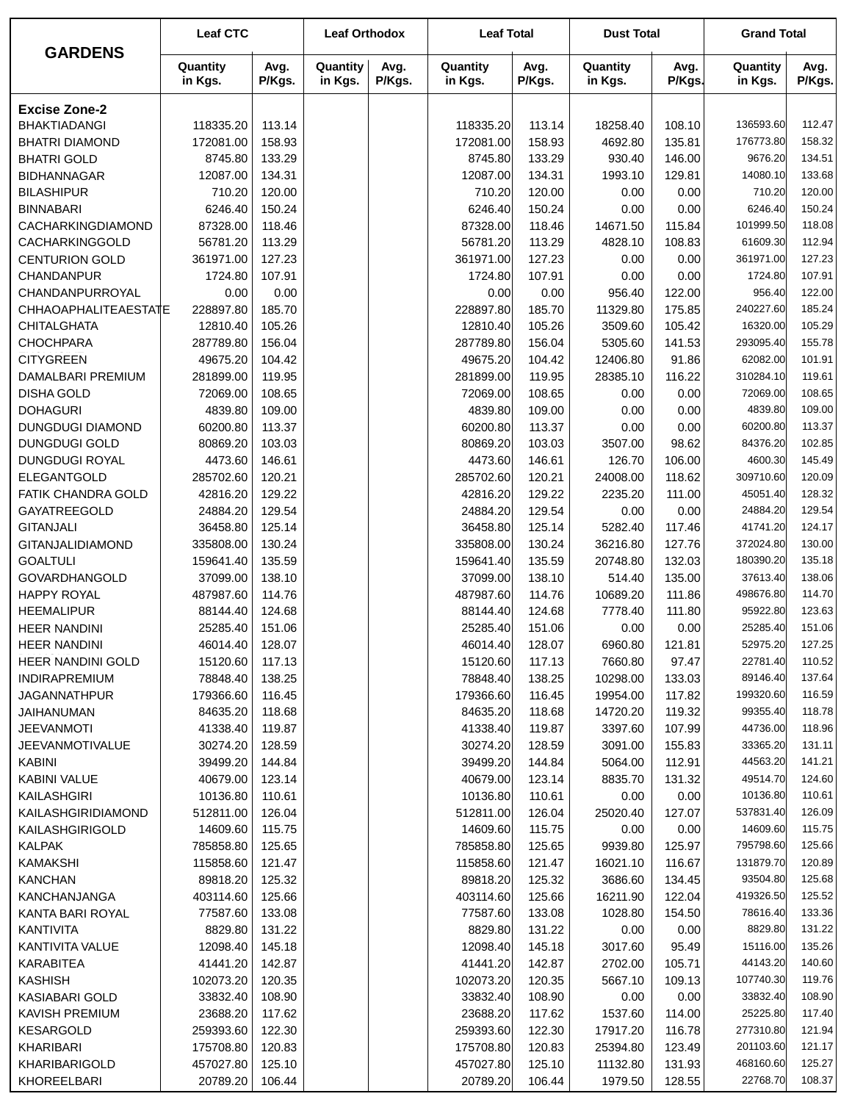|                                            | <b>Leaf CTC</b>       |                  | <b>Leaf Orthodox</b> |                | <b>Leaf Total</b>     |                  | <b>Dust Total</b>   |                  | <b>Grand Total</b>    |                  |
|--------------------------------------------|-----------------------|------------------|----------------------|----------------|-----------------------|------------------|---------------------|------------------|-----------------------|------------------|
| <b>GARDENS</b>                             | Quantity<br>in Kgs.   | Avg.<br>P/Kgs.   | Quantity<br>in Kgs.  | Avg.<br>P/Kgs. | Quantity<br>in Kgs.   | Avg.<br>P/Kgs.   | Quantity<br>in Kgs. | Avg.<br>P/Kgs.   | Quantity<br>in Kgs.   | Avg.<br>P/Kgs.   |
| <b>Excise Zone-2</b>                       |                       |                  |                      |                |                       |                  |                     |                  |                       |                  |
| <b>BHAKTIADANGI</b>                        | 118335.20             | 113.14           |                      |                | 118335.20             | 113.14           | 18258.40            | 108.10           | 136593.60             | 112.47           |
| <b>BHATRI DIAMOND</b>                      | 172081.00             | 158.93           |                      |                | 172081.00             | 158.93           | 4692.80             | 135.81           | 176773.80             | 158.32           |
| <b>BHATRI GOLD</b>                         | 8745.80               | 133.29           |                      |                | 8745.80               | 133.29           | 930.40              | 146.00           | 9676.20               | 134.51           |
| <b>BIDHANNAGAR</b>                         | 12087.00              | 134.31           |                      |                | 12087.00              | 134.31           | 1993.10             | 129.81           | 14080.10              | 133.68           |
| <b>BILASHIPUR</b>                          | 710.20                | 120.00           |                      |                | 710.20                | 120.00           | 0.00                | 0.00             | 710.20                | 120.00           |
| <b>BINNABARI</b>                           | 6246.40               | 150.24           |                      |                | 6246.40               | 150.24           | 0.00                | 0.00             | 6246.40               | 150.24           |
| CACHARKINGDIAMOND                          | 87328.00              | 118.46           |                      |                | 87328.00              | 118.46           | 14671.50            | 115.84           | 101999.50             | 118.08           |
| CACHARKINGGOLD                             | 56781.20              | 113.29           |                      |                | 56781.20              | 113.29           | 4828.10             | 108.83           | 61609.30              | 112.94           |
| <b>CENTURION GOLD</b>                      | 361971.00             | 127.23           |                      |                | 361971.00             | 127.23           | 0.00                | 0.00             | 361971.00             | 127.23           |
| <b>CHANDANPUR</b>                          | 1724.80               | 107.91           |                      |                | 1724.80               | 107.91           | 0.00                | 0.00             | 1724.80               | 107.91           |
| CHANDANPURROYAL                            | 0.00                  | 0.00             |                      |                | 0.00                  | 0.00             | 956.40              | 122.00           | 956.40                | 122.00           |
| CHHAOAPHALITEAESTATE                       | 228897.80             | 185.70           |                      |                | 228897.80             | 185.70           | 11329.80            | 175.85           | 240227.60             | 185.24           |
| <b>CHITALGHATA</b>                         | 12810.40              | 105.26           |                      |                | 12810.40              | 105.26           | 3509.60             | 105.42           | 16320.00              | 105.29           |
| <b>CHOCHPARA</b>                           | 287789.80             | 156.04           |                      |                | 287789.80             | 156.04           | 5305.60             | 141.53           | 293095.40             | 155.78           |
| <b>CITYGREEN</b>                           | 49675.20              | 104.42           |                      |                | 49675.20              | 104.42           | 12406.80            | 91.86            | 62082.00              | 101.91           |
| DAMALBARI PREMIUM                          | 281899.00             | 119.95           |                      |                | 281899.00             | 119.95           | 28385.10            | 116.22           | 310284.10             | 119.61           |
| <b>DISHA GOLD</b>                          | 72069.00              | 108.65           |                      |                | 72069.00              | 108.65           | 0.00                | 0.00             | 72069.00              | 108.65           |
| <b>DOHAGURI</b>                            | 4839.80               | 109.00           |                      |                | 4839.80               | 109.00           | 0.00                | 0.00             | 4839.80               | 109.00           |
| <b>DUNGDUGI DIAMOND</b>                    | 60200.80              | 113.37           |                      |                | 60200.80              | 113.37           | 0.00                | 0.00             | 60200.80              | 113.37           |
| <b>DUNGDUGI GOLD</b>                       | 80869.20              | 103.03           |                      |                | 80869.20              | 103.03           | 3507.00             | 98.62            | 84376.20              | 102.85           |
| DUNGDUGI ROYAL                             | 4473.60               | 146.61           |                      |                | 4473.60               | 146.61           | 126.70              | 106.00           | 4600.30               | 145.49           |
| ELEGANTGOLD                                | 285702.60             | 120.21           |                      |                | 285702.60             | 120.21           | 24008.00            | 118.62           | 309710.60             | 120.09           |
| <b>FATIK CHANDRA GOLD</b>                  | 42816.20              | 129.22           |                      |                | 42816.20              | 129.22           | 2235.20             | 111.00           | 45051.40              | 128.32           |
| GAYATREEGOLD                               | 24884.20              | 129.54           |                      |                | 24884.20              | 129.54           | 0.00                | 0.00             | 24884.20              | 129.54           |
| <b>GITANJALI</b>                           | 36458.80              | 125.14           |                      |                | 36458.80              | 125.14           | 5282.40             | 117.46           | 41741.20              | 124.17           |
| GITANJALIDIAMOND                           | 335808.00             | 130.24           |                      |                | 335808.00             | 130.24           | 36216.80            | 127.76           | 372024.80             | 130.00           |
| <b>GOALTULI</b>                            | 159641.40             | 135.59<br>138.10 |                      |                | 159641.40             | 135.59           | 20748.80            | 132.03           | 180390.20<br>37613.40 | 135.18<br>138.06 |
| <b>GOVARDHANGOLD</b><br><b>HAPPY ROYAL</b> | 37099.00<br>487987.60 | 114.76           |                      |                | 37099.00<br>487987.60 | 138.10<br>114.76 | 514.40<br>10689.20  | 135.00<br>111.86 | 498676.80             | 114.70           |
| <b>HEEMALIPUR</b>                          | 88144.40              | 124.68           |                      |                | 88144.40              | 124.68           | 7778.40             | 111.80           | 95922.80              | 123.63           |
| <b>HEER NANDINI</b>                        | 25285.40              | 151.06           |                      |                | 25285.40              | 151.06           | 0.00                | 0.00             | 25285.40              | 151.06           |
| HEER NANDINI                               | 46014.40              | 128.07           |                      |                | 46014.40              | 128.07           | 6960.80             | 121.81           | 52975.20              | 127.25           |
| HEER NANDINI GOLD                          | 15120.60              | 117.13           |                      |                | 15120.60              | 117.13           | 7660.80             | 97.47            | 22781.40              | 110.52           |
| INDIRAPREMIUM                              | 78848.40              | 138.25           |                      |                | 78848.40              | 138.25           | 10298.00            | 133.03           | 89146.40              | 137.64           |
| <b>JAGANNATHPUR</b>                        | 179366.60             | 116.45           |                      |                | 179366.60             | 116.45           | 19954.00            | 117.82           | 199320.60             | 116.59           |
| JAIHANUMAN                                 | 84635.20              | 118.68           |                      |                | 84635.20              | 118.68           | 14720.20            | 119.32           | 99355.40              | 118.78           |
| <b>JEEVANMOTI</b>                          | 41338.40              | 119.87           |                      |                | 41338.40              | 119.87           | 3397.60             | 107.99           | 44736.00              | 118.96           |
| <b>JEEVANMOTIVALUE</b>                     | 30274.20              | 128.59           |                      |                | 30274.20              | 128.59           | 3091.00             | 155.83           | 33365.20              | 131.11           |
| <b>KABINI</b>                              | 39499.20              | 144.84           |                      |                | 39499.20              | 144.84           | 5064.00             | 112.91           | 44563.20              | 141.21           |
| <b>KABINI VALUE</b>                        | 40679.00              | 123.14           |                      |                | 40679.00              | 123.14           | 8835.70             | 131.32           | 49514.70              | 124.60           |
| KAILASHGIRI                                | 10136.80              | 110.61           |                      |                | 10136.80              | 110.61           | 0.00                | 0.00             | 10136.80              | 110.61           |
| KAILASHGIRIDIAMOND                         | 512811.00             | 126.04           |                      |                | 512811.00             | 126.04           | 25020.40            | 127.07           | 537831.40             | 126.09           |
| KAILASHGIRIGOLD                            | 14609.60              | 115.75           |                      |                | 14609.60              | 115.75           | 0.00                | 0.00             | 14609.60              | 115.75           |
| <b>KALPAK</b>                              | 785858.80             | 125.65           |                      |                | 785858.80             | 125.65           | 9939.80             | 125.97           | 795798.60             | 125.66           |
| <b>KAMAKSHI</b>                            | 115858.60             | 121.47           |                      |                | 115858.60             | 121.47           | 16021.10            | 116.67           | 131879.70             | 120.89           |
| KANCHAN                                    | 89818.20              | 125.32           |                      |                | 89818.20              | 125.32           | 3686.60             | 134.45           | 93504.80              | 125.68           |
| KANCHANJANGA                               | 403114.60             | 125.66           |                      |                | 403114.60             | 125.66           | 16211.90            | 122.04           | 419326.50             | 125.52           |
| KANTA BARI ROYAL                           | 77587.60              | 133.08           |                      |                | 77587.60              | 133.08           | 1028.80             | 154.50           | 78616.40              | 133.36           |
| KANTIVITA                                  | 8829.80               | 131.22           |                      |                | 8829.80               | 131.22           | 0.00                | 0.00             | 8829.80               | 131.22           |
| KANTIVITA VALUE                            | 12098.40              | 145.18           |                      |                | 12098.40              | 145.18           | 3017.60             | 95.49            | 15116.00              | 135.26           |
| <b>KARABITEA</b>                           | 41441.20              | 142.87           |                      |                | 41441.20              | 142.87           | 2702.00             | 105.71           | 44143.20              | 140.60           |
| <b>KASHISH</b>                             | 102073.20             | 120.35           |                      |                | 102073.20             | 120.35           | 5667.10             | 109.13           | 107740.30             | 119.76           |
| KASIABARI GOLD                             | 33832.40              | 108.90           |                      |                | 33832.40              | 108.90           | 0.00                | 0.00             | 33832.40              | 108.90           |
| KAVISH PREMIUM                             | 23688.20              | 117.62           |                      |                | 23688.20              | 117.62           | 1537.60             | 114.00           | 25225.80              | 117.40           |
| KESARGOLD                                  | 259393.60             | 122.30           |                      |                | 259393.60             | 122.30           | 17917.20            | 116.78           | 277310.80             | 121.94           |
| KHARIBARI                                  | 175708.80             | 120.83           |                      |                | 175708.80             | 120.83           | 25394.80            | 123.49           | 201103.60             | 121.17           |
| KHARIBARIGOLD                              | 457027.80             | 125.10           |                      |                | 457027.80             | 125.10           | 11132.80            | 131.93           | 468160.60             | 125.27           |
| KHOREELBARI                                | 20789.20              | 106.44           |                      |                | 20789.20              | 106.44           | 1979.50             | 128.55           | 22768.70              | 108.37           |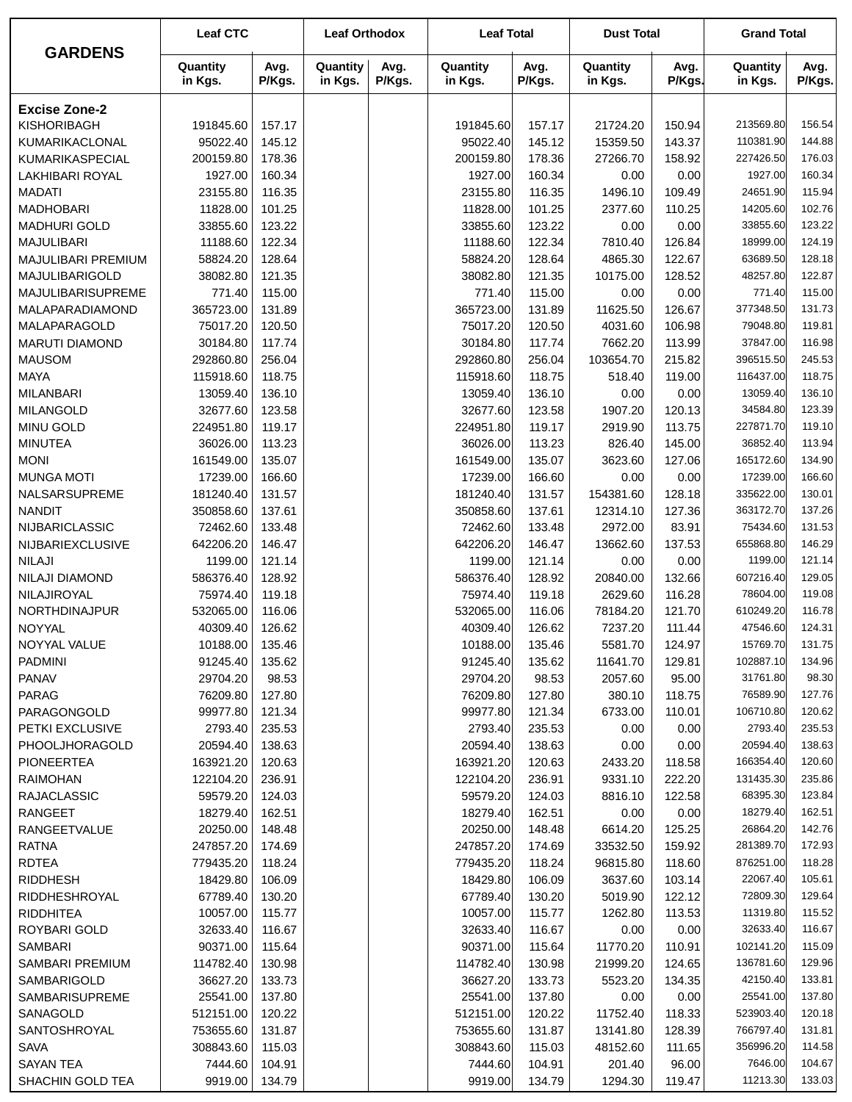| <b>GARDENS</b><br>Quantity<br>Quantity<br>Avg.<br>Quantity<br>Avg.<br>Avg.<br>Quantity<br>Avg.<br>Quantity<br>Avg.<br>in Kgs.<br>P/Kgs.<br>in Kgs.<br>P/Kgs.<br>in Kgs.<br>P/Kgs.<br>in Kgs.<br>P/Kgs.<br>in Kgs.<br>P/Kgs.<br><b>Excise Zone-2</b><br><b>KISHORIBAGH</b><br>191845.60<br>191845.60<br>157.17<br>21724.20<br>150.94<br>213569.80<br>156.54<br>157.17<br>95022.40<br>145.12<br>95022.40<br>145.12<br>15359.50<br>143.37<br>144.88<br>KUMARIKACLONAL<br>110381.90<br>200159.80<br>178.36<br>200159.80<br>178.36<br>227426.50<br>176.03<br>KUMARIKASPECIAL<br>27266.70<br>158.92<br>160.34<br>LAKHIBARI ROYAL<br>1927.00<br>160.34<br>160.34<br>0.00<br>1927.00<br>1927.00<br>0.00<br>109.49<br>24651.90<br>115.94<br><b>MADATI</b><br>23155.80<br>116.35<br>23155.80<br>116.35<br>1496.10<br>102.76<br><b>MADHOBARI</b><br>11828.00<br>101.25<br>11828.00<br>101.25<br>110.25<br>14205.60<br>2377.60<br><b>MADHURI GOLD</b><br>33855.60<br>123.22<br>33855.60<br>123.22<br>0.00<br>33855.60<br>123.22<br>0.00<br>124.19<br><b>MAJULIBARI</b><br>11188.60<br>122.34<br>11188.60<br>122.34<br>7810.40<br>126.84<br>18999.00<br>58824.20<br>128.64<br>58824.20<br>128.64<br>4865.30<br>122.67<br>128.18<br>MAJULIBARI PREMIUM<br>63689.50<br>MAJULIBARIGOLD<br>38082.80<br>121.35<br>121.35<br>128.52<br>48257.80<br>122.87<br>38082.80<br>10175.00<br>115.00<br><b>MAJULIBARISUPREME</b><br>771.40<br>115.00<br>115.00<br>771.40<br>771.40<br>0.00<br>0.00<br>377348.50<br>131.73<br>365723.00<br>131.89<br>365723.00<br>131.89<br>11625.50<br>126.67<br>MALAPARADIAMOND<br>119.81<br>MALAPARAGOLD<br>75017.20<br>120.50<br>75017.20<br>120.50<br>106.98<br>79048.80<br>4031.60<br>116.98<br>30184.80<br>117.74<br>30184.80<br>117.74<br>7662.20<br>113.99<br>37847.00<br><b>MARUTI DIAMOND</b><br>245.53<br>292860.80<br>256.04<br>292860.80<br>256.04<br>103654.70<br>215.82<br>396515.50<br><b>MAUSOM</b><br>118.75<br><b>MAYA</b><br>118.75<br>118.75<br>116437.00<br>115918.60<br>115918.60<br>518.40<br>119.00<br><b>MILANBARI</b><br>13059.40<br>136.10<br>136.10<br>0.00<br>13059.40<br>136.10<br>13059.40<br>0.00<br>123.39<br>32677.60<br>123.58<br>32677.60<br>123.58<br>1907.20<br>120.13<br>34584.80<br><b>MILANGOLD</b><br>119.10<br>119.17<br>119.17<br>113.75<br>227871.70<br><b>MINU GOLD</b><br>224951.80<br>224951.80<br>2919.90<br><b>MINUTEA</b><br>113.23<br>113.23<br>826.40<br>145.00<br>36852.40<br>113.94<br>36026.00<br>36026.00<br>134.90<br>161549.00<br>135.07<br>135.07<br>127.06<br>165172.60<br><b>MONI</b><br>161549.00<br>3623.60<br>166.60<br>166.60<br>0.00<br>17239.00<br>166.60<br><b>MUNGA MOTI</b><br>17239.00<br>17239.00<br>0.00<br>NALSARSUPREME<br>181240.40<br>131.57<br>181240.40<br>131.57<br>154381.60<br>128.18<br>335622.00<br>130.01<br><b>NANDIT</b><br>350858.60<br>137.61<br>350858.60<br>137.61<br>12314.10<br>127.36<br>363172.70<br>137.26<br>75434.60<br>131.53<br>NIJBARICLASSIC<br>72462.60<br>133.48<br>72462.60<br>133.48<br>2972.00<br>83.91<br>146.29<br>NIJBARIEXCLUSIVE<br>642206.20<br>146.47<br>642206.20<br>146.47<br>137.53<br>655868.80<br>13662.60<br><b>NILAJI</b><br>121.14<br>121.14<br>121.14<br>0.00<br>1199.00<br>1199.00<br>1199.00<br>0.00<br>129.05<br>586376.40<br>128.92<br>586376.40<br>128.92<br>20840.00<br>132.66<br>607216.40<br>NILAJI DIAMOND<br>75974.40<br>119.18<br>75974.40<br>119.18<br>2629.60<br>116.28<br>78604.00<br>119.08<br>NILAJIROYAL<br>NORTHDINAJPUR<br>532065.00<br>116.06<br>532065.00<br>116.06<br>78184.20<br>121.70<br>610249.20<br>116.78<br>NOYYAL<br>40309.40<br>126.62<br>40309.40<br>126.62<br>7237.20<br>111.44<br>47546.60<br>124.31<br>NOYYAL VALUE<br>10188.00<br>135.46<br>10188.00<br>135.46<br>5581.70<br>124.97<br>15769.70<br>131.75<br>91245.40<br>135.62<br>102887.10<br>134.96<br><b>PADMINI</b><br>91245.40<br>135.62<br>11641.70<br>129.81<br><b>PANAV</b><br>98.30<br>29704.20<br>98.53<br>29704.20<br>98.53<br>2057.60<br>95.00<br>31761.80<br>76209.80<br>127.80<br>127.80<br>118.75<br>76589.90<br>127.76<br>PARAG<br>76209.80<br>380.10<br>121.34<br>99977.80<br>99977.80<br>121.34<br>6733.00<br>PARAGONGOLD<br>110.01<br>106710.80<br>120.62<br>2793.40<br>235.53<br>2793.40<br>235.53<br>2793.40<br>235.53<br>PETKI EXCLUSIVE<br>0.00<br>0.00<br>20594.40<br>138.63<br>20594.40<br>138.63<br>0.00<br>0.00<br>20594.40<br>138.63<br><b>PHOOLJHORAGOLD</b><br><b>PIONEERTEA</b><br>120.63<br>163921.20<br>120.63<br>2433.20<br>118.58<br>166354.40<br>120.60<br>163921.20<br>122104.20<br>236.91<br>236.91<br>9331.10<br>222.20<br>131435.30<br>235.86<br><b>RAIMOHAN</b><br>122104.20<br>59579.20<br>124.03<br>59579.20<br>124.03<br>68395.30<br>123.84<br><b>RAJACLASSIC</b><br>8816.10<br>122.58<br>18279.40<br>162.51<br>18279.40<br>162.51<br>0.00<br>0.00<br>18279.40<br>162.51<br>RANGEET<br>RANGEETVALUE<br>20250.00<br>148.48<br>20250.00<br>148.48<br>6614.20<br>125.25<br>26864.20<br>142.76<br>281389.70<br>172.93<br><b>RATNA</b><br>247857.20<br>174.69<br>247857.20<br>174.69<br>33532.50<br>159.92<br><b>RDTEA</b><br>118.24<br>118.24<br>96815.80<br>118.60<br>876251.00<br>118.28<br>779435.20<br>779435.20<br><b>RIDDHESH</b><br>18429.80<br>106.09<br>18429.80<br>106.09<br>103.14<br>22067.40<br>105.61<br>3637.60<br>67789.40<br>130.20<br>67789.40<br>130.20<br>122.12<br>72809.30<br>129.64<br>RIDDHESHROYAL<br>5019.90<br>10057.00<br>115.77<br>10057.00<br>115.77<br>113.53<br>11319.80<br>115.52<br><b>RIDDHITEA</b><br>1262.80<br>ROYBARI GOLD<br>32633.40<br>116.67<br>32633.40<br>116.67<br>0.00<br>0.00<br>32633.40<br>116.67<br>SAMBARI<br>90371.00<br>115.64<br>90371.00<br>115.64<br>11770.20<br>110.91<br>102141.20<br>115.09<br>136781.60<br>129.96<br>SAMBARI PREMIUM<br>114782.40<br>130.98<br>114782.40<br>130.98<br>21999.20<br>124.65<br>SAMBARIGOLD<br>36627.20<br>133.73<br>36627.20<br>133.73<br>5523.20<br>134.35<br>42150.40<br>133.81<br>SAMBARISUPREME<br>25541.00<br>137.80<br>25541.00<br>137.80<br>0.00<br>0.00<br>25541.00<br>137.80<br>SANAGOLD<br>512151.00<br>120.22<br>512151.00<br>120.22<br>118.33<br>523903.40<br>120.18<br>11752.40<br>753655.60<br>131.87<br>753655.60<br>131.87<br>128.39<br>766797.40<br>131.81<br>SANTOSHROYAL<br>13141.80<br><b>SAVA</b><br>308843.60<br>115.03<br>308843.60<br>115.03<br>111.65<br>356996.20<br>114.58<br>48152.60<br>104.67<br><b>SAYAN TEA</b><br>7444.60<br>104.91<br>7444.60<br>104.91<br>96.00<br>7646.00<br>201.40<br>11213.30<br>133.03<br>SHACHIN GOLD TEA<br>9919.00<br>134.79<br>9919.00<br>134.79<br>1294.30<br>119.47 | <b>Leaf CTC</b> | <b>Leaf Orthodox</b> | <b>Leaf Total</b> | <b>Dust Total</b> | <b>Grand Total</b> |  |
|------------------------------------------------------------------------------------------------------------------------------------------------------------------------------------------------------------------------------------------------------------------------------------------------------------------------------------------------------------------------------------------------------------------------------------------------------------------------------------------------------------------------------------------------------------------------------------------------------------------------------------------------------------------------------------------------------------------------------------------------------------------------------------------------------------------------------------------------------------------------------------------------------------------------------------------------------------------------------------------------------------------------------------------------------------------------------------------------------------------------------------------------------------------------------------------------------------------------------------------------------------------------------------------------------------------------------------------------------------------------------------------------------------------------------------------------------------------------------------------------------------------------------------------------------------------------------------------------------------------------------------------------------------------------------------------------------------------------------------------------------------------------------------------------------------------------------------------------------------------------------------------------------------------------------------------------------------------------------------------------------------------------------------------------------------------------------------------------------------------------------------------------------------------------------------------------------------------------------------------------------------------------------------------------------------------------------------------------------------------------------------------------------------------------------------------------------------------------------------------------------------------------------------------------------------------------------------------------------------------------------------------------------------------------------------------------------------------------------------------------------------------------------------------------------------------------------------------------------------------------------------------------------------------------------------------------------------------------------------------------------------------------------------------------------------------------------------------------------------------------------------------------------------------------------------------------------------------------------------------------------------------------------------------------------------------------------------------------------------------------------------------------------------------------------------------------------------------------------------------------------------------------------------------------------------------------------------------------------------------------------------------------------------------------------------------------------------------------------------------------------------------------------------------------------------------------------------------------------------------------------------------------------------------------------------------------------------------------------------------------------------------------------------------------------------------------------------------------------------------------------------------------------------------------------------------------------------------------------------------------------------------------------------------------------------------------------------------------------------------------------------------------------------------------------------------------------------------------------------------------------------------------------------------------------------------------------------------------------------------------------------------------------------------------------------------------------------------------------------------------------------------------------------------------------------------------------------------------------------------------------------------------------------------------------------------------------------------------------------------------------------------------------------------------------------------------------------------------------------------------------------------------------------------------------------------------------------------------------------------------------------------------------------------------------------------------------------------------------------------------------------------------------------------------------------------------------------------------------------------------------------------------------------------------------------------------------------------------------------------------------------------------------------------------------------------------------------------------------------------------------------------------------------------------------------------------------------------------------------------------------------------------------------------------------------------------------------------------------------------------------------------------------------------------------------------------------------------------------------------------------------------------------------------------------------------------------------------------------------------------------------------------------------------------------------------------------------------------------------------------------------------------------------------------------------------------------------------------------------------------------------------------------------------------------------------------------------------|-----------------|----------------------|-------------------|-------------------|--------------------|--|
|                                                                                                                                                                                                                                                                                                                                                                                                                                                                                                                                                                                                                                                                                                                                                                                                                                                                                                                                                                                                                                                                                                                                                                                                                                                                                                                                                                                                                                                                                                                                                                                                                                                                                                                                                                                                                                                                                                                                                                                                                                                                                                                                                                                                                                                                                                                                                                                                                                                                                                                                                                                                                                                                                                                                                                                                                                                                                                                                                                                                                                                                                                                                                                                                                                                                                                                                                                                                                                                                                                                                                                                                                                                                                                                                                                                                                                                                                                                                                                                                                                                                                                                                                                                                                                                                                                                                                                                                                                                                                                                                                                                                                                                                                                                                                                                                                                                                                                                                                                                                                                                                                                                                                                                                                                                                                                                                                                                                                                                                                                                                                                                                                                                                                                                                                                                                                                                                                                                                                                                                                                                                                                                                                                                                                                                                                                                                                                                                                                                                                                                                                                                          |                 |                      |                   |                   |                    |  |
|                                                                                                                                                                                                                                                                                                                                                                                                                                                                                                                                                                                                                                                                                                                                                                                                                                                                                                                                                                                                                                                                                                                                                                                                                                                                                                                                                                                                                                                                                                                                                                                                                                                                                                                                                                                                                                                                                                                                                                                                                                                                                                                                                                                                                                                                                                                                                                                                                                                                                                                                                                                                                                                                                                                                                                                                                                                                                                                                                                                                                                                                                                                                                                                                                                                                                                                                                                                                                                                                                                                                                                                                                                                                                                                                                                                                                                                                                                                                                                                                                                                                                                                                                                                                                                                                                                                                                                                                                                                                                                                                                                                                                                                                                                                                                                                                                                                                                                                                                                                                                                                                                                                                                                                                                                                                                                                                                                                                                                                                                                                                                                                                                                                                                                                                                                                                                                                                                                                                                                                                                                                                                                                                                                                                                                                                                                                                                                                                                                                                                                                                                                                          |                 |                      |                   |                   |                    |  |
|                                                                                                                                                                                                                                                                                                                                                                                                                                                                                                                                                                                                                                                                                                                                                                                                                                                                                                                                                                                                                                                                                                                                                                                                                                                                                                                                                                                                                                                                                                                                                                                                                                                                                                                                                                                                                                                                                                                                                                                                                                                                                                                                                                                                                                                                                                                                                                                                                                                                                                                                                                                                                                                                                                                                                                                                                                                                                                                                                                                                                                                                                                                                                                                                                                                                                                                                                                                                                                                                                                                                                                                                                                                                                                                                                                                                                                                                                                                                                                                                                                                                                                                                                                                                                                                                                                                                                                                                                                                                                                                                                                                                                                                                                                                                                                                                                                                                                                                                                                                                                                                                                                                                                                                                                                                                                                                                                                                                                                                                                                                                                                                                                                                                                                                                                                                                                                                                                                                                                                                                                                                                                                                                                                                                                                                                                                                                                                                                                                                                                                                                                                                          |                 |                      |                   |                   |                    |  |
|                                                                                                                                                                                                                                                                                                                                                                                                                                                                                                                                                                                                                                                                                                                                                                                                                                                                                                                                                                                                                                                                                                                                                                                                                                                                                                                                                                                                                                                                                                                                                                                                                                                                                                                                                                                                                                                                                                                                                                                                                                                                                                                                                                                                                                                                                                                                                                                                                                                                                                                                                                                                                                                                                                                                                                                                                                                                                                                                                                                                                                                                                                                                                                                                                                                                                                                                                                                                                                                                                                                                                                                                                                                                                                                                                                                                                                                                                                                                                                                                                                                                                                                                                                                                                                                                                                                                                                                                                                                                                                                                                                                                                                                                                                                                                                                                                                                                                                                                                                                                                                                                                                                                                                                                                                                                                                                                                                                                                                                                                                                                                                                                                                                                                                                                                                                                                                                                                                                                                                                                                                                                                                                                                                                                                                                                                                                                                                                                                                                                                                                                                                                          |                 |                      |                   |                   |                    |  |
|                                                                                                                                                                                                                                                                                                                                                                                                                                                                                                                                                                                                                                                                                                                                                                                                                                                                                                                                                                                                                                                                                                                                                                                                                                                                                                                                                                                                                                                                                                                                                                                                                                                                                                                                                                                                                                                                                                                                                                                                                                                                                                                                                                                                                                                                                                                                                                                                                                                                                                                                                                                                                                                                                                                                                                                                                                                                                                                                                                                                                                                                                                                                                                                                                                                                                                                                                                                                                                                                                                                                                                                                                                                                                                                                                                                                                                                                                                                                                                                                                                                                                                                                                                                                                                                                                                                                                                                                                                                                                                                                                                                                                                                                                                                                                                                                                                                                                                                                                                                                                                                                                                                                                                                                                                                                                                                                                                                                                                                                                                                                                                                                                                                                                                                                                                                                                                                                                                                                                                                                                                                                                                                                                                                                                                                                                                                                                                                                                                                                                                                                                                                          |                 |                      |                   |                   |                    |  |
|                                                                                                                                                                                                                                                                                                                                                                                                                                                                                                                                                                                                                                                                                                                                                                                                                                                                                                                                                                                                                                                                                                                                                                                                                                                                                                                                                                                                                                                                                                                                                                                                                                                                                                                                                                                                                                                                                                                                                                                                                                                                                                                                                                                                                                                                                                                                                                                                                                                                                                                                                                                                                                                                                                                                                                                                                                                                                                                                                                                                                                                                                                                                                                                                                                                                                                                                                                                                                                                                                                                                                                                                                                                                                                                                                                                                                                                                                                                                                                                                                                                                                                                                                                                                                                                                                                                                                                                                                                                                                                                                                                                                                                                                                                                                                                                                                                                                                                                                                                                                                                                                                                                                                                                                                                                                                                                                                                                                                                                                                                                                                                                                                                                                                                                                                                                                                                                                                                                                                                                                                                                                                                                                                                                                                                                                                                                                                                                                                                                                                                                                                                                          |                 |                      |                   |                   |                    |  |
|                                                                                                                                                                                                                                                                                                                                                                                                                                                                                                                                                                                                                                                                                                                                                                                                                                                                                                                                                                                                                                                                                                                                                                                                                                                                                                                                                                                                                                                                                                                                                                                                                                                                                                                                                                                                                                                                                                                                                                                                                                                                                                                                                                                                                                                                                                                                                                                                                                                                                                                                                                                                                                                                                                                                                                                                                                                                                                                                                                                                                                                                                                                                                                                                                                                                                                                                                                                                                                                                                                                                                                                                                                                                                                                                                                                                                                                                                                                                                                                                                                                                                                                                                                                                                                                                                                                                                                                                                                                                                                                                                                                                                                                                                                                                                                                                                                                                                                                                                                                                                                                                                                                                                                                                                                                                                                                                                                                                                                                                                                                                                                                                                                                                                                                                                                                                                                                                                                                                                                                                                                                                                                                                                                                                                                                                                                                                                                                                                                                                                                                                                                                          |                 |                      |                   |                   |                    |  |
|                                                                                                                                                                                                                                                                                                                                                                                                                                                                                                                                                                                                                                                                                                                                                                                                                                                                                                                                                                                                                                                                                                                                                                                                                                                                                                                                                                                                                                                                                                                                                                                                                                                                                                                                                                                                                                                                                                                                                                                                                                                                                                                                                                                                                                                                                                                                                                                                                                                                                                                                                                                                                                                                                                                                                                                                                                                                                                                                                                                                                                                                                                                                                                                                                                                                                                                                                                                                                                                                                                                                                                                                                                                                                                                                                                                                                                                                                                                                                                                                                                                                                                                                                                                                                                                                                                                                                                                                                                                                                                                                                                                                                                                                                                                                                                                                                                                                                                                                                                                                                                                                                                                                                                                                                                                                                                                                                                                                                                                                                                                                                                                                                                                                                                                                                                                                                                                                                                                                                                                                                                                                                                                                                                                                                                                                                                                                                                                                                                                                                                                                                                                          |                 |                      |                   |                   |                    |  |
|                                                                                                                                                                                                                                                                                                                                                                                                                                                                                                                                                                                                                                                                                                                                                                                                                                                                                                                                                                                                                                                                                                                                                                                                                                                                                                                                                                                                                                                                                                                                                                                                                                                                                                                                                                                                                                                                                                                                                                                                                                                                                                                                                                                                                                                                                                                                                                                                                                                                                                                                                                                                                                                                                                                                                                                                                                                                                                                                                                                                                                                                                                                                                                                                                                                                                                                                                                                                                                                                                                                                                                                                                                                                                                                                                                                                                                                                                                                                                                                                                                                                                                                                                                                                                                                                                                                                                                                                                                                                                                                                                                                                                                                                                                                                                                                                                                                                                                                                                                                                                                                                                                                                                                                                                                                                                                                                                                                                                                                                                                                                                                                                                                                                                                                                                                                                                                                                                                                                                                                                                                                                                                                                                                                                                                                                                                                                                                                                                                                                                                                                                                                          |                 |                      |                   |                   |                    |  |
|                                                                                                                                                                                                                                                                                                                                                                                                                                                                                                                                                                                                                                                                                                                                                                                                                                                                                                                                                                                                                                                                                                                                                                                                                                                                                                                                                                                                                                                                                                                                                                                                                                                                                                                                                                                                                                                                                                                                                                                                                                                                                                                                                                                                                                                                                                                                                                                                                                                                                                                                                                                                                                                                                                                                                                                                                                                                                                                                                                                                                                                                                                                                                                                                                                                                                                                                                                                                                                                                                                                                                                                                                                                                                                                                                                                                                                                                                                                                                                                                                                                                                                                                                                                                                                                                                                                                                                                                                                                                                                                                                                                                                                                                                                                                                                                                                                                                                                                                                                                                                                                                                                                                                                                                                                                                                                                                                                                                                                                                                                                                                                                                                                                                                                                                                                                                                                                                                                                                                                                                                                                                                                                                                                                                                                                                                                                                                                                                                                                                                                                                                                                          |                 |                      |                   |                   |                    |  |
|                                                                                                                                                                                                                                                                                                                                                                                                                                                                                                                                                                                                                                                                                                                                                                                                                                                                                                                                                                                                                                                                                                                                                                                                                                                                                                                                                                                                                                                                                                                                                                                                                                                                                                                                                                                                                                                                                                                                                                                                                                                                                                                                                                                                                                                                                                                                                                                                                                                                                                                                                                                                                                                                                                                                                                                                                                                                                                                                                                                                                                                                                                                                                                                                                                                                                                                                                                                                                                                                                                                                                                                                                                                                                                                                                                                                                                                                                                                                                                                                                                                                                                                                                                                                                                                                                                                                                                                                                                                                                                                                                                                                                                                                                                                                                                                                                                                                                                                                                                                                                                                                                                                                                                                                                                                                                                                                                                                                                                                                                                                                                                                                                                                                                                                                                                                                                                                                                                                                                                                                                                                                                                                                                                                                                                                                                                                                                                                                                                                                                                                                                                                          |                 |                      |                   |                   |                    |  |
|                                                                                                                                                                                                                                                                                                                                                                                                                                                                                                                                                                                                                                                                                                                                                                                                                                                                                                                                                                                                                                                                                                                                                                                                                                                                                                                                                                                                                                                                                                                                                                                                                                                                                                                                                                                                                                                                                                                                                                                                                                                                                                                                                                                                                                                                                                                                                                                                                                                                                                                                                                                                                                                                                                                                                                                                                                                                                                                                                                                                                                                                                                                                                                                                                                                                                                                                                                                                                                                                                                                                                                                                                                                                                                                                                                                                                                                                                                                                                                                                                                                                                                                                                                                                                                                                                                                                                                                                                                                                                                                                                                                                                                                                                                                                                                                                                                                                                                                                                                                                                                                                                                                                                                                                                                                                                                                                                                                                                                                                                                                                                                                                                                                                                                                                                                                                                                                                                                                                                                                                                                                                                                                                                                                                                                                                                                                                                                                                                                                                                                                                                                                          |                 |                      |                   |                   |                    |  |
|                                                                                                                                                                                                                                                                                                                                                                                                                                                                                                                                                                                                                                                                                                                                                                                                                                                                                                                                                                                                                                                                                                                                                                                                                                                                                                                                                                                                                                                                                                                                                                                                                                                                                                                                                                                                                                                                                                                                                                                                                                                                                                                                                                                                                                                                                                                                                                                                                                                                                                                                                                                                                                                                                                                                                                                                                                                                                                                                                                                                                                                                                                                                                                                                                                                                                                                                                                                                                                                                                                                                                                                                                                                                                                                                                                                                                                                                                                                                                                                                                                                                                                                                                                                                                                                                                                                                                                                                                                                                                                                                                                                                                                                                                                                                                                                                                                                                                                                                                                                                                                                                                                                                                                                                                                                                                                                                                                                                                                                                                                                                                                                                                                                                                                                                                                                                                                                                                                                                                                                                                                                                                                                                                                                                                                                                                                                                                                                                                                                                                                                                                                                          |                 |                      |                   |                   |                    |  |
|                                                                                                                                                                                                                                                                                                                                                                                                                                                                                                                                                                                                                                                                                                                                                                                                                                                                                                                                                                                                                                                                                                                                                                                                                                                                                                                                                                                                                                                                                                                                                                                                                                                                                                                                                                                                                                                                                                                                                                                                                                                                                                                                                                                                                                                                                                                                                                                                                                                                                                                                                                                                                                                                                                                                                                                                                                                                                                                                                                                                                                                                                                                                                                                                                                                                                                                                                                                                                                                                                                                                                                                                                                                                                                                                                                                                                                                                                                                                                                                                                                                                                                                                                                                                                                                                                                                                                                                                                                                                                                                                                                                                                                                                                                                                                                                                                                                                                                                                                                                                                                                                                                                                                                                                                                                                                                                                                                                                                                                                                                                                                                                                                                                                                                                                                                                                                                                                                                                                                                                                                                                                                                                                                                                                                                                                                                                                                                                                                                                                                                                                                                                          |                 |                      |                   |                   |                    |  |
|                                                                                                                                                                                                                                                                                                                                                                                                                                                                                                                                                                                                                                                                                                                                                                                                                                                                                                                                                                                                                                                                                                                                                                                                                                                                                                                                                                                                                                                                                                                                                                                                                                                                                                                                                                                                                                                                                                                                                                                                                                                                                                                                                                                                                                                                                                                                                                                                                                                                                                                                                                                                                                                                                                                                                                                                                                                                                                                                                                                                                                                                                                                                                                                                                                                                                                                                                                                                                                                                                                                                                                                                                                                                                                                                                                                                                                                                                                                                                                                                                                                                                                                                                                                                                                                                                                                                                                                                                                                                                                                                                                                                                                                                                                                                                                                                                                                                                                                                                                                                                                                                                                                                                                                                                                                                                                                                                                                                                                                                                                                                                                                                                                                                                                                                                                                                                                                                                                                                                                                                                                                                                                                                                                                                                                                                                                                                                                                                                                                                                                                                                                                          |                 |                      |                   |                   |                    |  |
|                                                                                                                                                                                                                                                                                                                                                                                                                                                                                                                                                                                                                                                                                                                                                                                                                                                                                                                                                                                                                                                                                                                                                                                                                                                                                                                                                                                                                                                                                                                                                                                                                                                                                                                                                                                                                                                                                                                                                                                                                                                                                                                                                                                                                                                                                                                                                                                                                                                                                                                                                                                                                                                                                                                                                                                                                                                                                                                                                                                                                                                                                                                                                                                                                                                                                                                                                                                                                                                                                                                                                                                                                                                                                                                                                                                                                                                                                                                                                                                                                                                                                                                                                                                                                                                                                                                                                                                                                                                                                                                                                                                                                                                                                                                                                                                                                                                                                                                                                                                                                                                                                                                                                                                                                                                                                                                                                                                                                                                                                                                                                                                                                                                                                                                                                                                                                                                                                                                                                                                                                                                                                                                                                                                                                                                                                                                                                                                                                                                                                                                                                                                          |                 |                      |                   |                   |                    |  |
|                                                                                                                                                                                                                                                                                                                                                                                                                                                                                                                                                                                                                                                                                                                                                                                                                                                                                                                                                                                                                                                                                                                                                                                                                                                                                                                                                                                                                                                                                                                                                                                                                                                                                                                                                                                                                                                                                                                                                                                                                                                                                                                                                                                                                                                                                                                                                                                                                                                                                                                                                                                                                                                                                                                                                                                                                                                                                                                                                                                                                                                                                                                                                                                                                                                                                                                                                                                                                                                                                                                                                                                                                                                                                                                                                                                                                                                                                                                                                                                                                                                                                                                                                                                                                                                                                                                                                                                                                                                                                                                                                                                                                                                                                                                                                                                                                                                                                                                                                                                                                                                                                                                                                                                                                                                                                                                                                                                                                                                                                                                                                                                                                                                                                                                                                                                                                                                                                                                                                                                                                                                                                                                                                                                                                                                                                                                                                                                                                                                                                                                                                                                          |                 |                      |                   |                   |                    |  |
|                                                                                                                                                                                                                                                                                                                                                                                                                                                                                                                                                                                                                                                                                                                                                                                                                                                                                                                                                                                                                                                                                                                                                                                                                                                                                                                                                                                                                                                                                                                                                                                                                                                                                                                                                                                                                                                                                                                                                                                                                                                                                                                                                                                                                                                                                                                                                                                                                                                                                                                                                                                                                                                                                                                                                                                                                                                                                                                                                                                                                                                                                                                                                                                                                                                                                                                                                                                                                                                                                                                                                                                                                                                                                                                                                                                                                                                                                                                                                                                                                                                                                                                                                                                                                                                                                                                                                                                                                                                                                                                                                                                                                                                                                                                                                                                                                                                                                                                                                                                                                                                                                                                                                                                                                                                                                                                                                                                                                                                                                                                                                                                                                                                                                                                                                                                                                                                                                                                                                                                                                                                                                                                                                                                                                                                                                                                                                                                                                                                                                                                                                                                          |                 |                      |                   |                   |                    |  |
|                                                                                                                                                                                                                                                                                                                                                                                                                                                                                                                                                                                                                                                                                                                                                                                                                                                                                                                                                                                                                                                                                                                                                                                                                                                                                                                                                                                                                                                                                                                                                                                                                                                                                                                                                                                                                                                                                                                                                                                                                                                                                                                                                                                                                                                                                                                                                                                                                                                                                                                                                                                                                                                                                                                                                                                                                                                                                                                                                                                                                                                                                                                                                                                                                                                                                                                                                                                                                                                                                                                                                                                                                                                                                                                                                                                                                                                                                                                                                                                                                                                                                                                                                                                                                                                                                                                                                                                                                                                                                                                                                                                                                                                                                                                                                                                                                                                                                                                                                                                                                                                                                                                                                                                                                                                                                                                                                                                                                                                                                                                                                                                                                                                                                                                                                                                                                                                                                                                                                                                                                                                                                                                                                                                                                                                                                                                                                                                                                                                                                                                                                                                          |                 |                      |                   |                   |                    |  |
|                                                                                                                                                                                                                                                                                                                                                                                                                                                                                                                                                                                                                                                                                                                                                                                                                                                                                                                                                                                                                                                                                                                                                                                                                                                                                                                                                                                                                                                                                                                                                                                                                                                                                                                                                                                                                                                                                                                                                                                                                                                                                                                                                                                                                                                                                                                                                                                                                                                                                                                                                                                                                                                                                                                                                                                                                                                                                                                                                                                                                                                                                                                                                                                                                                                                                                                                                                                                                                                                                                                                                                                                                                                                                                                                                                                                                                                                                                                                                                                                                                                                                                                                                                                                                                                                                                                                                                                                                                                                                                                                                                                                                                                                                                                                                                                                                                                                                                                                                                                                                                                                                                                                                                                                                                                                                                                                                                                                                                                                                                                                                                                                                                                                                                                                                                                                                                                                                                                                                                                                                                                                                                                                                                                                                                                                                                                                                                                                                                                                                                                                                                                          |                 |                      |                   |                   |                    |  |
|                                                                                                                                                                                                                                                                                                                                                                                                                                                                                                                                                                                                                                                                                                                                                                                                                                                                                                                                                                                                                                                                                                                                                                                                                                                                                                                                                                                                                                                                                                                                                                                                                                                                                                                                                                                                                                                                                                                                                                                                                                                                                                                                                                                                                                                                                                                                                                                                                                                                                                                                                                                                                                                                                                                                                                                                                                                                                                                                                                                                                                                                                                                                                                                                                                                                                                                                                                                                                                                                                                                                                                                                                                                                                                                                                                                                                                                                                                                                                                                                                                                                                                                                                                                                                                                                                                                                                                                                                                                                                                                                                                                                                                                                                                                                                                                                                                                                                                                                                                                                                                                                                                                                                                                                                                                                                                                                                                                                                                                                                                                                                                                                                                                                                                                                                                                                                                                                                                                                                                                                                                                                                                                                                                                                                                                                                                                                                                                                                                                                                                                                                                                          |                 |                      |                   |                   |                    |  |
|                                                                                                                                                                                                                                                                                                                                                                                                                                                                                                                                                                                                                                                                                                                                                                                                                                                                                                                                                                                                                                                                                                                                                                                                                                                                                                                                                                                                                                                                                                                                                                                                                                                                                                                                                                                                                                                                                                                                                                                                                                                                                                                                                                                                                                                                                                                                                                                                                                                                                                                                                                                                                                                                                                                                                                                                                                                                                                                                                                                                                                                                                                                                                                                                                                                                                                                                                                                                                                                                                                                                                                                                                                                                                                                                                                                                                                                                                                                                                                                                                                                                                                                                                                                                                                                                                                                                                                                                                                                                                                                                                                                                                                                                                                                                                                                                                                                                                                                                                                                                                                                                                                                                                                                                                                                                                                                                                                                                                                                                                                                                                                                                                                                                                                                                                                                                                                                                                                                                                                                                                                                                                                                                                                                                                                                                                                                                                                                                                                                                                                                                                                                          |                 |                      |                   |                   |                    |  |
|                                                                                                                                                                                                                                                                                                                                                                                                                                                                                                                                                                                                                                                                                                                                                                                                                                                                                                                                                                                                                                                                                                                                                                                                                                                                                                                                                                                                                                                                                                                                                                                                                                                                                                                                                                                                                                                                                                                                                                                                                                                                                                                                                                                                                                                                                                                                                                                                                                                                                                                                                                                                                                                                                                                                                                                                                                                                                                                                                                                                                                                                                                                                                                                                                                                                                                                                                                                                                                                                                                                                                                                                                                                                                                                                                                                                                                                                                                                                                                                                                                                                                                                                                                                                                                                                                                                                                                                                                                                                                                                                                                                                                                                                                                                                                                                                                                                                                                                                                                                                                                                                                                                                                                                                                                                                                                                                                                                                                                                                                                                                                                                                                                                                                                                                                                                                                                                                                                                                                                                                                                                                                                                                                                                                                                                                                                                                                                                                                                                                                                                                                                                          |                 |                      |                   |                   |                    |  |
|                                                                                                                                                                                                                                                                                                                                                                                                                                                                                                                                                                                                                                                                                                                                                                                                                                                                                                                                                                                                                                                                                                                                                                                                                                                                                                                                                                                                                                                                                                                                                                                                                                                                                                                                                                                                                                                                                                                                                                                                                                                                                                                                                                                                                                                                                                                                                                                                                                                                                                                                                                                                                                                                                                                                                                                                                                                                                                                                                                                                                                                                                                                                                                                                                                                                                                                                                                                                                                                                                                                                                                                                                                                                                                                                                                                                                                                                                                                                                                                                                                                                                                                                                                                                                                                                                                                                                                                                                                                                                                                                                                                                                                                                                                                                                                                                                                                                                                                                                                                                                                                                                                                                                                                                                                                                                                                                                                                                                                                                                                                                                                                                                                                                                                                                                                                                                                                                                                                                                                                                                                                                                                                                                                                                                                                                                                                                                                                                                                                                                                                                                                                          |                 |                      |                   |                   |                    |  |
|                                                                                                                                                                                                                                                                                                                                                                                                                                                                                                                                                                                                                                                                                                                                                                                                                                                                                                                                                                                                                                                                                                                                                                                                                                                                                                                                                                                                                                                                                                                                                                                                                                                                                                                                                                                                                                                                                                                                                                                                                                                                                                                                                                                                                                                                                                                                                                                                                                                                                                                                                                                                                                                                                                                                                                                                                                                                                                                                                                                                                                                                                                                                                                                                                                                                                                                                                                                                                                                                                                                                                                                                                                                                                                                                                                                                                                                                                                                                                                                                                                                                                                                                                                                                                                                                                                                                                                                                                                                                                                                                                                                                                                                                                                                                                                                                                                                                                                                                                                                                                                                                                                                                                                                                                                                                                                                                                                                                                                                                                                                                                                                                                                                                                                                                                                                                                                                                                                                                                                                                                                                                                                                                                                                                                                                                                                                                                                                                                                                                                                                                                                                          |                 |                      |                   |                   |                    |  |
|                                                                                                                                                                                                                                                                                                                                                                                                                                                                                                                                                                                                                                                                                                                                                                                                                                                                                                                                                                                                                                                                                                                                                                                                                                                                                                                                                                                                                                                                                                                                                                                                                                                                                                                                                                                                                                                                                                                                                                                                                                                                                                                                                                                                                                                                                                                                                                                                                                                                                                                                                                                                                                                                                                                                                                                                                                                                                                                                                                                                                                                                                                                                                                                                                                                                                                                                                                                                                                                                                                                                                                                                                                                                                                                                                                                                                                                                                                                                                                                                                                                                                                                                                                                                                                                                                                                                                                                                                                                                                                                                                                                                                                                                                                                                                                                                                                                                                                                                                                                                                                                                                                                                                                                                                                                                                                                                                                                                                                                                                                                                                                                                                                                                                                                                                                                                                                                                                                                                                                                                                                                                                                                                                                                                                                                                                                                                                                                                                                                                                                                                                                                          |                 |                      |                   |                   |                    |  |
|                                                                                                                                                                                                                                                                                                                                                                                                                                                                                                                                                                                                                                                                                                                                                                                                                                                                                                                                                                                                                                                                                                                                                                                                                                                                                                                                                                                                                                                                                                                                                                                                                                                                                                                                                                                                                                                                                                                                                                                                                                                                                                                                                                                                                                                                                                                                                                                                                                                                                                                                                                                                                                                                                                                                                                                                                                                                                                                                                                                                                                                                                                                                                                                                                                                                                                                                                                                                                                                                                                                                                                                                                                                                                                                                                                                                                                                                                                                                                                                                                                                                                                                                                                                                                                                                                                                                                                                                                                                                                                                                                                                                                                                                                                                                                                                                                                                                                                                                                                                                                                                                                                                                                                                                                                                                                                                                                                                                                                                                                                                                                                                                                                                                                                                                                                                                                                                                                                                                                                                                                                                                                                                                                                                                                                                                                                                                                                                                                                                                                                                                                                                          |                 |                      |                   |                   |                    |  |
|                                                                                                                                                                                                                                                                                                                                                                                                                                                                                                                                                                                                                                                                                                                                                                                                                                                                                                                                                                                                                                                                                                                                                                                                                                                                                                                                                                                                                                                                                                                                                                                                                                                                                                                                                                                                                                                                                                                                                                                                                                                                                                                                                                                                                                                                                                                                                                                                                                                                                                                                                                                                                                                                                                                                                                                                                                                                                                                                                                                                                                                                                                                                                                                                                                                                                                                                                                                                                                                                                                                                                                                                                                                                                                                                                                                                                                                                                                                                                                                                                                                                                                                                                                                                                                                                                                                                                                                                                                                                                                                                                                                                                                                                                                                                                                                                                                                                                                                                                                                                                                                                                                                                                                                                                                                                                                                                                                                                                                                                                                                                                                                                                                                                                                                                                                                                                                                                                                                                                                                                                                                                                                                                                                                                                                                                                                                                                                                                                                                                                                                                                                                          |                 |                      |                   |                   |                    |  |
|                                                                                                                                                                                                                                                                                                                                                                                                                                                                                                                                                                                                                                                                                                                                                                                                                                                                                                                                                                                                                                                                                                                                                                                                                                                                                                                                                                                                                                                                                                                                                                                                                                                                                                                                                                                                                                                                                                                                                                                                                                                                                                                                                                                                                                                                                                                                                                                                                                                                                                                                                                                                                                                                                                                                                                                                                                                                                                                                                                                                                                                                                                                                                                                                                                                                                                                                                                                                                                                                                                                                                                                                                                                                                                                                                                                                                                                                                                                                                                                                                                                                                                                                                                                                                                                                                                                                                                                                                                                                                                                                                                                                                                                                                                                                                                                                                                                                                                                                                                                                                                                                                                                                                                                                                                                                                                                                                                                                                                                                                                                                                                                                                                                                                                                                                                                                                                                                                                                                                                                                                                                                                                                                                                                                                                                                                                                                                                                                                                                                                                                                                                                          |                 |                      |                   |                   |                    |  |
|                                                                                                                                                                                                                                                                                                                                                                                                                                                                                                                                                                                                                                                                                                                                                                                                                                                                                                                                                                                                                                                                                                                                                                                                                                                                                                                                                                                                                                                                                                                                                                                                                                                                                                                                                                                                                                                                                                                                                                                                                                                                                                                                                                                                                                                                                                                                                                                                                                                                                                                                                                                                                                                                                                                                                                                                                                                                                                                                                                                                                                                                                                                                                                                                                                                                                                                                                                                                                                                                                                                                                                                                                                                                                                                                                                                                                                                                                                                                                                                                                                                                                                                                                                                                                                                                                                                                                                                                                                                                                                                                                                                                                                                                                                                                                                                                                                                                                                                                                                                                                                                                                                                                                                                                                                                                                                                                                                                                                                                                                                                                                                                                                                                                                                                                                                                                                                                                                                                                                                                                                                                                                                                                                                                                                                                                                                                                                                                                                                                                                                                                                                                          |                 |                      |                   |                   |                    |  |
|                                                                                                                                                                                                                                                                                                                                                                                                                                                                                                                                                                                                                                                                                                                                                                                                                                                                                                                                                                                                                                                                                                                                                                                                                                                                                                                                                                                                                                                                                                                                                                                                                                                                                                                                                                                                                                                                                                                                                                                                                                                                                                                                                                                                                                                                                                                                                                                                                                                                                                                                                                                                                                                                                                                                                                                                                                                                                                                                                                                                                                                                                                                                                                                                                                                                                                                                                                                                                                                                                                                                                                                                                                                                                                                                                                                                                                                                                                                                                                                                                                                                                                                                                                                                                                                                                                                                                                                                                                                                                                                                                                                                                                                                                                                                                                                                                                                                                                                                                                                                                                                                                                                                                                                                                                                                                                                                                                                                                                                                                                                                                                                                                                                                                                                                                                                                                                                                                                                                                                                                                                                                                                                                                                                                                                                                                                                                                                                                                                                                                                                                                                                          |                 |                      |                   |                   |                    |  |
|                                                                                                                                                                                                                                                                                                                                                                                                                                                                                                                                                                                                                                                                                                                                                                                                                                                                                                                                                                                                                                                                                                                                                                                                                                                                                                                                                                                                                                                                                                                                                                                                                                                                                                                                                                                                                                                                                                                                                                                                                                                                                                                                                                                                                                                                                                                                                                                                                                                                                                                                                                                                                                                                                                                                                                                                                                                                                                                                                                                                                                                                                                                                                                                                                                                                                                                                                                                                                                                                                                                                                                                                                                                                                                                                                                                                                                                                                                                                                                                                                                                                                                                                                                                                                                                                                                                                                                                                                                                                                                                                                                                                                                                                                                                                                                                                                                                                                                                                                                                                                                                                                                                                                                                                                                                                                                                                                                                                                                                                                                                                                                                                                                                                                                                                                                                                                                                                                                                                                                                                                                                                                                                                                                                                                                                                                                                                                                                                                                                                                                                                                                                          |                 |                      |                   |                   |                    |  |
|                                                                                                                                                                                                                                                                                                                                                                                                                                                                                                                                                                                                                                                                                                                                                                                                                                                                                                                                                                                                                                                                                                                                                                                                                                                                                                                                                                                                                                                                                                                                                                                                                                                                                                                                                                                                                                                                                                                                                                                                                                                                                                                                                                                                                                                                                                                                                                                                                                                                                                                                                                                                                                                                                                                                                                                                                                                                                                                                                                                                                                                                                                                                                                                                                                                                                                                                                                                                                                                                                                                                                                                                                                                                                                                                                                                                                                                                                                                                                                                                                                                                                                                                                                                                                                                                                                                                                                                                                                                                                                                                                                                                                                                                                                                                                                                                                                                                                                                                                                                                                                                                                                                                                                                                                                                                                                                                                                                                                                                                                                                                                                                                                                                                                                                                                                                                                                                                                                                                                                                                                                                                                                                                                                                                                                                                                                                                                                                                                                                                                                                                                                                          |                 |                      |                   |                   |                    |  |
|                                                                                                                                                                                                                                                                                                                                                                                                                                                                                                                                                                                                                                                                                                                                                                                                                                                                                                                                                                                                                                                                                                                                                                                                                                                                                                                                                                                                                                                                                                                                                                                                                                                                                                                                                                                                                                                                                                                                                                                                                                                                                                                                                                                                                                                                                                                                                                                                                                                                                                                                                                                                                                                                                                                                                                                                                                                                                                                                                                                                                                                                                                                                                                                                                                                                                                                                                                                                                                                                                                                                                                                                                                                                                                                                                                                                                                                                                                                                                                                                                                                                                                                                                                                                                                                                                                                                                                                                                                                                                                                                                                                                                                                                                                                                                                                                                                                                                                                                                                                                                                                                                                                                                                                                                                                                                                                                                                                                                                                                                                                                                                                                                                                                                                                                                                                                                                                                                                                                                                                                                                                                                                                                                                                                                                                                                                                                                                                                                                                                                                                                                                                          |                 |                      |                   |                   |                    |  |
|                                                                                                                                                                                                                                                                                                                                                                                                                                                                                                                                                                                                                                                                                                                                                                                                                                                                                                                                                                                                                                                                                                                                                                                                                                                                                                                                                                                                                                                                                                                                                                                                                                                                                                                                                                                                                                                                                                                                                                                                                                                                                                                                                                                                                                                                                                                                                                                                                                                                                                                                                                                                                                                                                                                                                                                                                                                                                                                                                                                                                                                                                                                                                                                                                                                                                                                                                                                                                                                                                                                                                                                                                                                                                                                                                                                                                                                                                                                                                                                                                                                                                                                                                                                                                                                                                                                                                                                                                                                                                                                                                                                                                                                                                                                                                                                                                                                                                                                                                                                                                                                                                                                                                                                                                                                                                                                                                                                                                                                                                                                                                                                                                                                                                                                                                                                                                                                                                                                                                                                                                                                                                                                                                                                                                                                                                                                                                                                                                                                                                                                                                                                          |                 |                      |                   |                   |                    |  |
|                                                                                                                                                                                                                                                                                                                                                                                                                                                                                                                                                                                                                                                                                                                                                                                                                                                                                                                                                                                                                                                                                                                                                                                                                                                                                                                                                                                                                                                                                                                                                                                                                                                                                                                                                                                                                                                                                                                                                                                                                                                                                                                                                                                                                                                                                                                                                                                                                                                                                                                                                                                                                                                                                                                                                                                                                                                                                                                                                                                                                                                                                                                                                                                                                                                                                                                                                                                                                                                                                                                                                                                                                                                                                                                                                                                                                                                                                                                                                                                                                                                                                                                                                                                                                                                                                                                                                                                                                                                                                                                                                                                                                                                                                                                                                                                                                                                                                                                                                                                                                                                                                                                                                                                                                                                                                                                                                                                                                                                                                                                                                                                                                                                                                                                                                                                                                                                                                                                                                                                                                                                                                                                                                                                                                                                                                                                                                                                                                                                                                                                                                                                          |                 |                      |                   |                   |                    |  |
|                                                                                                                                                                                                                                                                                                                                                                                                                                                                                                                                                                                                                                                                                                                                                                                                                                                                                                                                                                                                                                                                                                                                                                                                                                                                                                                                                                                                                                                                                                                                                                                                                                                                                                                                                                                                                                                                                                                                                                                                                                                                                                                                                                                                                                                                                                                                                                                                                                                                                                                                                                                                                                                                                                                                                                                                                                                                                                                                                                                                                                                                                                                                                                                                                                                                                                                                                                                                                                                                                                                                                                                                                                                                                                                                                                                                                                                                                                                                                                                                                                                                                                                                                                                                                                                                                                                                                                                                                                                                                                                                                                                                                                                                                                                                                                                                                                                                                                                                                                                                                                                                                                                                                                                                                                                                                                                                                                                                                                                                                                                                                                                                                                                                                                                                                                                                                                                                                                                                                                                                                                                                                                                                                                                                                                                                                                                                                                                                                                                                                                                                                                                          |                 |                      |                   |                   |                    |  |
|                                                                                                                                                                                                                                                                                                                                                                                                                                                                                                                                                                                                                                                                                                                                                                                                                                                                                                                                                                                                                                                                                                                                                                                                                                                                                                                                                                                                                                                                                                                                                                                                                                                                                                                                                                                                                                                                                                                                                                                                                                                                                                                                                                                                                                                                                                                                                                                                                                                                                                                                                                                                                                                                                                                                                                                                                                                                                                                                                                                                                                                                                                                                                                                                                                                                                                                                                                                                                                                                                                                                                                                                                                                                                                                                                                                                                                                                                                                                                                                                                                                                                                                                                                                                                                                                                                                                                                                                                                                                                                                                                                                                                                                                                                                                                                                                                                                                                                                                                                                                                                                                                                                                                                                                                                                                                                                                                                                                                                                                                                                                                                                                                                                                                                                                                                                                                                                                                                                                                                                                                                                                                                                                                                                                                                                                                                                                                                                                                                                                                                                                                                                          |                 |                      |                   |                   |                    |  |
|                                                                                                                                                                                                                                                                                                                                                                                                                                                                                                                                                                                                                                                                                                                                                                                                                                                                                                                                                                                                                                                                                                                                                                                                                                                                                                                                                                                                                                                                                                                                                                                                                                                                                                                                                                                                                                                                                                                                                                                                                                                                                                                                                                                                                                                                                                                                                                                                                                                                                                                                                                                                                                                                                                                                                                                                                                                                                                                                                                                                                                                                                                                                                                                                                                                                                                                                                                                                                                                                                                                                                                                                                                                                                                                                                                                                                                                                                                                                                                                                                                                                                                                                                                                                                                                                                                                                                                                                                                                                                                                                                                                                                                                                                                                                                                                                                                                                                                                                                                                                                                                                                                                                                                                                                                                                                                                                                                                                                                                                                                                                                                                                                                                                                                                                                                                                                                                                                                                                                                                                                                                                                                                                                                                                                                                                                                                                                                                                                                                                                                                                                                                          |                 |                      |                   |                   |                    |  |
|                                                                                                                                                                                                                                                                                                                                                                                                                                                                                                                                                                                                                                                                                                                                                                                                                                                                                                                                                                                                                                                                                                                                                                                                                                                                                                                                                                                                                                                                                                                                                                                                                                                                                                                                                                                                                                                                                                                                                                                                                                                                                                                                                                                                                                                                                                                                                                                                                                                                                                                                                                                                                                                                                                                                                                                                                                                                                                                                                                                                                                                                                                                                                                                                                                                                                                                                                                                                                                                                                                                                                                                                                                                                                                                                                                                                                                                                                                                                                                                                                                                                                                                                                                                                                                                                                                                                                                                                                                                                                                                                                                                                                                                                                                                                                                                                                                                                                                                                                                                                                                                                                                                                                                                                                                                                                                                                                                                                                                                                                                                                                                                                                                                                                                                                                                                                                                                                                                                                                                                                                                                                                                                                                                                                                                                                                                                                                                                                                                                                                                                                                                                          |                 |                      |                   |                   |                    |  |
|                                                                                                                                                                                                                                                                                                                                                                                                                                                                                                                                                                                                                                                                                                                                                                                                                                                                                                                                                                                                                                                                                                                                                                                                                                                                                                                                                                                                                                                                                                                                                                                                                                                                                                                                                                                                                                                                                                                                                                                                                                                                                                                                                                                                                                                                                                                                                                                                                                                                                                                                                                                                                                                                                                                                                                                                                                                                                                                                                                                                                                                                                                                                                                                                                                                                                                                                                                                                                                                                                                                                                                                                                                                                                                                                                                                                                                                                                                                                                                                                                                                                                                                                                                                                                                                                                                                                                                                                                                                                                                                                                                                                                                                                                                                                                                                                                                                                                                                                                                                                                                                                                                                                                                                                                                                                                                                                                                                                                                                                                                                                                                                                                                                                                                                                                                                                                                                                                                                                                                                                                                                                                                                                                                                                                                                                                                                                                                                                                                                                                                                                                                                          |                 |                      |                   |                   |                    |  |
|                                                                                                                                                                                                                                                                                                                                                                                                                                                                                                                                                                                                                                                                                                                                                                                                                                                                                                                                                                                                                                                                                                                                                                                                                                                                                                                                                                                                                                                                                                                                                                                                                                                                                                                                                                                                                                                                                                                                                                                                                                                                                                                                                                                                                                                                                                                                                                                                                                                                                                                                                                                                                                                                                                                                                                                                                                                                                                                                                                                                                                                                                                                                                                                                                                                                                                                                                                                                                                                                                                                                                                                                                                                                                                                                                                                                                                                                                                                                                                                                                                                                                                                                                                                                                                                                                                                                                                                                                                                                                                                                                                                                                                                                                                                                                                                                                                                                                                                                                                                                                                                                                                                                                                                                                                                                                                                                                                                                                                                                                                                                                                                                                                                                                                                                                                                                                                                                                                                                                                                                                                                                                                                                                                                                                                                                                                                                                                                                                                                                                                                                                                                          |                 |                      |                   |                   |                    |  |
|                                                                                                                                                                                                                                                                                                                                                                                                                                                                                                                                                                                                                                                                                                                                                                                                                                                                                                                                                                                                                                                                                                                                                                                                                                                                                                                                                                                                                                                                                                                                                                                                                                                                                                                                                                                                                                                                                                                                                                                                                                                                                                                                                                                                                                                                                                                                                                                                                                                                                                                                                                                                                                                                                                                                                                                                                                                                                                                                                                                                                                                                                                                                                                                                                                                                                                                                                                                                                                                                                                                                                                                                                                                                                                                                                                                                                                                                                                                                                                                                                                                                                                                                                                                                                                                                                                                                                                                                                                                                                                                                                                                                                                                                                                                                                                                                                                                                                                                                                                                                                                                                                                                                                                                                                                                                                                                                                                                                                                                                                                                                                                                                                                                                                                                                                                                                                                                                                                                                                                                                                                                                                                                                                                                                                                                                                                                                                                                                                                                                                                                                                                                          |                 |                      |                   |                   |                    |  |
|                                                                                                                                                                                                                                                                                                                                                                                                                                                                                                                                                                                                                                                                                                                                                                                                                                                                                                                                                                                                                                                                                                                                                                                                                                                                                                                                                                                                                                                                                                                                                                                                                                                                                                                                                                                                                                                                                                                                                                                                                                                                                                                                                                                                                                                                                                                                                                                                                                                                                                                                                                                                                                                                                                                                                                                                                                                                                                                                                                                                                                                                                                                                                                                                                                                                                                                                                                                                                                                                                                                                                                                                                                                                                                                                                                                                                                                                                                                                                                                                                                                                                                                                                                                                                                                                                                                                                                                                                                                                                                                                                                                                                                                                                                                                                                                                                                                                                                                                                                                                                                                                                                                                                                                                                                                                                                                                                                                                                                                                                                                                                                                                                                                                                                                                                                                                                                                                                                                                                                                                                                                                                                                                                                                                                                                                                                                                                                                                                                                                                                                                                                                          |                 |                      |                   |                   |                    |  |
|                                                                                                                                                                                                                                                                                                                                                                                                                                                                                                                                                                                                                                                                                                                                                                                                                                                                                                                                                                                                                                                                                                                                                                                                                                                                                                                                                                                                                                                                                                                                                                                                                                                                                                                                                                                                                                                                                                                                                                                                                                                                                                                                                                                                                                                                                                                                                                                                                                                                                                                                                                                                                                                                                                                                                                                                                                                                                                                                                                                                                                                                                                                                                                                                                                                                                                                                                                                                                                                                                                                                                                                                                                                                                                                                                                                                                                                                                                                                                                                                                                                                                                                                                                                                                                                                                                                                                                                                                                                                                                                                                                                                                                                                                                                                                                                                                                                                                                                                                                                                                                                                                                                                                                                                                                                                                                                                                                                                                                                                                                                                                                                                                                                                                                                                                                                                                                                                                                                                                                                                                                                                                                                                                                                                                                                                                                                                                                                                                                                                                                                                                                                          |                 |                      |                   |                   |                    |  |
|                                                                                                                                                                                                                                                                                                                                                                                                                                                                                                                                                                                                                                                                                                                                                                                                                                                                                                                                                                                                                                                                                                                                                                                                                                                                                                                                                                                                                                                                                                                                                                                                                                                                                                                                                                                                                                                                                                                                                                                                                                                                                                                                                                                                                                                                                                                                                                                                                                                                                                                                                                                                                                                                                                                                                                                                                                                                                                                                                                                                                                                                                                                                                                                                                                                                                                                                                                                                                                                                                                                                                                                                                                                                                                                                                                                                                                                                                                                                                                                                                                                                                                                                                                                                                                                                                                                                                                                                                                                                                                                                                                                                                                                                                                                                                                                                                                                                                                                                                                                                                                                                                                                                                                                                                                                                                                                                                                                                                                                                                                                                                                                                                                                                                                                                                                                                                                                                                                                                                                                                                                                                                                                                                                                                                                                                                                                                                                                                                                                                                                                                                                                          |                 |                      |                   |                   |                    |  |
|                                                                                                                                                                                                                                                                                                                                                                                                                                                                                                                                                                                                                                                                                                                                                                                                                                                                                                                                                                                                                                                                                                                                                                                                                                                                                                                                                                                                                                                                                                                                                                                                                                                                                                                                                                                                                                                                                                                                                                                                                                                                                                                                                                                                                                                                                                                                                                                                                                                                                                                                                                                                                                                                                                                                                                                                                                                                                                                                                                                                                                                                                                                                                                                                                                                                                                                                                                                                                                                                                                                                                                                                                                                                                                                                                                                                                                                                                                                                                                                                                                                                                                                                                                                                                                                                                                                                                                                                                                                                                                                                                                                                                                                                                                                                                                                                                                                                                                                                                                                                                                                                                                                                                                                                                                                                                                                                                                                                                                                                                                                                                                                                                                                                                                                                                                                                                                                                                                                                                                                                                                                                                                                                                                                                                                                                                                                                                                                                                                                                                                                                                                                          |                 |                      |                   |                   |                    |  |
|                                                                                                                                                                                                                                                                                                                                                                                                                                                                                                                                                                                                                                                                                                                                                                                                                                                                                                                                                                                                                                                                                                                                                                                                                                                                                                                                                                                                                                                                                                                                                                                                                                                                                                                                                                                                                                                                                                                                                                                                                                                                                                                                                                                                                                                                                                                                                                                                                                                                                                                                                                                                                                                                                                                                                                                                                                                                                                                                                                                                                                                                                                                                                                                                                                                                                                                                                                                                                                                                                                                                                                                                                                                                                                                                                                                                                                                                                                                                                                                                                                                                                                                                                                                                                                                                                                                                                                                                                                                                                                                                                                                                                                                                                                                                                                                                                                                                                                                                                                                                                                                                                                                                                                                                                                                                                                                                                                                                                                                                                                                                                                                                                                                                                                                                                                                                                                                                                                                                                                                                                                                                                                                                                                                                                                                                                                                                                                                                                                                                                                                                                                                          |                 |                      |                   |                   |                    |  |
|                                                                                                                                                                                                                                                                                                                                                                                                                                                                                                                                                                                                                                                                                                                                                                                                                                                                                                                                                                                                                                                                                                                                                                                                                                                                                                                                                                                                                                                                                                                                                                                                                                                                                                                                                                                                                                                                                                                                                                                                                                                                                                                                                                                                                                                                                                                                                                                                                                                                                                                                                                                                                                                                                                                                                                                                                                                                                                                                                                                                                                                                                                                                                                                                                                                                                                                                                                                                                                                                                                                                                                                                                                                                                                                                                                                                                                                                                                                                                                                                                                                                                                                                                                                                                                                                                                                                                                                                                                                                                                                                                                                                                                                                                                                                                                                                                                                                                                                                                                                                                                                                                                                                                                                                                                                                                                                                                                                                                                                                                                                                                                                                                                                                                                                                                                                                                                                                                                                                                                                                                                                                                                                                                                                                                                                                                                                                                                                                                                                                                                                                                                                          |                 |                      |                   |                   |                    |  |
|                                                                                                                                                                                                                                                                                                                                                                                                                                                                                                                                                                                                                                                                                                                                                                                                                                                                                                                                                                                                                                                                                                                                                                                                                                                                                                                                                                                                                                                                                                                                                                                                                                                                                                                                                                                                                                                                                                                                                                                                                                                                                                                                                                                                                                                                                                                                                                                                                                                                                                                                                                                                                                                                                                                                                                                                                                                                                                                                                                                                                                                                                                                                                                                                                                                                                                                                                                                                                                                                                                                                                                                                                                                                                                                                                                                                                                                                                                                                                                                                                                                                                                                                                                                                                                                                                                                                                                                                                                                                                                                                                                                                                                                                                                                                                                                                                                                                                                                                                                                                                                                                                                                                                                                                                                                                                                                                                                                                                                                                                                                                                                                                                                                                                                                                                                                                                                                                                                                                                                                                                                                                                                                                                                                                                                                                                                                                                                                                                                                                                                                                                                                          |                 |                      |                   |                   |                    |  |
|                                                                                                                                                                                                                                                                                                                                                                                                                                                                                                                                                                                                                                                                                                                                                                                                                                                                                                                                                                                                                                                                                                                                                                                                                                                                                                                                                                                                                                                                                                                                                                                                                                                                                                                                                                                                                                                                                                                                                                                                                                                                                                                                                                                                                                                                                                                                                                                                                                                                                                                                                                                                                                                                                                                                                                                                                                                                                                                                                                                                                                                                                                                                                                                                                                                                                                                                                                                                                                                                                                                                                                                                                                                                                                                                                                                                                                                                                                                                                                                                                                                                                                                                                                                                                                                                                                                                                                                                                                                                                                                                                                                                                                                                                                                                                                                                                                                                                                                                                                                                                                                                                                                                                                                                                                                                                                                                                                                                                                                                                                                                                                                                                                                                                                                                                                                                                                                                                                                                                                                                                                                                                                                                                                                                                                                                                                                                                                                                                                                                                                                                                                                          |                 |                      |                   |                   |                    |  |
|                                                                                                                                                                                                                                                                                                                                                                                                                                                                                                                                                                                                                                                                                                                                                                                                                                                                                                                                                                                                                                                                                                                                                                                                                                                                                                                                                                                                                                                                                                                                                                                                                                                                                                                                                                                                                                                                                                                                                                                                                                                                                                                                                                                                                                                                                                                                                                                                                                                                                                                                                                                                                                                                                                                                                                                                                                                                                                                                                                                                                                                                                                                                                                                                                                                                                                                                                                                                                                                                                                                                                                                                                                                                                                                                                                                                                                                                                                                                                                                                                                                                                                                                                                                                                                                                                                                                                                                                                                                                                                                                                                                                                                                                                                                                                                                                                                                                                                                                                                                                                                                                                                                                                                                                                                                                                                                                                                                                                                                                                                                                                                                                                                                                                                                                                                                                                                                                                                                                                                                                                                                                                                                                                                                                                                                                                                                                                                                                                                                                                                                                                                                          |                 |                      |                   |                   |                    |  |
|                                                                                                                                                                                                                                                                                                                                                                                                                                                                                                                                                                                                                                                                                                                                                                                                                                                                                                                                                                                                                                                                                                                                                                                                                                                                                                                                                                                                                                                                                                                                                                                                                                                                                                                                                                                                                                                                                                                                                                                                                                                                                                                                                                                                                                                                                                                                                                                                                                                                                                                                                                                                                                                                                                                                                                                                                                                                                                                                                                                                                                                                                                                                                                                                                                                                                                                                                                                                                                                                                                                                                                                                                                                                                                                                                                                                                                                                                                                                                                                                                                                                                                                                                                                                                                                                                                                                                                                                                                                                                                                                                                                                                                                                                                                                                                                                                                                                                                                                                                                                                                                                                                                                                                                                                                                                                                                                                                                                                                                                                                                                                                                                                                                                                                                                                                                                                                                                                                                                                                                                                                                                                                                                                                                                                                                                                                                                                                                                                                                                                                                                                                                          |                 |                      |                   |                   |                    |  |
|                                                                                                                                                                                                                                                                                                                                                                                                                                                                                                                                                                                                                                                                                                                                                                                                                                                                                                                                                                                                                                                                                                                                                                                                                                                                                                                                                                                                                                                                                                                                                                                                                                                                                                                                                                                                                                                                                                                                                                                                                                                                                                                                                                                                                                                                                                                                                                                                                                                                                                                                                                                                                                                                                                                                                                                                                                                                                                                                                                                                                                                                                                                                                                                                                                                                                                                                                                                                                                                                                                                                                                                                                                                                                                                                                                                                                                                                                                                                                                                                                                                                                                                                                                                                                                                                                                                                                                                                                                                                                                                                                                                                                                                                                                                                                                                                                                                                                                                                                                                                                                                                                                                                                                                                                                                                                                                                                                                                                                                                                                                                                                                                                                                                                                                                                                                                                                                                                                                                                                                                                                                                                                                                                                                                                                                                                                                                                                                                                                                                                                                                                                                          |                 |                      |                   |                   |                    |  |
|                                                                                                                                                                                                                                                                                                                                                                                                                                                                                                                                                                                                                                                                                                                                                                                                                                                                                                                                                                                                                                                                                                                                                                                                                                                                                                                                                                                                                                                                                                                                                                                                                                                                                                                                                                                                                                                                                                                                                                                                                                                                                                                                                                                                                                                                                                                                                                                                                                                                                                                                                                                                                                                                                                                                                                                                                                                                                                                                                                                                                                                                                                                                                                                                                                                                                                                                                                                                                                                                                                                                                                                                                                                                                                                                                                                                                                                                                                                                                                                                                                                                                                                                                                                                                                                                                                                                                                                                                                                                                                                                                                                                                                                                                                                                                                                                                                                                                                                                                                                                                                                                                                                                                                                                                                                                                                                                                                                                                                                                                                                                                                                                                                                                                                                                                                                                                                                                                                                                                                                                                                                                                                                                                                                                                                                                                                                                                                                                                                                                                                                                                                                          |                 |                      |                   |                   |                    |  |
|                                                                                                                                                                                                                                                                                                                                                                                                                                                                                                                                                                                                                                                                                                                                                                                                                                                                                                                                                                                                                                                                                                                                                                                                                                                                                                                                                                                                                                                                                                                                                                                                                                                                                                                                                                                                                                                                                                                                                                                                                                                                                                                                                                                                                                                                                                                                                                                                                                                                                                                                                                                                                                                                                                                                                                                                                                                                                                                                                                                                                                                                                                                                                                                                                                                                                                                                                                                                                                                                                                                                                                                                                                                                                                                                                                                                                                                                                                                                                                                                                                                                                                                                                                                                                                                                                                                                                                                                                                                                                                                                                                                                                                                                                                                                                                                                                                                                                                                                                                                                                                                                                                                                                                                                                                                                                                                                                                                                                                                                                                                                                                                                                                                                                                                                                                                                                                                                                                                                                                                                                                                                                                                                                                                                                                                                                                                                                                                                                                                                                                                                                                                          |                 |                      |                   |                   |                    |  |
|                                                                                                                                                                                                                                                                                                                                                                                                                                                                                                                                                                                                                                                                                                                                                                                                                                                                                                                                                                                                                                                                                                                                                                                                                                                                                                                                                                                                                                                                                                                                                                                                                                                                                                                                                                                                                                                                                                                                                                                                                                                                                                                                                                                                                                                                                                                                                                                                                                                                                                                                                                                                                                                                                                                                                                                                                                                                                                                                                                                                                                                                                                                                                                                                                                                                                                                                                                                                                                                                                                                                                                                                                                                                                                                                                                                                                                                                                                                                                                                                                                                                                                                                                                                                                                                                                                                                                                                                                                                                                                                                                                                                                                                                                                                                                                                                                                                                                                                                                                                                                                                                                                                                                                                                                                                                                                                                                                                                                                                                                                                                                                                                                                                                                                                                                                                                                                                                                                                                                                                                                                                                                                                                                                                                                                                                                                                                                                                                                                                                                                                                                                                          |                 |                      |                   |                   |                    |  |
|                                                                                                                                                                                                                                                                                                                                                                                                                                                                                                                                                                                                                                                                                                                                                                                                                                                                                                                                                                                                                                                                                                                                                                                                                                                                                                                                                                                                                                                                                                                                                                                                                                                                                                                                                                                                                                                                                                                                                                                                                                                                                                                                                                                                                                                                                                                                                                                                                                                                                                                                                                                                                                                                                                                                                                                                                                                                                                                                                                                                                                                                                                                                                                                                                                                                                                                                                                                                                                                                                                                                                                                                                                                                                                                                                                                                                                                                                                                                                                                                                                                                                                                                                                                                                                                                                                                                                                                                                                                                                                                                                                                                                                                                                                                                                                                                                                                                                                                                                                                                                                                                                                                                                                                                                                                                                                                                                                                                                                                                                                                                                                                                                                                                                                                                                                                                                                                                                                                                                                                                                                                                                                                                                                                                                                                                                                                                                                                                                                                                                                                                                                                          |                 |                      |                   |                   |                    |  |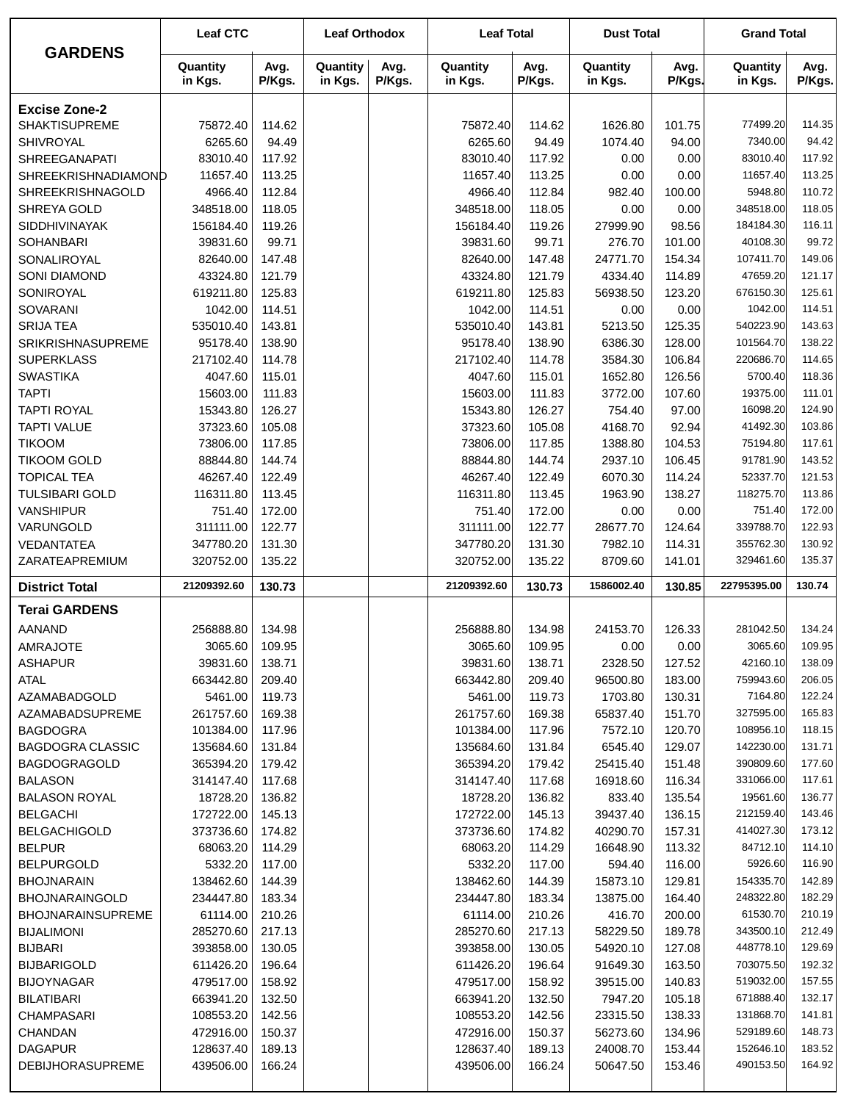| <b>GARDENS</b>                | <b>Leaf CTC</b>     |                  | <b>Leaf Orthodox</b> |                | <b>Leaf Total</b>   |                  | <b>Dust Total</b>   |                | <b>Grand Total</b>  |                  |
|-------------------------------|---------------------|------------------|----------------------|----------------|---------------------|------------------|---------------------|----------------|---------------------|------------------|
|                               | Quantity<br>in Kgs. | Avg.<br>P/Kgs.   | Quantity<br>in Kgs.  | Avg.<br>P/Kgs. | Quantity<br>in Kgs. | Avg.<br>P/Kgs.   | Quantity<br>in Kgs. | Avg.<br>P/Kgs. | Quantity<br>in Kgs. | Avg.<br>P/Kgs.   |
| <b>Excise Zone-2</b>          |                     |                  |                      |                |                     |                  |                     |                |                     |                  |
| <b>SHAKTISUPREME</b>          | 75872.40            | 114.62           |                      |                | 75872.40            | 114.62           | 1626.80             | 101.75         | 77499.20            | 114.35           |
| <b>SHIVROYAL</b>              | 6265.60             | 94.49            |                      |                | 6265.60             | 94.49            | 1074.40             | 94.00          | 7340.00             | 94.42            |
| <b>SHREEGANAPATI</b>          | 83010.40            | 117.92           |                      |                | 83010.40            | 117.92           | 0.00                | 0.00           | 83010.40            | 117.92           |
| SHREEKRISHNADIAMOND           | 11657.40            | 113.25           |                      |                | 11657.40            | 113.25           | 0.00                | 0.00           | 11657.40            | 113.25           |
| SHREEKRISHNAGOLD              | 4966.40             | 112.84           |                      |                | 4966.40             | 112.84           | 982.40              | 100.00         | 5948.80             | 110.72           |
| SHREYA GOLD                   | 348518.00           | 118.05           |                      |                | 348518.00           | 118.05           | 0.00                | 0.00           | 348518.00           | 118.05           |
| <b>SIDDHIVINAYAK</b>          | 156184.40           | 119.26           |                      |                | 156184.40           | 119.26           | 27999.90            | 98.56          | 184184.30           | 116.11           |
| <b>SOHANBARI</b>              | 39831.60            | 99.71            |                      |                | 39831.60            | 99.71            | 276.70              | 101.00         | 40108.30            | 99.72            |
| SONALIROYAL                   | 82640.00            | 147.48           |                      |                | 82640.00            | 147.48           | 24771.70            | 154.34         | 107411.70           | 149.06           |
| <b>SONI DIAMOND</b>           | 43324.80            | 121.79           |                      |                | 43324.80            | 121.79           | 4334.40             | 114.89         | 47659.20            | 121.17           |
| SONIROYAL                     | 619211.80           | 125.83           |                      |                | 619211.80           | 125.83           | 56938.50            | 123.20         | 676150.30           | 125.61           |
| SOVARANI                      | 1042.00             | 114.51           |                      |                | 1042.00             | 114.51           | 0.00                | 0.00           | 1042.00             | 114.51           |
| <b>SRIJA TEA</b>              | 535010.40           | 143.81           |                      |                | 535010.40           | 143.81           | 5213.50             | 125.35         | 540223.90           | 143.63           |
| <b>SRIKRISHNASUPREME</b>      | 95178.40            | 138.90           |                      |                | 95178.40            | 138.90           | 6386.30             | 128.00         | 101564.70           | 138.22           |
| <b>SUPERKLASS</b>             | 217102.40           | 114.78           |                      |                | 217102.40           | 114.78           | 3584.30             | 106.84         | 220686.70           | 114.65           |
| <b>SWASTIKA</b>               | 4047.60             | 115.01           |                      |                | 4047.60             | 115.01           | 1652.80             | 126.56         | 5700.40             | 118.36           |
| <b>TAPTI</b>                  | 15603.00            | 111.83           |                      |                | 15603.00            | 111.83           | 3772.00             | 107.60         | 19375.00            | 111.01           |
| <b>TAPTI ROYAL</b>            | 15343.80            | 126.27           |                      |                | 15343.80            | 126.27           | 754.40              | 97.00          | 16098.20            | 124.90           |
| <b>TAPTI VALUE</b>            | 37323.60            | 105.08           |                      |                | 37323.60            | 105.08           | 4168.70             | 92.94          | 41492.30            | 103.86           |
| <b>TIKOOM</b>                 | 73806.00            | 117.85           |                      |                | 73806.00            | 117.85           | 1388.80             | 104.53         | 75194.80            | 117.61           |
| <b>TIKOOM GOLD</b>            | 88844.80            | 144.74           |                      |                | 88844.80            | 144.74           | 2937.10             | 106.45         | 91781.90            | 143.52           |
| <b>TOPICAL TEA</b>            | 46267.40            | 122.49           |                      |                | 46267.40            | 122.49           | 6070.30             | 114.24         | 52337.70            | 121.53           |
| <b>TULSIBARI GOLD</b>         | 116311.80           | 113.45           |                      |                | 116311.80           | 113.45           | 1963.90             | 138.27         | 118275.70<br>751.40 | 113.86<br>172.00 |
| <b>VANSHIPUR</b><br>VARUNGOLD | 751.40<br>311111.00 | 172.00<br>122.77 |                      |                | 751.40<br>311111.00 | 172.00<br>122.77 | 0.00<br>28677.70    | 0.00<br>124.64 | 339788.70           | 122.93           |
| <b>VEDANTATEA</b>             | 347780.20           | 131.30           |                      |                | 347780.20           | 131.30           | 7982.10             | 114.31         | 355762.30           | 130.92           |
| ZARATEAPREMIUM                | 320752.00           | 135.22           |                      |                | 320752.00           | 135.22           | 8709.60             | 141.01         | 329461.60           | 135.37           |
| <b>District Total</b>         | 21209392.60         | 130.73           |                      |                | 21209392.60         | 130.73           | 1586002.40          | 130.85         | 22795395.00         | 130.74           |
| <b>Terai GARDENS</b>          |                     |                  |                      |                |                     |                  |                     |                |                     |                  |
|                               |                     |                  |                      |                |                     |                  |                     |                | 281042.50           | 134.24           |
| AANAND<br>AMRAJOTE            | 256888.80           | 134.98           |                      |                | 256888.80           | 134.98           | 24153.70            | 126.33         |                     |                  |
| <b>ASHAPUR</b>                | 3065.60<br>39831.60 | 109.95<br>138.71 |                      |                | 3065.60<br>39831.60 | 109.95<br>138.71 | 0.00<br>2328.50     | 0.00<br>127.52 | 3065.60<br>42160.10 | 109.95<br>138.09 |
| <b>ATAL</b>                   | 663442.80           | 209.40           |                      |                | 663442.80           | 209.40           | 96500.80            | 183.00         | 759943.60           | 206.05           |
| AZAMABADGOLD                  | 5461.00             | 119.73           |                      |                | 5461.00             | 119.73           | 1703.80             | 130.31         | 7164.80             | 122.24           |
| AZAMABADSUPREME               | 261757.60           | 169.38           |                      |                | 261757.60           | 169.38           | 65837.40            | 151.70         | 327595.00           | 165.83           |
| <b>BAGDOGRA</b>               | 101384.00           | 117.96           |                      |                | 101384.00           | 117.96           | 7572.10             | 120.70         | 108956.10           | 118.15           |
| <b>BAGDOGRA CLASSIC</b>       | 135684.60           | 131.84           |                      |                | 135684.60           | 131.84           | 6545.40             | 129.07         | 142230.00           | 131.71           |
| <b>BAGDOGRAGOLD</b>           | 365394.20           | 179.42           |                      |                | 365394.20           | 179.42           | 25415.40            | 151.48         | 390809.60           | 177.60           |
| <b>BALASON</b>                | 314147.40           | 117.68           |                      |                | 314147.40           | 117.68           | 16918.60            | 116.34         | 331066.00           | 117.61           |
| <b>BALASON ROYAL</b>          | 18728.20            | 136.82           |                      |                | 18728.20            | 136.82           | 833.40              | 135.54         | 19561.60            | 136.77           |
| <b>BELGACHI</b>               | 172722.00           | 145.13           |                      |                | 172722.00           | 145.13           | 39437.40            | 136.15         | 212159.40           | 143.46           |
| <b>BELGACHIGOLD</b>           | 373736.60           | 174.82           |                      |                | 373736.60           | 174.82           | 40290.70            | 157.31         | 414027.30           | 173.12           |
| <b>BELPUR</b>                 | 68063.20            | 114.29           |                      |                | 68063.20            | 114.29           | 16648.90            | 113.32         | 84712.10            | 114.10           |
| <b>BELPURGOLD</b>             | 5332.20             | 117.00           |                      |                | 5332.20             | 117.00           | 594.40              | 116.00         | 5926.60             | 116.90           |
| <b>BHOJNARAIN</b>             | 138462.60           | 144.39           |                      |                | 138462.60           | 144.39           | 15873.10            | 129.81         | 154335.70           | 142.89           |
| <b>BHOJNARAINGOLD</b>         | 234447.80           | 183.34           |                      |                | 234447.80           | 183.34           | 13875.00            | 164.40         | 248322.80           | 182.29           |
| <b>BHOJNARAINSUPREME</b>      | 61114.00            | 210.26           |                      |                | 61114.00            | 210.26           | 416.70              | 200.00         | 61530.70            | 210.19           |
| <b>BIJALIMONI</b>             | 285270.60           | 217.13           |                      |                | 285270.60           | 217.13           | 58229.50            | 189.78         | 343500.10           | 212.49           |
| <b>BIJBARI</b>                | 393858.00           | 130.05           |                      |                | 393858.00           | 130.05           | 54920.10            | 127.08         | 448778.10           | 129.69           |
| <b>BIJBARIGOLD</b>            | 611426.20           | 196.64           |                      |                | 611426.20           | 196.64           | 91649.30            | 163.50         | 703075.50           | 192.32           |
| <b>BIJOYNAGAR</b>             | 479517.00           | 158.92           |                      |                | 479517.00           | 158.92           | 39515.00            | 140.83         | 519032.00           | 157.55           |
| <b>BILATIBARI</b>             | 663941.20           | 132.50           |                      |                | 663941.20           | 132.50           | 7947.20             | 105.18         | 671888.40           | 132.17           |
| <b>CHAMPASARI</b>             | 108553.20           | 142.56           |                      |                | 108553.20           | 142.56           | 23315.50            | 138.33         | 131868.70           | 141.81           |
| <b>CHANDAN</b>                | 472916.00           | 150.37           |                      |                | 472916.00           | 150.37           | 56273.60            | 134.96         | 529189.60           | 148.73           |
| <b>DAGAPUR</b>                | 128637.40           | 189.13           |                      |                | 128637.40           | 189.13           | 24008.70            | 153.44         | 152646.10           | 183.52<br>164.92 |
| <b>DEBIJHORASUPREME</b>       | 439506.00           | 166.24           |                      |                | 439506.00           | 166.24           | 50647.50            | 153.46         | 490153.50           |                  |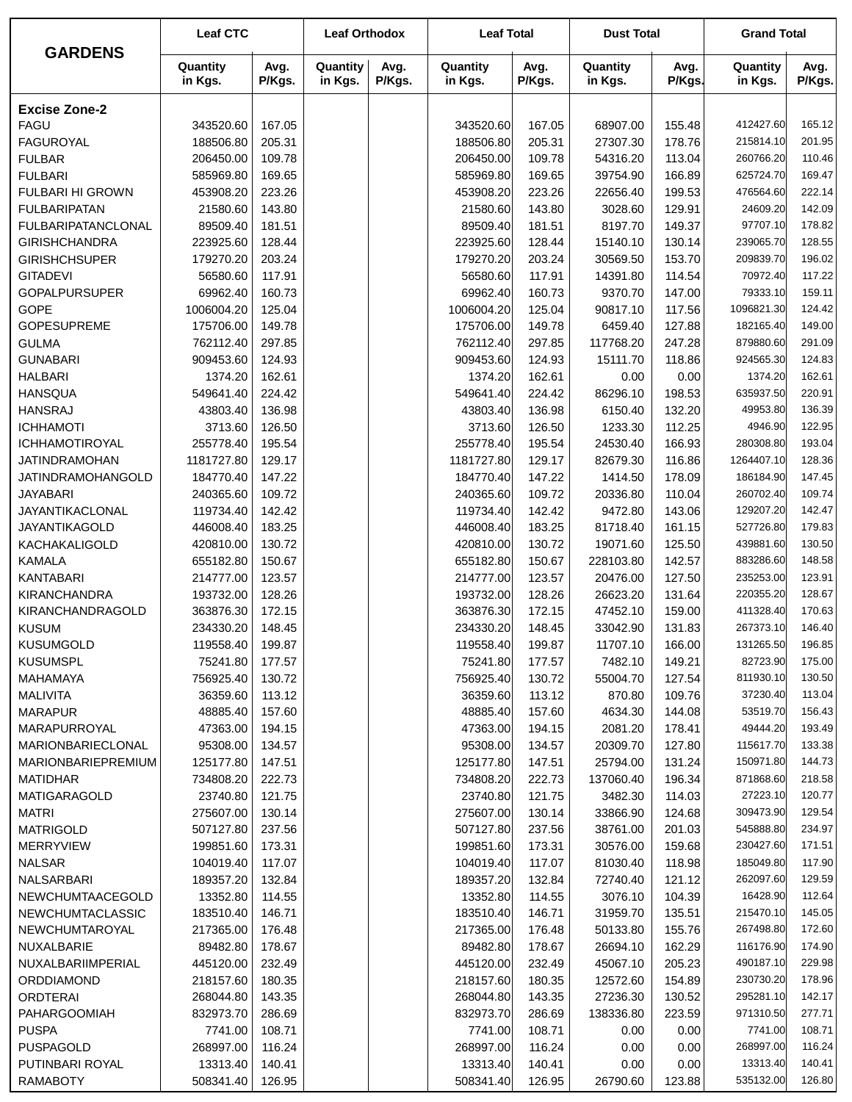|                              | <b>Leaf CTC</b>       |                  | <b>Leaf Orthodox</b> |                | <b>Leaf Total</b>     |                | <b>Dust Total</b>   |                | <b>Grand Total</b>   |                  |
|------------------------------|-----------------------|------------------|----------------------|----------------|-----------------------|----------------|---------------------|----------------|----------------------|------------------|
| <b>GARDENS</b>               | Quantity<br>in Kgs.   | Avg.<br>P/Kgs.   | Quantity<br>in Kgs.  | Avg.<br>P/Kgs. | Quantity<br>in Kgs.   | Avg.<br>P/Kgs. | Quantity<br>in Kgs. | Avg.<br>P/Kgs. | Quantity<br>in Kgs.  | Avg.<br>P/Kgs.   |
| <b>Excise Zone-2</b>         |                       |                  |                      |                |                       |                |                     |                |                      |                  |
| <b>FAGU</b>                  | 343520.60             | 167.05           |                      |                | 343520.60             | 167.05         | 68907.00            | 155.48         | 412427.60            | 165.12           |
| <b>FAGUROYAL</b>             | 188506.80             | 205.31           |                      |                | 188506.80             | 205.31         | 27307.30            | 178.76         | 215814.10            | 201.95           |
| <b>FULBAR</b>                | 206450.00             | 109.78           |                      |                | 206450.00             | 109.78         | 54316.20            | 113.04         | 260766.20            | 110.46           |
| <b>FULBARI</b>               | 585969.80             | 169.65           |                      |                | 585969.80             | 169.65         | 39754.90            | 166.89         | 625724.70            | 169.47           |
| <b>FULBARI HI GROWN</b>      | 453908.20             | 223.26           |                      |                | 453908.20             | 223.26         | 22656.40            | 199.53         | 476564.60            | 222.14           |
| <b>FULBARIPATAN</b>          | 21580.60              | 143.80           |                      |                | 21580.60              | 143.80         | 3028.60             | 129.91         | 24609.20             | 142.09           |
| <b>FULBARIPATANCLONAL</b>    | 89509.40              | 181.51           |                      |                | 89509.40              | 181.51         | 8197.70             | 149.37         | 97707.10             | 178.82           |
| <b>GIRISHCHANDRA</b>         | 223925.60             | 128.44           |                      |                | 223925.60             | 128.44         | 15140.10            | 130.14         | 239065.70            | 128.55           |
| <b>GIRISHCHSUPER</b>         | 179270.20             | 203.24           |                      |                | 179270.20             | 203.24         | 30569.50            | 153.70         | 209839.70            | 196.02           |
| <b>GITADEVI</b>              | 56580.60              | 117.91           |                      |                | 56580.60              | 117.91         | 14391.80            | 114.54         | 70972.40             | 117.22           |
| <b>GOPALPURSUPER</b>         | 69962.40              | 160.73           |                      |                | 69962.40              | 160.73         | 9370.70             | 147.00         | 79333.10             | 159.11           |
| <b>GOPE</b>                  | 1006004.20            | 125.04           |                      |                | 1006004.20            | 125.04         | 90817.10            | 117.56         | 1096821.30           | 124.42           |
| <b>GOPESUPREME</b>           | 175706.00             | 149.78           |                      |                | 175706.00             | 149.78         | 6459.40             | 127.88         | 182165.40            | 149.00           |
| <b>GULMA</b>                 | 762112.40             | 297.85           |                      |                | 762112.40             | 297.85         | 117768.20           | 247.28         | 879880.60            | 291.09           |
| <b>GUNABARI</b>              | 909453.60             | 124.93           |                      |                | 909453.60             | 124.93         | 15111.70            | 118.86         | 924565.30            | 124.83           |
| <b>HALBARI</b>               | 1374.20               | 162.61           |                      |                | 1374.20               | 162.61         | 0.00                | 0.00           | 1374.20              | 162.61           |
| <b>HANSQUA</b>               | 549641.40             | 224.42           |                      |                | 549641.40             | 224.42         | 86296.10            | 198.53         | 635937.50            | 220.91           |
| <b>HANSRAJ</b>               | 43803.40              | 136.98           |                      |                | 43803.40              | 136.98         | 6150.40             | 132.20         | 49953.80             | 136.39           |
| <b>ICHHAMOTI</b>             | 3713.60               | 126.50           |                      |                | 3713.60               | 126.50         | 1233.30             | 112.25         | 4946.90              | 122.95           |
| <b>ICHHAMOTIROYAL</b>        | 255778.40             | 195.54           |                      |                | 255778.40             | 195.54         | 24530.40            | 166.93         | 280308.80            | 193.04           |
| <b>JATINDRAMOHAN</b>         | 1181727.80            | 129.17           |                      |                | 1181727.80            | 129.17         | 82679.30            | 116.86         | 1264407.10           | 128.36           |
| JATINDRAMOHANGOLD            | 184770.40             | 147.22           |                      |                | 184770.40             | 147.22         | 1414.50             | 178.09         | 186184.90            | 147.45           |
| <b>JAYABARI</b>              | 240365.60             | 109.72           |                      |                | 240365.60             | 109.72         | 20336.80            | 110.04         | 260702.40            | 109.74           |
| JAYANTIKACLONAL              | 119734.40             | 142.42           |                      |                | 119734.40             | 142.42         | 9472.80             | 143.06         | 129207.20            | 142.47           |
| JAYANTIKAGOLD                | 446008.40             | 183.25           |                      |                | 446008.40             | 183.25         | 81718.40            | 161.15         | 527726.80            | 179.83           |
| KACHAKALIGOLD                | 420810.00             | 130.72           |                      |                | 420810.00             | 130.72         | 19071.60            | 125.50         | 439881.60            | 130.50           |
| <b>KAMALA</b>                | 655182.80             | 150.67           |                      |                | 655182.80             | 150.67         | 228103.80           | 142.57         | 883286.60            | 148.58           |
| <b>KANTABARI</b>             | 214777.00             | 123.57           |                      |                | 214777.00             | 123.57         | 20476.00            | 127.50         | 235253.00            | 123.91           |
| <b>KIRANCHANDRA</b>          | 193732.00             | 128.26           |                      |                | 193732.00             | 128.26         | 26623.20            | 131.64         | 220355.20            | 128.67           |
| KIRANCHANDRAGOLD             | 363876.30             | 172.15           |                      |                | 363876.30             | 172.15         | 47452.10            | 159.00         | 411328.40            | 170.63           |
| <b>KUSUM</b>                 | 234330.20             | 148.45           |                      |                | 234330.20             | 148.45         | 33042.90            | 131.83         | 267373.10            | 146.40           |
| <b>KUSUMGOLD</b>             | 119558.40             | 199.87           |                      |                | 119558.40             | 199.87         | 11707.10            | 166.00         | 131265.50            | 196.85           |
| <b>KUSUMSPL</b>              | 75241.80              | 177.57           |                      |                | 75241.80              | 177.57         | 7482.10             | 149.21         | 82723.90             | 175.00           |
| MAHAMAYA                     | 756925.40             | 130.72           |                      |                | 756925.40             | 130.72         | 55004.70            | 127.54         | 811930.10            | 130.50           |
| <b>MALIVITA</b>              | 36359.60              | 113.12           |                      |                | 36359.60              | 113.12         | 870.80              | 109.76         | 37230.40             | 113.04           |
| <b>MARAPUR</b>               | 48885.40              | 157.60           |                      |                | 48885.40              | 157.60         | 4634.30             | 144.08         | 53519.70             | 156.43           |
| MARAPURROYAL                 | 47363.00              | 194.15           |                      |                | 47363.00              | 194.15         | 2081.20             | 178.41         | 49444.20             | 193.49           |
| <b>MARIONBARIECLONAL</b>     | 95308.00              | 134.57           |                      |                | 95308.00              | 134.57         | 20309.70            | 127.80         | 115617.70            | 133.38           |
| MARIONBARIEPREMIUM           | 125177.80             | 147.51           |                      |                | 125177.80             | 147.51         | 25794.00            | 131.24         | 150971.80            | 144.73           |
| <b>MATIDHAR</b>              | 734808.20             | 222.73           |                      |                | 734808.20             | 222.73         | 137060.40           | 196.34         | 871868.60            | 218.58           |
| <b>MATIGARAGOLD</b>          | 23740.80              | 121.75           |                      |                | 23740.80              | 121.75         | 3482.30             | 114.03         | 27223.10             | 120.77           |
| <b>MATRI</b>                 | 275607.00             | 130.14           |                      |                | 275607.00             | 130.14         | 33866.90            | 124.68         | 309473.90            | 129.54           |
| <b>MATRIGOLD</b>             | 507127.80             | 237.56           |                      |                | 507127.80             | 237.56         | 38761.00            | 201.03         | 545888.80            | 234.97           |
| <b>MERRYVIEW</b>             | 199851.60             | 173.31           |                      |                | 199851.60             | 173.31         | 30576.00            | 159.68         | 230427.60            | 171.51           |
| <b>NALSAR</b>                | 104019.40             | 117.07           |                      |                | 104019.40             | 117.07         | 81030.40            | 118.98         | 185049.80            | 117.90           |
| NALSARBARI                   | 189357.20             | 132.84           |                      |                | 189357.20             | 132.84         | 72740.40            | 121.12         | 262097.60            | 129.59           |
| NEWCHUMTAACEGOLD             | 13352.80              | 114.55           |                      |                | 13352.80              | 114.55         | 3076.10             | 104.39         | 16428.90             | 112.64<br>145.05 |
| <b>NEWCHUMTACLASSIC</b>      | 183510.40             | 146.71           |                      |                | 183510.40             | 146.71         | 31959.70            | 135.51         | 215470.10            |                  |
| NEWCHUMTAROYAL               | 217365.00             | 176.48           |                      |                | 217365.00             | 176.48         | 50133.80            | 155.76         | 267498.80            | 172.60           |
| NUXALBARIE                   | 89482.80              | 178.67           |                      |                | 89482.80              | 178.67         | 26694.10            | 162.29         | 116176.90            | 174.90           |
| NUXALBARIIMPERIAL            | 445120.00             | 232.49           |                      |                | 445120.00             | 232.49         | 45067.10            | 205.23         | 490187.10            | 229.98           |
| ORDDIAMOND                   | 218157.60             | 180.35           |                      |                | 218157.60             | 180.35         | 12572.60            | 154.89         | 230730.20            | 178.96           |
| <b>ORDTERAI</b>              | 268044.80             | 143.35           |                      |                | 268044.80             | 143.35         | 27236.30            | 130.52         | 295281.10            | 142.17           |
| <b>PAHARGOOMIAH</b>          | 832973.70             | 286.69           |                      |                | 832973.70             | 286.69         | 138336.80           | 223.59         | 971310.50            | 277.71           |
| <b>PUSPA</b>                 | 7741.00               | 108.71           |                      |                | 7741.00               | 108.71         | 0.00                | 0.00           | 7741.00<br>268997.00 | 108.71<br>116.24 |
| PUSPAGOLD<br>PUTINBARI ROYAL | 268997.00             | 116.24<br>140.41 |                      |                | 268997.00             | 116.24         | 0.00                | 0.00           | 13313.40             | 140.41           |
| <b>RAMABOTY</b>              | 13313.40<br>508341.40 | 126.95           |                      |                | 13313.40<br>508341.40 | 140.41         | 0.00<br>26790.60    | 0.00<br>123.88 | 535132.00            | 126.80           |
|                              |                       |                  |                      |                |                       | 126.95         |                     |                |                      |                  |